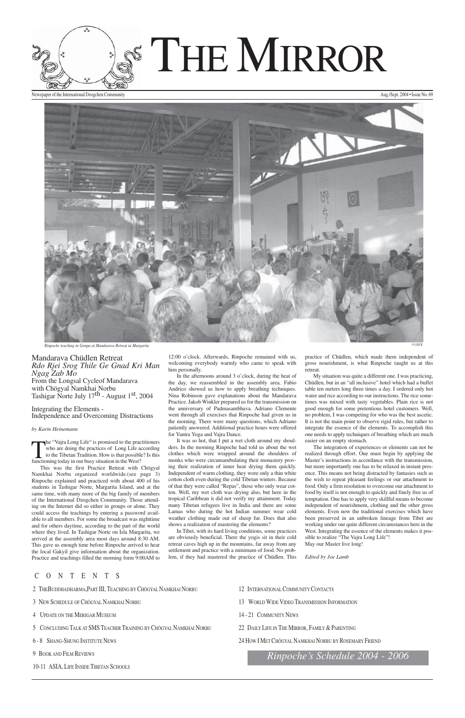- 2 THEBUDDHADHARMA,PART III, TEACHING BY CHÖGYAL NAMKHAI NORBU
- 3 NEW SCHEDULE OF CHÖGYAL NAMKHAI NORBU
- 4 UPDATE ON THE MERIGAR MUSEUM
- 5 CONCLUDING TALK AT SMS TEACHER TRAINING BY CHÖGYAL NAMKHAI NORBU
- 6 8 SHANG-SHUNG INSTITUTE NEWS
- 9 BOOK AND FILM REVIEWS
- 10-11 ASIA, LIFE INSIDE TIBETAN SCHOOLS
- 12 INTERNATIONAL COMMUNITY CONTACTS
- 13 WORLD WIDE VIDEO TRANSMISSION INFORMATION
- 14 21 COMMUNITY NEWS
- 22 DAILY LIFE IN THE MIRROR, FAMILY & PARENTING
- 24 HOW I MET CHÖGYAL NAMKHAI NORBU BY ROSEMARY FRIEND

From the Longsal Cycleof Mandarava with Chögyal Namkhai Norbu Tashigar Norte July  $17^{\text{th}}$  - August  $1^{\text{st}}$ , 2004



Newspaper of the International Dzogchen Community and the International Dzogchen Community Aug./Sept. 2004 • Issue No. 69



**Rinpoche teaching in Gonpa at Mandarava Retreat in Margarita** 

The "Vajra Long Life" is promised to the practitioners<br>who are doing the practices of Long Life according<br>to the Tibetan Tradition. How is that possible? Is this<br>functioning today in our busy situation in the West? who are doing the practices of Long Life according to the Tibetan Tradition. How is that possible? Is this functioning today in our busy situation in the West?

## CONTENTS

Mandarava Chüdlen Retreat *Rdo Rjei Srog Thile Ge Gnad Kri Man Ngag Zab Mo*

Integrating the Elements - Independence and Overcoming Distractions

#### *by Karin Heinemann*

This was the first Practice Retreat with Chögyal Namkhai Norbu organized worldwide.(see page 3) Rinpoche explained and practiced with about 400 of his students in Tashigar Norte, Margarita Island, and at the same time, with many more of the big family of members of the International Dzogchen Community. Those attending on the Internet did so either in groups or alone. They could access the teachings by entering a password available to all members. For some the broadcast was nighttime and for others daytime, according to the part of the world where they lived. In Tashigar Norte on Isla Margarita, we arrived at the assembly area most days around 8:30 AM. This gave us enough time before Rinpoche arrived to hear the local Gakyil give information about the organization. Practice and teachings filled the morning form 9:00AM to

12:00 o'clock. Afterwards, Rinpoche remained with us, welcoming everybody warmly who came to speak with him personally.

In the afternoons around 3 o'clock, during the heat of the day, we reassembled in the assembly area. Fabio Andrico showed us how to apply breathing techniques. Nina Robinson gave explanations about the Mandarava Practice. Jakob Winkler prepared us for the transmission on the anniversary of Padmasambhava. Adriano Clemente went through all exercises that Rinpoche had given us in the morning. There were many questions, which Adriano patiently answered. Additional practice hours were offered for Yantra Yoga and Vajra Dance.

It was so hot, that I put a wet cloth around my shoulders. In the morning Rinpoche had told us about the wet clothes which were wrapped around the shoulders of monks who were circumambulating their monastery proving their realization of inner heat drying them quickly. Independent of warm clothing, they wore only a thin white cotton cloth even during the cold Tibetan winters. Because of that they were called "Repas", those who only wear cotton. Well, my wet cloth was drying also, but here in the tropical Caribbean it did not verify my attainment. Today many Tibetan refugees live in India and there are some Lamas who during the hot Indian summer wear cold weather clothing made out of sheep fur. Does that also shows a realization of mastering the elements?

In Tibet, with its hard living conditions, some practices are obviously beneficial. There the yogis sit in their cold retreat caves high up in the mountains, far away from any settlement and practice with a minimum of food. No problem, if they had mastered the practice of Chüdlen. This practice of Chüdlen, which made them independent of gross nourishment, is what Rinpoche taught us at this retreat.

My situation was quite a different one. I was practicing, Chüdlen, but in an "all inclusive" hotel which had a buffet table ten meters long three times a day. I ordered only hot water and rice according to our instructions. The rice sometimes was mixed with tasty vegetables. Plain rice is not good enough for some pretentious hotel customers. Well, no problem, I was competing for who was the best ascetic. It is not the main point to observe rigid rules, but rather to integrate the essence of the elements. To accomplish this one needs to apply techniques of breathing which are much easier on an empty stomach.

The integration of experiences or elements can not be realized through effort. One must begin by applying the Master's instructions in accordance with the transmission, but more importantly one has to be relaxed in instant presence. This means not being distracted by fantasies such as the wish to repeat pleasant feelings or our attachment to food. Only a firm resolution to overcome our attachment to food by itself is not enough to quickly and finely free us of temptation. One has to apply very skillful means to become independent of nourishment, clothing and the other gross elements. Even now the traditional exercises which have been preserved in an unbroken lineage from Tibet are working under our quite different circumstances here in the West. Integrating the essence of the elements makes it possible to realize "The Vajra Long Life"! May our Master live long!

*Edited by Joe Lamb*

*Rinpoche's Schedule 2004 - 2006*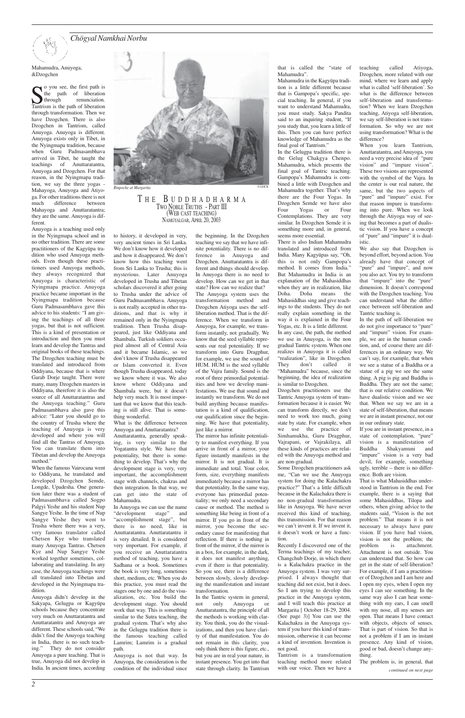Mahamudra, Anuyoga, &Dzogchen

Solution voluples the first path is<br>the path of liberation<br>Tantrism is the path of liberation. o you see, the first path is the path of liberation through renunciation. through transformation. Then we have Dzogchen. There is also Dzogchen in Tantrism, called Anuyoga. Anuyoga is different. Anuyoga exists only in Tibet, in the Nyingmapa tradition, because when Guru Padmasambhava arrived in Tibet, he taught the teachings of Anuttaratantra, Anuyoga and Dzogchen. For that reason, in the Nyingmapa tradition, we say the three yogas - Mahayoga, Anuyoga and Atiyoga. For other traditions there is not much difference between Mahayoga and Anuttaratantra; they are the same. Anuyoga is different.

Anuyoga is a teaching used only in the Nyingmapa school and in no other tradition. There are some practitioners of the Kagyüpa tradition who used Anuyoga methods. Even though these practitioners used Anuyoga methods, they always recognized that Anuyoga is characteristic of Nyingmapa practice. Anuyoga practice became important in the Nyingmapa tradition because Guru Padmasambhava gave this advice to his students: "I am giving the teachings of all three yogas, but that is not sufficient. This is a kind of presentation or introduction and then you must learn and develop the Tantras and original books of these teachings. The Dzogchen teaching must be translated and introduced from Oddiyana, because that is where Garab Dorje taught. There were many, many Dzogchen masters in Oddiyana, therefore it is also the source of all Anuttaratantras and the Anuyoga teaching." Guru Padmasambhava also gave this advice: "Later you should go to the country of Trusha where the teaching of Anuyoga is very developed and where you will find all the Tantras of Anuyoga. You can translate them into Tibetan and develop the Anuyoga method."

When the famous Vairocana went to Oddiyana, he translated and developed Dzogchen Semde, Longde, Upadesha. One generation later there was a student of Padmasambhava called Sogpo Palgyi Yeshe and his student Nup Sangye Yeshe. In the time of Nup Sangye Yeshe they went to Trusha where there was a very, very famous translator called Chetsen Kye who translated many Anuyoga Tantras. Chetsen Kye and Nup Sangye Yeshe worked together sometimes, collaborating and translating. In any case, the Anuyoga teachings were all translated into Tibetan and developed in the Nyingmapa tradition. Anuyoga didn't develop in the Sakyapa, Gelugpa or Kagyüpa schools because they concentrate very much on Anuttaratantra and Anuttaratantra and Anuyoga are different. These schools said, "We didn't find the Anuyoga teaching in India, there is no such teaching." They do not consider Anuyoga a pure teaching. That is true, Anuyoga did not develop in India. In ancient times, according



#### $R$ *inpoche at Margarita*

to history, it developed in very, very ancient times in Sri Lanka. We don't know how it developed and how it disappeared. We don't know how this teaching went from Sri Lanka to Trusha; this is mysterious. Later Anuyoga developed in Trusha and Tibetan scholars discovered it after going to Trusha under the advice of Guru Padmasambhava. Anuyoga is not really accepted in other traditions, and that is why it remained only in the Nyingmapa tradition. Then Trusha disappeared, just like Oddiyana and Shambala. Turkish soldiers occupied almost all of Central Asia and it became Islamic, so we don't know if Trusha disappeared or Islam converted it. Even though Trusha disappeared, today we know where it was. We also know where Oddiyana and Shambala were, but it doesn't help very much. It is most important that we know that this teaching is still alive. That is something wonderful.

What is the difference between Anuyoga and Anuttaratantra?

Anuttaratantra, generally speaking, is very similar to the Yogatantra style. We have that potentiality, but there is something to develop. That's why the development stage is very, very important, the accomplishment stage with channels, chakras and then integration. In that way, we can get into the state of Mahamudra.

In Anuyoga we can use the name "development stage" and "accomplishment stage", but there is no need, like in Anuttaratantra. Anuttaratantra it is very detailed. It is considered very important. For example, if you receive an Anuttaratantra method of teaching, you have a Sadhana or a book. Sometimes the book is very long, sometimes short, medium, etc. When you do this practice, you must read the stages one by one and do the visualization, etc. You build the development stage. You should work that way. This is something similar to the Sutra teaching, the gradual system. That's why also in the Gelugpa tradition there is the famous teaching called

Lamrim; Lamrim is a gradual

path.

Anuyoga is not that way. In Anuyoga, the consideration is the condition of the individual since the beginning. In the Dzogchen teaching we say that we have infinite potentiality. There is no difference in Anuyoga and Dzogchen. Anuttaratantra is different and things should develop. In Anuyoga there is no need to develop. How can we get in that state? How can we realize that? The Anuyoga system uses the transformation method and Dzogchen Atiyoga uses the selfliberation method. That is the difference. When we transform in Anuyoga, for example, we transform instantly, not gradually. We know that the seed syllable represents our real potentiality. If we transform into Guru Dragphur, for example, we use the sound of HUM. HUM is the seed syllable of the Vajra family. Sound is the root of three primordial potentialities and how we develop manifestations. We use that sound and instantly we transform. We do not build anything because manifestation is a kind of qualification, our qualification since the beginning. We have that potentiality, just like a mirror.

The mirror has infinite potentiality to manifest everything. If you arrive in front of a mirror, your figure instantly manifests in the mirror. It is not gradual. It is immediate and total. Your color, form, size, everything manifests immediately because a mirror has that potentiality. In the same way, everyone has primordial potentiality; we only need a secondary cause or method. The method is something like being in front of a mirror. If you go in front of the mirror, you become the secondary cause for manifesting that reflection. If there is nothing in front of the mirror, if the mirror is in a box, for example, in the dark, it does not manifest anything, even if there is that potentiality. So you see, there is a difference between slowly, slowly developing the manifestation and instant transformation. In the Tantric system in general, not only Anuyoga or Anuttaratantra, the principle of all the methods is working with clarity. You think, you do the visualizations, and then you have clarity of that manifestation. You do not remain in this clarity, you only think there is this figure, etc., but you are in real your nature, in instant presence. You get into that state through clarity. In Tantrism

that is called the "state of Mahamudra".

Mahamudra in the Kagyüpa tradition is a little different because that is Gampopa's specific, special teaching. In general, if you want to understand Mahamudra, you must study. Sakya Pandita said to an inquiring student, "If you study that, you learn a little of this. Then you can have perfect knowledge of Mahamudra as the final goal of Tantrism."

In the Gelugpa tradition there is the Gelug Chakgya Chenpo. Mahamudra, which presents the final goal of Tantric teaching. Gampopa's Mahamudra is combined a little with Dzogchen and Mahamudra together. That's why there are the Four Yogas. In Dzogchen Semde we have also Four Yogas or Four Contemplations. They are very similar. In Dzogchen Semde it is something more and, in general, seems more essential.

There is also Indian Mahamudra translated and introduced from India. Many Kagyüpas say, "Oh, this is not only Gampopa's method. It comes from India." But Mahamudra in India is an explanation of the Mahasiddhas when they are in realization, like Doha. Doha means the Mahasiddhas sing and give teachings to the students. They do not really explain something in the way it is explained in the Four Yogas, etc. It is a little different. In any case, the path, the method we use in Anuyoga, is the non gradual Tantric system. When one realizes in Anuyoga it is called "realization", like in Dzogchen. They don't called it "Mahamudra" because, since the beginning, the idea of realization is similar to Dzogchen.

Dzogchen practitioners use the Tantric Anuyoga system of transformation because it is easier. We can transform directly, we don't need to work too much, going state by state. For example, when we use the practice of Simhamukha, Guru Dragphur, Vajrapani, or Vajrakilaya, all these kinds of practices are related with the Anuyoga method and are non-gradual.

Some Dzogchen practitioners ask me, "Can we use the Anuyoga system for doing the Kalachakra practice?" That's a little difficult because in the Kalachakra there is no non-gradual transformation like in Anuyoga. We have never received this kind of teaching, this transmission. For that reason we can't invent it. If we invent it,

it doesn't work or have a function.

Recently I discovered one of the Terma teachings of my teacher, Changchub Dorje, in which there is a Kalachakra practice in the Anuyoga system. I was very surprised. I always thought that teaching did not exist, but it does. So I am trying to develop this practice in the Anuyoga system, and I will teach this practice at Margarita [ October 18-29, 2004. (See page 3)] You can use the Kalachakra in the Anuyoga system if you have this kind of transmission, otherwise it can become a kind of invention. Invention is not good.

Tantrism is a transformation teaching method more related with our voice. Then we have a teaching called Atiyoga, Dzogchen, more related with our mind, where we learn and apply what is called 'self-liberation'. So what is the difference between self-liberation and transformation? When we learn Dzogchen teaching, Atiyoga self-liberation, we say self-liberation is not transformation. So why we are not using transformation? What is the difference?

When you learn Tantrism, Anuttaratantra, and Anuyoga, you need a very precise idea of "pure vision" and "impure vision". These two visions are represented with the symbol of the Vajra. In the center is our real nature, the same, but the two aspects of "pure" and "impure" exist. For that reason impure is transforming into pure. When we look through the Atiyoga way of seeing that becomes a part of dualistic vision. If you have a concept of "pure" and "impure" it is dualistic.

We also say that Dzogchen is beyond effort, beyond action. You already have that concept of "pure" and "impure", and now you also act. You try to transform that "impure" into the "pure" dimension. It doesn't correspond with the Dzogchen teaching. You can understand what the difference between self-liberation and Tantric teaching is.

In the path of self-liberation we do not give importance to "pure" and "impure" vision. For example, we are in the human condition, and, of course there are differences in an ordinary way. We can't say, for example, that when we see a statue of a Buddha or a statue of a pig we see the same thing. A pig is pig and Buddha is Buddha. They are not the same; that is our relative condition. We have dualistic vision and we see that. When we say we are in a state of self-liberation, that means we are in instant presence, not our in our ordinary state.

If you are in instant presence, in a state of contemplation, "pure" vision is a manifestation of Buddha Shakyamuni and "impure" vision is a very bad devil, for example, something ugly, terrible – there is no difference. Both are vision.

That is what Mahasiddhas understood in Tantrism in the end. For example, there is a saying that some Mahasiddhas, Tilopa and others, when giving advice to the students said, "Vision is the not problem." That means it is not necessary to always have pure vision. If you have bad vision, vision is not the problem; the problem is attachment. Attachment is not outside. You can understand that. So how can get in the state of self-liberation? For example, if I am a practitioner of Dzogchen and I am here and I open my eyes, when I open my eyes I can see something. In the same way also I can hear something with my ears, I can smell with my nose, all my senses are open. That means I have contact with objects, objects of senses. That is part of vision. So that is not a problem if I am in instant presence. Any kind of vision, good or bad, doesn't change anything.

The problem is, in general, that *continued on next page* 

#### T H E B UDDHADHARMA TWO NOBLE TRUTHS - PART III (WEB CAST TEACHING) NAMGYALGAR, APRIL 20, 2003

*Chögyal Namkhai Norbu*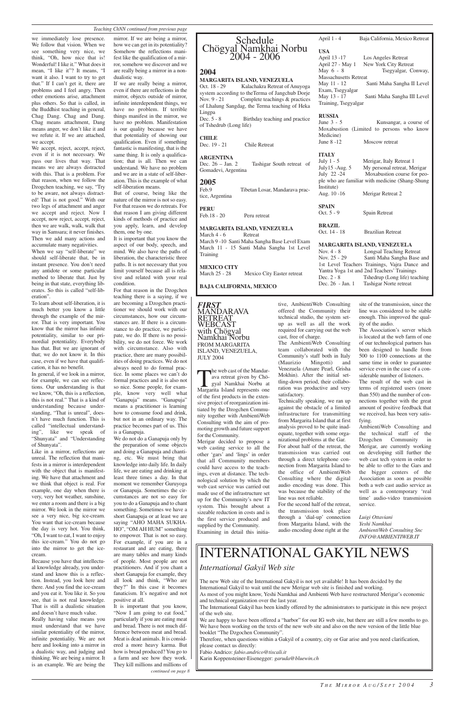we immediately lose presence. We follow that vision. When we see something very nice, we think, "Oh, how nice that is! Wonderful! I like it." What does it mean, "I like it"? It means, "I want it also. I want to try to get that." If I can't get it, there are problems and I feel angry. Then other emotions arise, attachment plus others. So that is called, in the Buddhist teaching in general, Chag Dang. Chag and Dang. Chag means attachment, Dang means anger, we don't like it and we refute it. If we are attached, we accept.

We accept, reject, accept, reject, even if it is not necessary. We pass our lives that way. That means we are always distracted with this. That is a problem. For that reason, when we follow the Dzogchen teaching, we say, "Try to be aware, not always distracted! That is not good." With our two legs of attachment and anger we accept and reject. Now I accept, now reject, accept, reject, then we are walk, walk, walk that way in Samsara; it never finishes. Then we add many actions and accumulate many negativities.

When we say "self-liberate" we should self-liberate that, be in instant presence. You don't need any antidote or some particular method to liberate that. Just by being in that state, everything liberates. So this is called "self-liberation".

To learn about self-liberation, it is much better you know a little through the example of the mirror. That is very important. You know that the mirror has infinite potentiality, similar to our primordial potentiality. Everybody has that. But we are ignorant of that; we do not know it. In this case, even if we have that qualification, it has no benefit.

In general, if we look in a mirror, for example, we can see reflections. Our understanding is that we know, "Oh, this is a reflection, this is not real." That is a kind of understanding because understanding, "That is unreal", doesn't have much function. This is called "intellectual understanding", like we speak of "Shunyata" and "Understanding of Shunyata".

Like in a mirror, reflections are unreal. The reflection that manifests in a mirror is interdependent with the object that is manifesting. We have that attachment and we think that object is real. For example, one day when there is very, very hot weather, sunshine, we enter a room and there is a big mirror. We look in the mirror we see a very nice, big ice-cream. You want that ice-cream because the day is very hot. You think, "Oh, I want to eat, I want to enjoy this ice-cream." You do not go into the mirror to get the icecream. Because you have that intellectual knowledge already, you understand and know this is a reflection. Instead, you look here and there. And you find the ice-cream and you eat it. You like it. So you see, that is not real knowledge. That is still a dualistic situation and doesn't have much value. Really having value means you must understand that we have similar potentiality of the mirror, infinite potentiality. We are not here and looking into a mirror in a dualistic way, and judging and thinking. We are being a mirror. It is an example. We are being the

## Schedule Chögyal Namkhai Norbu 2004 - 2006

Oct. 18 - 29 Kalachakra Retreat of Anuyoga system according to theTerma of Jangchub Dorje Nov. 9 - 21 Complete teachings & practices of Lhalung Sangdag, the Terma teaching of Heka Lingpa Dec. 5 - 8 Birthday teaching and practice

mirror. If we are being a mirror, how we can get in its potentiality? Somehow the reflections manifest like the qualification of a mirror, somehow we discover and we are really being a mirror in a nondualistic way.

> **ARGENTINA**<br>Dec. 26 - Jan. 2 Tashigar South retreat of Gomadevi, Argentina

Tibetan Losar, Mandarava practice, Argentina

**MEXICO CITY** March 25 - 28 Mexico City Easter retreat

If we are really being a mirror, even if there are reflections in the mirror, objects outside of mirror, infinite interdependent things, we have no problem. If terrible things manifest in the mirror, we have no problem. Manifestation is our quality because we have that potentiality of showing our qualification. Even if something fantastic is manifesting, that is the same thing. It is only a qualification; that is all. Then we can understand. We have no problem and we are in a state of self-liberation. This is the example of what self-liberation means.

July 1 - 5 Merigar, Italy Retreat 1<br>July 15 - Aug. 5 My personal retreat, Me My personal retreat, Merigar July 22 -24 Moxabustion course for people who are familiar with medicine (Shang-Shung Institute)

**SPAIN** Oct. 5 - 9 Spain Retreat

But of course, being like the nature of the mirror is not so easy. For that reason we do retreats. For that reason I am giving different kinds of methods of practice and you apply, learn, and develop them, one by one.

> The web cast of the Mandarava retreat given by Chögyal Namkhai Norbu at Margarita Island represents one of the first products in the extensive project of reorganization initiated by the Dzogchen Community together with AmbientiWeb Consulting with the aim of promoting growth and future support for the Community.

It is important that you know the aspect of our body, speech, and mind. We also have the paths of liberation, the characteristic three paths. It is not necessary that you limit yourself because all is relative and related with your real condition.

For that reason in the Dzogchen teaching there is a saying, if we are becoming a Dzogchen practitioner we should work with our circumstances, how our circumstances are. If there is a circumstance to do practice, we participate, we do. If there is no possibility, we do not force. We work with circumstance. Also with practice, there are many possibilities of doing practices. We do not always need to do formal practice. In some places we can't do formal practices and it is also not so nice. Some people, for example, know very well what "Ganapuja" means. "Ganapuja" means a practitioner is learning how to consume food and drink, but not in an ordinary way. The practice becomes part of us. This is a Ganapuja.

> We are happy to have been offered a "harbor" for our IG web site, but there are still a few months to go. We have been working on the texts of the new web site and also on the new version of the little blue booklet "The Dzgochen Community".

#### *Teaching ChNN continued from previous page*

### **2004**

#### **MARGARITA ISLAND, VENEZUELA**

of Tshedrub (Long life)

#### **CHILE**

Dec. 19 - 21 Chile Retreat

## **2005**

**PERU**

Feb.18 - 20 Peru retreat

#### **MARGARITA ISLAND, VENEZUELA** March 4 - 6 Retreat March 9 -10 Santi Maha Sangha Base Level Exam

March 11 - 15 Santi Maha Sangha 1st Level Training

**BAJA CALIFORNIA, MEXICO**

April 1 - 4 Baja California, Mexico Retreat

| <b>USA</b>                   |                             |
|------------------------------|-----------------------------|
| April 13 -17                 | Los Angeles Retreat         |
| April 27 - May 1             | New York City Retreat       |
| May 6 - 8                    | Tsegyalgar, Conway,         |
| <b>Massachusetts Retreat</b> |                             |
| May 11 - 12                  | Santi Maha Sangha II Level  |
| Exam, Tsegyalgar             |                             |
| May 13 - 17                  | Santi Maha Sangha III Level |
| Training, Tsegyalgar         |                             |
|                              |                             |

#### **RUSSIA**

June 3 - 5 Kunsangar, a course of Moxabustion (Limited to persons who know Medicine) June 8 -12 Moscow retreat

#### **ITALY**

Aug. 10 -16 Merigar Retreat 2

**BRAZIL**

Oct. 14 - 18 Brazilian Retreat

## **MARGARITA ISLAND, VENEZUELA**<br>Nov. 4 - 8 Longsal Teaching Ret

Longsal Teaching Retreat Nov. 25 - 29 Santi Maha Sangha Base and 1st Level Teachers Trainings, Vajra Dance and Yantra Yoga 1st and 2nd Teachers' Trainings Dec. 2 - 8 Tshedrup (Long life) teaching Dec. 26 - Jan. 1 Tashigar Norte retreat

We do not do a Ganapuja only by the preparation of some objects and doing a Ganapuja and chanting, etc. We must bring that knowledge into daily life. In daily life, we are eating and drinking at least three times a day. In that moment we remember Guruyoga or Ganapuja. Sometimes the circumstances are not so easy for you to do a Ganapuja and to chant something. Sometimes we have a short Ganapuja or at least we are saying "AHO MAHA SUKHA-HO", "OM AH HUM" something to empower. That is not so easy. For example, if you are in a restaurant and are eating, there are many tables and many kinds of people. Most people are not practitioners. And if you chant a short Ganapuja for example, they all look and think, "Who are they?" In this case it becomes fanaticism. It's negative and not positive at all. It is important that you know, "Now I am going to eat food," particularly if you are eating meat and bread. There is not much difference between meat and bread. Meat is dead animals. It is considered a more heavy karma. But how is bread produced? You go to a farm and see how they work. They kill millions and millions of *continued on page 8*

#### *FIRST*  MANDARAVA RETREAT WEBCAST with Chögyal Namkhai Norbu FROM MARGARITA ISLAND, VENEZUELA, JULY 2004

Merigar decided to propose a web casting service to all the other 'gars' and 'lings' in order that all Community members could have access to the teachings, even at distance. The technological solution by which the web cast service was carried out made use of the infrastructure set up for the Community's new IT system. This brought about a sizeable reduction in costs and is the first service produced and supplied by the Community.

tive, AmbientiWeb Consulting offered the Community their technical studio, the system setup as well as all the work required for carrying out the web cast, free of charge.

The AmbientiWeb Consulting team collaborated with the Community's staff both in Italy (Maurizio Mingotti) and Venezuela (Amare Pearl, Grisha Mokhin). After the initial settling-down period, their collaboration was productive and very satisfactory.

Examining in detail this initiaaudio encoding done right at the

Technically speaking, we ran up against the obstacle of a limited infrastructure for transmitting from Margarita Island that at first analysis proved to be quite inadequate, together with some organizational problems at the Gar. For about half of the retreat, the transmission was carried out through a direct telephone connection from Margarita Island to the office of AmbientiWeb Consulting where the digital audio encoding was done. This was because the stability of the line was not reliable.

For the second half of the retreat, the transmission took place through a 'dial-up' connection from Margarita Island, with the site of the transmission, since the line was considered to be stable enough. This improved the quality of the audio.

The Association's server which is located at the web farm of one of our technological partners has been designed to handle from 500 to 1100 connections at the same time in order to guarantee service even in the case of a considerable number of listeners.

The result of the web cast in terms of registered users (more than 550) and the number of connections together with the great amount of positive feedback that we received, has been very satisfying.

AmbientiWeb Consulting and the technical staff of the Dzogchen Community in Merigar, are currently working on developing still further the web cast tech system in order to be able to offer to the Gars and the bigger centers of the Association as soon as possible both a web cast audio service as well as a contemporary 'real time' audio-video transmission service.

*Luigi Ottaviani Yeshi Namkhai AmbientiWeb Consulting Snc INFO@AMBIENTIWEB.IT*

## INTERNATIONAL GAKYIL NEWS

## *International Gakyil Web site*

The new Web site of the International Gakyil is not yet available! It has been decided by the International Gakyil to wait until the new Merigar web site is finished and working. As most of you might know, Yeshi Namkhai and Ambienti Web have restructured Merigar's economic

and technical organization over the last year.

The International Gakyil has been kindly offered by the administrators to participate in this new project of the web site.

Therefore, when questions within a Gakyil of a country, city or Gar arise and you need clarification, please contact us directly:

Fabio Andrico: *fabio.andrico@tiscali.it*

Karin Koppensteiner-Eisenegger: *garuda@bluewin.ch*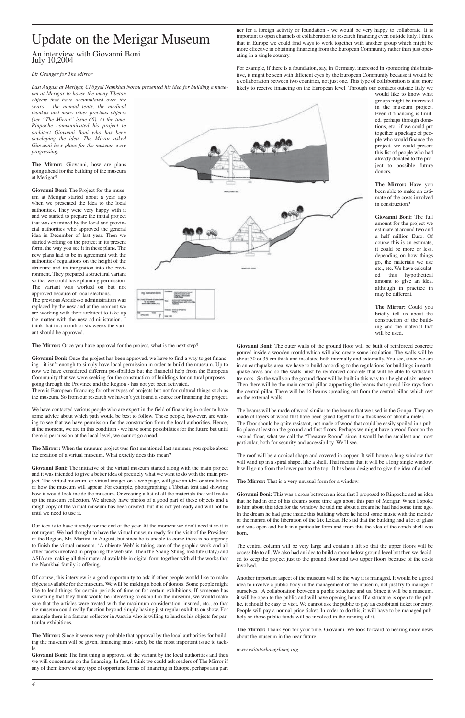## Update on the Merigar Museum

An interview with Giovanni Boni July 10,2004

#### *Liz Granger for The Mirror*

*Last August at Merigar, Chögyal Namkhai Norbu presented his idea for building a muse-*

*um at Merigar to house the many Tibetan objects that have accumulated over the years - the nomad tents, the medical thankas and many other precious objects (see "The Mirror" issue 66). At the time, Rinpoche communicated his project to architect Giovanni Boni who has been developing the idea. The Mirror asked Giovanni how plans for the museum were progressing.*

**The Mirror:** Giovanni, how are plans going ahead for the building of the museum at Merigar?

**Giovanni Boni:** The Project for the museum at Merigar started about a year ago when we presented the idea to the local authorities. They were very happy with it and we started to prepare the initial project that was examined by the local and provincial authorities who approved the general idea in December of last year. Then we started working on the project in its present form, the way you see it in these plans. The new plans had to be in agreement with the authorities' regulations on the height of the structure and its integration into the environment. They prepared a structural variant so that we could have planning permission. The variant was worked on but not approved because of local elections.

The previous Arcidosso administration was replaced by the new and at the moment we are working with their architect to take up the matter with the new administration. I think that in a month or six weeks the variant should be approved.

The Mirror: Once you have approval for the project, what is the next step?

**Giovanni Boni:** Once the project has been approved, we have to find a way to get financing - it isn't enough to simply have local permission in order to build the museum. Up to now we have considered different possibilities but the financial help from the European Community that we were seeking for the construction of buildings for cultural purposes going through the Province and the Region - has not yet been activated.

There is European financing for other types of projects but not for cultural things such as the museum. So from our research we haven't yet found a source for financing the project.

We have contacted various people who are expert in the field of financing in order to have some advice about which path would be best to follow. These people, however, are waiting to see that we have permission for the construction from the local authorities. Hence, at the moment, we are in this condition - we have some possibilities for the future but until there is permission at the local level, we cannot go ahead.

Giovanni Boni: The first thing is approval of the variant by the local authorities and then we will concentrate on the financing. In fact, I think we could ask readers of The Mirror if any of them know of any type of opportune forms of financing in Europe, perhaps as a part

**The Mirror:** When the museum project was first mentioned last summer, you spoke about the creation of a virtual museum. What exactly does this mean?

**Giovanni Boni:** The initiative of the virtual museum started along with the main project and it was intended to give a better idea of precisely what we want to do with the main project. The virtual museum, or virtual images on a web page, will give an idea or simulation of how the museum will appear. For example, photographing a Tibetan tent and showing how it would look inside the museum. Or creating a list of all the materials that will make up the museum collection. We already have photos of a good part of these objects and a rough copy of the virtual museum has been created, but it is not yet ready and will not be until we need to use it.

Our idea is to have it ready for the end of the year. At the moment we don't need it so it is

not urgent. We had thought to have the virtual museum ready for the visit of the President of the Region, Mr. Martini, in August, but since he is unable to come there is no urgency to finish the virtual museum. 'Ambiente Web' is taking care of the graphic work and all other facets involved in preparing the web site. Then the Shang-Shung Institute (Italy) and ASIA are making all their material available in digital form together with all the works that the Namkhai family is offering.

Of course, this interview is a good opportunity to ask if other people would like to make objects available for the museum. We will be making a book of donors. Some people might like to lend things for certain periods of time or for certain exhibitions. If someone has something that they think would be interesting to exhibit in the museum, we would make sure that the articles were treated with the maximum consideration, insured, etc., so that the museum could really function beyond simply having just regular exhibits on show. For example there is a famous collector in Austria who is willing to lend us his objects for particular exhibitions.

**The Mirror:** Since it seems very probable that approval by the local authorities for building the museum will be given, financing must surely be the most important issue to tackle.

ner for a foreign activity or foundation - we would be very happy to collaborate. It is important to open channels of collaboration to research financing even outside Italy. I think that in Europe we could find ways to work together with another group which might be more effective in obtaining financing from the European Community rather than just operating in a single country.

For example, if there is a foundation, say, in Germany, interested in sponsoring this initiative, it might be seen with different eyes by the European Community because it would be a collaboration between two countries, not just one. This type of collaboration is also more likely to receive financing on the European level. Through our contacts outside Italy we

would like to know what groups might be interested in the museum project. Even if financing is limited, perhaps through donations, etc., if we could put together a package of people who would finance the project, we could present this list of people who had already donated to the project to possible future donors.

**The Mirror:** Have you been able to make an estimate of the costs involved in construction?

**Giovanni Boni:** The full amount for the project we estimate at around two and a half million Euro. Of course this is an estimate, it could be more or less, depending on how things go, the materials we use etc., etc. We have calculated this hypothetical amount to give an idea, although in practice in may be different.

**The Mirror:** Could you briefly tell us about the construction of the building and the material that will be used.

**Giovanni Boni:** The outer walls of the ground floor will be built of reinforced concrete poured inside a wooden mould which will also create some insulation. The walls will be about 30 or 35 cm thick and insulated both internally and externally. You see, since we are in an earthquake area, we have to build according to the regulations for buildings in earthquake areas and so the walls must be reinforced concrete that will be able to withstand tremors. So the walls on the ground floor will be built in this way to a height of six meters. Then there will be the main central pillar supporting the beams that spread like rays from the central pillar. There will be 16 beams spreading out from the central pillar, which rest on the external walls.

The beams will be made of wood similar to the beams that we used in the Gonpa. They are made of layers of wood that have been glued together to a thickness of about a meter. The floor should be quite resistant, not made of wood that could be easily spoiled in a public place at least on the ground and first floors. Perhaps we might have a wood floor on the second floor, what we call the "Treasure Room" since it would be the smallest and most particular, both for security and accessibility. We'll see.

The roof will be a conical shape and covered in copper. It will house a long window that will wind up in a spiral shape, like a shell. That means that it will be a long single window. It will go up from the lower part to the top. It has been designed to give the idea of a shell.

**The Mirror:** That is a very unusual form for a window.

**Giovanni Boni:** This was a cross between an idea that I proposed to Rinpoche and an idea that he had in one of his dreams some time ago about this part of Merigar. When I spoke to him about this idea for the window, he told me about a dream he had had some time ago. In the dream he had gone inside this building where he heard some music with the melody of the mantra of the liberation of the Six Lokas. He said that the building had a lot of glass and was open and built in a particular form and from this the idea of the conch shell was born.



The central column will be very large and contain a lift so that the upper floors will be accessible to all. We also had an idea to build a room below ground level but then we decided to keep the project just to the ground floor and two upper floors because of the costs involved.

Another important aspect of the museum will be the way it is managed. It would be a good idea to involve a public body in the management of the museum, not just try to manage it ourselves. A collaboration between a public structure and us. Since it will be a museum, it will be open to the public and will have opening hours. If a structure is open to the public, it should be easy to visit. We cannot ask the public to pay an exorbitant ticket for entry. People will pay a normal price ticket. In order to do this, it will have to be managed publicly so those public funds will be involved in the running of it.

**The Mirror:** Thank you for your time, Giovanni. We look forward to hearing more news about the museum in the near future.

*www.istitutoshangshung.org*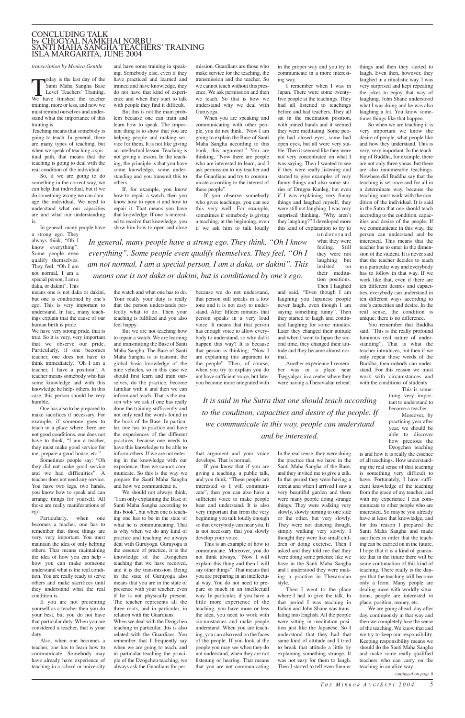*transcription by Monica Gentile*

Today is the last day of the<br>
Santi Maha Sangha Base<br>
Level Teachers' Training.<br>
We have finished the teacher Santi Maha Sangha Base Level Teachers' Training. training, more or less, and now we must remind ourselves and understand what the importance of this training is.

Teaching means that somebody is going to teach. In general, there are many types of teaching, but when we speak of teaching a spiritual path, that means that the teaching is going to deal with the real condition of the individual.

So, if we are going to do something in the correct way, we can help that individual, but if we do something wrong we can damage the individual. We need to understand what our capacities are and what our understanding is.

In general, many people have

a strong ego. They always think, "Oh I know everything". Some people even qualify themselves. They feel, "Oh I am not normal, I am a special person, I am a daka, or dakini". This

means one is not daka or dakini, but one is conditioned by one's ego. This is very important to understand. In fact, many teachings explain that the cause of our human birth is pride.

We have very strong pride, that is true. So it is very, very important that we observe our pride. Particularly, if one becomes teacher, one does not have to think immediately, "Oh I am a teacher, I have a position". A teacher means somebody who has some knowledge and with this knowledge he helps others. In this case, this person should be very humble.

One has also to be prepared to make sacrifices if necessary. For example, if someone goes to teach in a place where there are not good conditions, one does not have to think, "I am a teacher, they must make good service for me, prepare a good house, etc."

Sometimes people say: "Oh they did not make good service and we had difficulties". A teacher does not need any service. You have two legs, two hands, you know how to speak and can arrange things for yourself. All those are really manifestations of ego.

Particularly, when one becomes a teacher, one has to

remember that those things are very, very important. You must maintain the idea of only helping others. That means maintaining the idea of how you can help how you can make someone understand what is the real condition. You are really ready to serve others and make sacrifices until they understand what the real condition is.

If you are not presenting yourself as a teacher then you do your best, but you do not have that particular duty. When you are considered a teacher, that is your duty.

Also, when one becomes a teacher, one has to learn how to communicate. Somebody may have already have experience of teaching in a school or university and have some training in speaking. Somebody else, even if they have practiced and learned and trained and have knowledge, they do not have that kind of experience and when they start to talk with people they find it difficult.

But this is not the main problem because one can train and learn how to speak. The important thing is to show that you are helping people and making service for them. It is not like giving an intellectual lesson. Teaching is not giving a lesson. In the teaching, the principle is that you have some knowledge, some understanding and you transmit this to others.

If, for example, you know how to repair a watch, then you know how to open it and how to repair it. That means you have that knowledge. If one is interested to receive that knowledge, you show him how to open and close

the watch and what one has to do. Your really your duty is really that the person understands perfectly what to do. Then your teaching is fulfilled and you also feel happy.

But we are not teaching how to repair a watch. We are learning and transmitting the Base of Santi Maha Sangha. The Base of Santi Maha Sangha is to transmit the global basic knowledge of the nine vehicles, so in this case we should first learn and train ourselves, do the practice, become familiar with it and then we can inform and teach. That is the reason why we ask if one has really done the training sufficiently and not only read the words found in the book of the Base. In particular, one has to practice and have the experiences of the different practices, because one needs to have this knowledge to be able to inform others. If we are not entering in the knowledge with our experience, then we cannot communicate. So this is the way we prepare the Santi Maha Sangha and how we communicate it.

We should not always think, "I am only explaining the Base of Santi Maha Sangha according to this book", but when one is teaching one has to be in the state of what he is communicating. That is why when we do any kind of practice and teaching we always deal with Guruyoga. Guruyoga is the essence of practice, it is the knowledge of the Dzogchen teaching that we have received, and it is the transmission. Being in the state of Guruyoga also means that you are in the state of presence with your teacher, even if he is not physically present. The teacher represents all the three roots, and in particular, in relation with the Guardians. When we deal with the Dzogchen teaching in particular, this is also related with the Guardians. You remember that I frequently say when we are going to teach, and in particular teaching the principle of the Dzogchen teaching, we always ask the Guardians for permission. Guardians are those who make service for the teaching, the transmission and the teacher. So we cannot teach without this presence. We ask permission and then we teach. So that is how we understand why we deal with Guruyoga.

When you are speaking and communicating with other people, you do not think, "Now I am going to explain the Base of Santi Maha Sangha according to this book, this argument." You are thinking, "Now there are people who are interested to learn, and I ask permission to my teacher and the Guardians and try to communicate according to the interest of these people".

If you observe somebody who gives teachings, you can see this very well. For example, sometimes if somebody is giving a teaching, at the beginning, even if we ask him to talk loudly

because we do not understand, that person still speaks in a low tone and it is not easy to understand. After fifteen minutes that person speaks in a very loud voice. It means that that person has enough voice to allow everybody to understand, so why did it happen this way? It is because that person is thinking; "Now I am explaining this argument to the people". Then, of course, when you try to explain you do not have sufficient voice, but later you become more integrated with

that argument and your voice develops. That is normal.

If you know that if you are giving a teaching, a public talk, and you think, "These people are interested so I will communicate", then you can also have a sufficient voice to make people hear and understand. It is also very important that from the very beginning you talk loudly enough so that everybody can hear you. It

is not necessary that you slowly develop your voice.

This is an example of how to communicate. Moreover, you do not think always, "Now I will explain this thing and then I will say other things". That means that you are preparing in an intellectual way. You do not need to prepare so much in an intellectual way. In particular, if you have a little more experience of the teaching, you have more or less the idea, you need to work with circumstances and make people understand. When you are teaching, you can also read on the faces of the people. If you look at the people you may see when they do not understand, when they are not listening or hearing. That means that you are not communicating

in the proper way and you try to communicate in a more interesting way.

I remember when I was in Japan. There were some twentyfive people at the teachings. They had all listened to teachings before and had teachers. They all sat in the meditation position, with joined hands and it seemed they were meditating. Some people had closed eyes, some had open eyes, but all were very stable. Then it seemed like they were not very concentrated on what I was saying. Then I wanted to see if they were really listening and started to give examples of very funny things and also some stories of Drugpa Kunleg, but even if I was explaining very funny things and laughed myself, they were still not laughing. I was very surprised thinking, "Why aren't they laughing?" I developed more this kind of explanation to try to

> understand what they were feeling. Still they were not laughing but insisted on their meditation positions. Then I laughed

and said, "Even though I am laughing you Japanese people never laugh, even though I am saying something funny". Then they started to laugh and continued laughing for some minutes. Later they changed their attitude and when I went to Japan the second time, they changed their attitude and they became almost normal.

Another experience I remember was in a place near Tsegyalgar, in a center where they were having a Theravadan retreat.

In the real sense, they were doing the practice that we have in the Santi Maha Sangha of the Base, and they invited me to give a talk. In that period they were having a retreat and when I arrived I saw a very beautiful garden and there were many people doing strange things. They were walking very slowly, slowly turning to one side or the other, but very slowly. They were not dancing though, simply walking very slowly. I thought they were like small children or doing exercise. Then I asked and they told me that they were doing some practice like we have in the Santi Maha Sangha and I understood they were making a practice in Theravadan style. Then I went to the place where I had to give the talk. In that period I was teaching in Italian and John Shane was translating into English. All the people were sitting in meditation position just like the Japanese. So I understood that they had that same kind of attitude and I tried to break that attitude a little by explaining something strange. It was not easy for them to laugh. Then I started to tell even funnier

things and then they started to laugh. Even then, however, they laughed in a ritualistic way. I was very surprised and kept repeating the jokes to enjoy that way of laughing. John Shane understood what I was doing and he was also laughing a lot. You know sometimes things like that happen.

So when we are teaching it is very important we know the desire of people, what people like and how they understand. This is very, very important. In the teaching of Buddha, for example, there are not only three yanas, but there are also innumerable teachings. Nowhere did Buddha say that the teaching is set once and for all in a determinate way, because the teaching must work with the condition of the individual. It is said in the Sutra that one should teach according to the condition, capacities and desire of the people. If we communicate in this way, the person can understand and be interested. This means that the teacher has to enter in the dimension of the student. It is never said that the teacher decides to teach in a particular way and everybody has to follow in that way. If we work like that, even if there are ten different desires and capacities, everybody can understand in ten different ways according to one's capacities and desire. In the real sense, the condition is unique; there is no difference.

You remember that Buddha said, "This is the really profound luminous real nature of understanding". That is what the teacher introduces, but then if we only repeat those words of the Buddha, then nobody can understand. For this reason we must work with circumstances and with the conditions of students

> This is something very important to understand to become a teacher.

> Moreover, by practicing year after year, we should be able to discover how precious the Dzogchen teaching

is and how it is really the essence of all teachings. How understanding the real sense of that teaching is something very difficult to have. Fortunately, I have sufficient knowledge of the teaching from the grace of my teacher, and with my experience I can communicate to other people who are interested. So maybe you already have at least that knowledge, and for this reason I prepared the Santi Maha Sangha and made sacrifices in order that the teaching can be carried on in the future. I hope that it is a kind of guarantee that in the future there will be some continuation of this kind of teaching. There really is the danger that the teaching will become only a form. Many people are dealing more with worldly situations; people are interested in place, position, money, etc. We are going ahead, day after day, continuously in that way and then we completely lose the sense of the teaching. We know that and we try to keep our responsibility. Keeping responsibility means we should do the Santi Maha Sangha and make some really qualified teachers who can carry on the teaching in an alive way.

#### CONCLUDING TALK by CHÖGYAL NAMKHAI NORBU SANTI MAHA SANGHA TEACHERS' TRAINING ISLA MARGARITA, JUNE 2004

*In general, many people have a strong ego. They think, "Oh I know everything". Some people even qualify themselves. They feel, "Oh I am not normal, I am a special person, I am a daka, or dakini". This means one is not daka or dakini, but is conditioned by one's ego.*

> *It is said in the Sutra that one should teach according to the condition, capacities and desire of the people. If we communicate in this way, people can understand and be interested.*

> > *continued on page 8*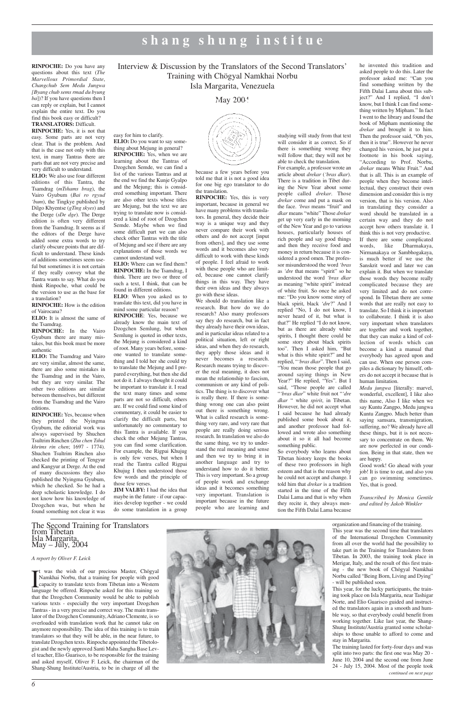## Interview & Discussion by the Translators of the Second Translators' Training with Chögyal Namkhai Norbu Isla Margarita, Venezuela

**Shang-Shung** May 2004 **Insti- tute**



## **shang shung institue**

**RINPOCHE:** Do you have any questions about this text (*The Marvellous Primordial State*, *Changchub Sem Medu Jungwa [Byang chub sems rmad du byung ba*])? If you have questions then I can reply or explain, but I cannot explain the entire text. Do you find this book easy or difficult? **TRANSLATORS:** Difficult.

**RINPOCHE:** Yes, it is not that easy. Some parts are not very clear. That is the problem. And that is the case not only with this text, in many Tantras there are parts that are not very precise and very difficult to understand.

**ELIO:** We also use four different editions of this Tantra, the Tsamdrag (*mTshams brag*), the Vairo Gyubum (*Bai ro rgyud 'bum*), the Tingkye published by Dilgo Khyentse (*gTing skyes*) and the Derge (*sDe dge*). The Derge edition is often very different from the Tsamdrag. It seems as if the editors of the Derge have added some extra words to try clarify obscure points that are difficult to understand. These kinds of additions sometimes seem useful but sometimes it is not certain if they really convey what the Tantra wants to say. What do you think Rinpoche, what could be the version to use as the base for a translation?

**RINPOCHE:** How is the edition of Vairocana?

**ELIO:** It is almost the same of the Tsamdrag.

**ELIO:** Do you want to say something about Mejung in general? **RINPOCHE:** Yes, when we are learning about the Tantras of Dzogchen Semde, we can find a list of the various Tantras and at the end we find the Kunje Gyalpo and the Mejung; this is considered something important. There are also other texts whose titles are Mejung, but the text we are trying to translate now is considered a kind of root of Dzogchen Semde. Maybe when we find some difficult part we can also check other Tantras with the title of Mejung and see if there are any explanations of those words we

**RINPOCHE:** In the Vairo Gyubum there are many mistakes, but this book must be more authentic

**ELIO:** The Tsamdrag and Vairo are very similar, almost the same, there are also some mistakes in the Tsamdrag and in the Vairo, but they are very similar. The other two editions are similar between themselves, but different from the Tsamdrag and the Vairo editions.

**ELIO:** Where can we find them? **RINPOCHE:** In the Tsamdrag, I think. There are two or three of such a text, I think, that can be found in different editions. **ELIO**: When you asked us to translate this text, did you have in mind some particular reason? **RINPOCHE**: Yes, because we already know the main text of Dzogchen Semlung, but when Semlung is quoted in other texts, the Mejung is considered a kind of root. Many years before, someone wanted to translate something and I told her she could try to translate the Mejung and I prepared everything, but then she did not do it. I always thought it could be important to translate it. I read the text many times and some parts are not so difficult, others are. If we could find some kind of commentary, it could be easier to clarify the difficult parts, but unfortunately no commentary to this Tantra is available. If you check the other Mejung Tantras, you can find some clarification. For example, the Rigpai Khujug is only few verses, but when I read the Tantra called Rigpai Khujug I then understood those few words and the principle of

**RINPOCHE:** Yes, because when they printed the Nyingma Gyubum, the editorial work was always supervised by Shuchen Tsultrim Rinchen (*Zhu chen Tshul khrims rin chen*; 1697 - 1774). Shuchen Tsultrim Rinchen also checked the printing of Tengyur and Kangyur at Derge. At the end of many discussions they also published the Nyingma Gyubum, which he checked. So he had a deep scholastic knowledge. I do not know how his knowledge of Dzogchen was, but when he found something not clear it was

easy for him to clarify.

cannot understand well.

those few verses.

**JIM VALBY:** I had the idea that maybe in the future - if our capacities develop together - we could do some translation in a group

because a few years before you told me that it is not a good idea for one big ego translator to do the translation.

**RINPOCHE:** Yes, this is very important, because in general we have many problems with translators. In general, they decide their way is a unique way and they never compare their work with others and do not accept [input from others], and they use some words and it becomes also very difficult to work with these kinds of people. I feel afraid to work with these people who are limited, because one cannot clarify things in this way. They have their own ideas and they always go with these ideas.

from Tibetan Isla Margarita, May – July, 2004

We should do translation like a research. But how do we do research? Also many professors say they do research, but in fact they already have their own ideas, and in particular ideas related to a political situation, left or right ideas, and when they do research, they apply those ideas and it never becomes a research. Research means trying to discover the real meaning, it does not mean the relationship to fascism, communism or any kind of politics. The thing is to discover what is really there. If there is something wrong one can also point out there is something wrong. What is called research is something very rare, and very rare that people are really doing serious research. In translation we also do the same thing, we try to understand the real meaning and sense and then we try to bring it in another language and try to understand how to do it better. This is very important. So a group of people work and exchange ideas and it becomes something very important. Translation is important because in the future people who are learning and

I was the wish of our precious Master, Chögyal Namkhai Norbu, that a training for people with good capacity to translate texts from Tibetan into a Western language be offered. Rinpoche asked for this training so was the wish of our precious Master, Chögyal Namkhai Norbu, that a training for people with good capacity to translate texts from Tibetan into a Western that the Dzogchen Community would be able to publish various texts - especially the very important Dzogchen Tantras - in a very precise and correct way. The main translator of the Dzogchen Community, Adriano Clemente, is so overloaded with translation work that he cannot take on anymore responsibility. The idea of this training is to train translators so that they will be able, in the near future, to translate Dzogchen texts. Rinpoche appointed the Tibetologist and the newly approved Santi Maha Sangha Base Level teacher, Elio Guarisco, to be responsible for the training and asked myself, Oliver F. Leick, the chairman of the Shang-Shung Institute/Austria, to be in charge of all the



studying will study from that text will consider it as correct. So if there is something wrong they will follow that; they will not be able to check the translation.

For example, a professor wrote an article about *drekar* (*'bras dkar*). There is a tradition in Tibet during the New Year about some people called *drekar*. Those *drekar* come and put a mask on the face. *'bras* means "fruit" and *dkar* means "white" Those *drekar* get up very early in the morning of the New Year and go to various houses, particularly houses of rich people and say good things and then they receive food and money in return because it is considered a good omen. The professor misunderstood the word *'bras* as *'dre* that means "spirit" so he understood the word *'bras dkar* as meaning "white spirit" instead of white fruit. So once he asked me: "Do you know some story of black spirit, black *'dre*?" And I replied "No, I do not know, I never heard of it, but what is that?" He replied "I do not know, but as there are already white spirits, I thought there could be some story about black spirits too". Then I asked him, "But what is this white spirit?" and he replied, "*'bras dkar*". Then I said, "You mean those people that go around saying things in New Year?" He replied, "Yes". But I said, "Those people are called "*'bras dkar*" white fruit not "*'dre dkar* " white *spirit*, in Tibetan. However, he did not accept what I said because he had already published some book about it, and another professor had followed and wrote also something about it so it all had become something public.

So everybody who learns about Tibetan history keeps the books of these two professors in high esteem and that is the reason why he could not accept and change. I told him that *drekar* is a tradition started in the time of the Fifth Dalai Lama and that is why when they recite it, they always mention the Fifth Dalai Lama because

he invented this tradition and asked people to do this. Later the professor asked me: "Can you find something written by the Fifth Dalai Lama about this subject?" And I replied, "I don't know, but I think I can find something written by Mipham." In fact I went to the library and found the book of Mipham mentioning the *drekar* and brought it to him. Then the professor said, "Oh yes, then it is true". However he never changed his version, he just put a footnote in his book saying, "According to Prof. Norbu, *drekar* means White Fruit." And that is all. This is an example of people when they become intellectual, they construct their own dimension and consider this is my version, that is his version. Also in translating they consider a word should be translated in a certain way and they do not accept how others translate it. I think this is not very productive.

If there are some complicated words, like Dharmakaya, Nirmanakaya or Sambhogakaya, is much better if we use the Sanskrit word and later we can explain it. But when we translate those words they become really complicated because they are very limited and do not correspond. In Tibetan there are some words that are really not easy to translate. So I think it is important to collaborate. I think it is also very important when translators are together and work together, that they can make a kind of collection of words which can become a kind a manual that everybody has agreed upon and can use. When one person compiles a dictionary by himself, others do not accept it because that is human limitation.

*Medu jungwa* [literally: marvel, wonderful, excellent], I like also this name, Also I like when we say Kuntu Zangpo, Medu jungwa Kuntu Zangpo. Much better than saying samsara, transmigration, suffering, no? We already have all these things, but it is not necessary to concentrate on them. We are now perfected in our condition. Being in that state, then we are happy.

Good work! Go ahead with your job! It is time to eat, and also you can go swimming sometimes. Yes, that is good.

*Transcribed by Monica Gentile and edited by Jakob Winkler*

The Second Training for Translators

*A report by Oliver F. Leick*

This year was the second time that translators of the International Dzogchen Community from all over the world had the possibility to take part in the Training for Translators from Tibetan. In 2003, the training took place in Merigar, Italy, and the result of this first training - the new book of Chögyal Namkhai Norbu called "Being Born, Living and Dying" - will be published soon.

This year, for the lucky participants, the training took place on Isla Margarita, near Tashigar Norte, and Elio Guarisco guided and instructed the translators again in a smooth and humble way, so that everybody could benefit from working together. Like last year, the Shang-Shung Institute/Austria granted some scholarships to those unable to afford to come and stay in Margarita.

The training lasted for forty-four days and was split into two parts: the first one was May 20 - June 10, 2004 and the second one from June 24 - July 15, 2004. Most of the people took *continued on next page*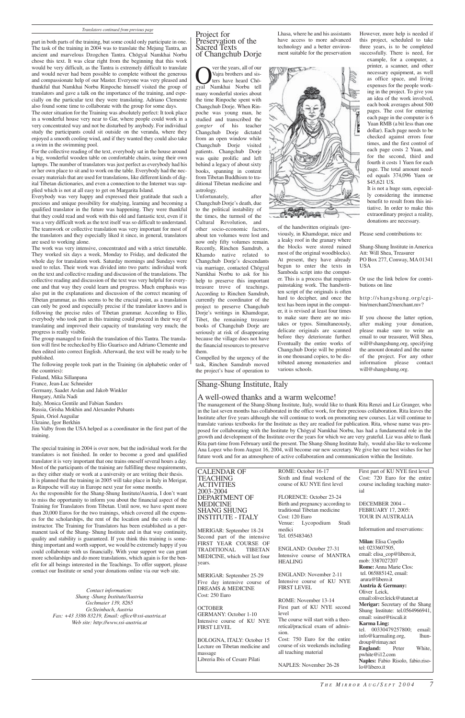2003-2004

MERIGAR: September 18-24 Second part of the intensive FIRST YEAR COURSE OF TRADITIONAL TIBETAN MEDICINE, which will last four years.

**OCTOBER** GERMANY: October 1-10 Intensive course of KU NYE FIRST LEVEL

MERIGAR: September 25-29 Five day intensive course of DREAMS & MEDICINE Cost: 250 Euro

BOLOGNA, ITALY: October 15 Lecture on Tibetan medicine and massage

Libreria Ibis of Cesare Pilati

CALENDAR OF TEACHING ACTIVITIES DEPARTMENT OF MEDICINE SHANG SHUNG INSTITUTE - ITALY ROME: October 16-17 Sixth and final weekend of the course of KU NYE first level FLORENCE: October 23-24 Birth and pregnancy according to traditional Tibetan medicine Cost: 120 Euro Venue: Lycopodium Studi First part of KU NYE first level Cost: 720 Euro for the entire course including teaching material DECEMBER 2004 – FEBRUARY 17, 2005: TOUR IN AUSTRALIA

> medici Tel. 055483463

ENGLAND: October 27-31 Intensive course of MANTRA HEALING

ENGLAND: November 2-11 Intensive course of KU NYE FIRST LEVEL

ROME: November 13-14 First part of KU NYE second level

The course will start with a theoretical/practical exam of admission.

Cost: 750 Euro for the entire course of six weekends including all teaching material

NAPLES: November 26-28

**Over the years, all of our**<br>
Vajra brothers and sis-<br>
ters have heard Chö-<br>
Sigyal Namkhai Norbu tell Vajra brothers and sisters have heard Chömany wonderful stories about the time Rinpoche spent with Changchub Dorje. When Rinpoche was young man, he studied and transcribed the *gongter* of his teacher Changchub Dorje dictated from an open window while Changchub Dorje visited patients. Changchub Dorie was quite prolific and left behind a legacy of about sixty books, spanning in content from Tibetan Buddhism to traditional Tibetan medicine and astrology.

Unfortunately, after Changchub Dorje's death, due to the political instability of the times, the turmoil of the Cultural Revolution, and

Information and reservations:

**Milan**: Elisa Copello tel: 0233607505, email: elisa\_cop@libero.it, mob: 3387027207 **Rome:** Anna Marie Clos: tel. 065885142, email: arura@libero.it **Austria & Germany:** Oliver Leick, email:oliver.leick@utanet.at **Merigar:** Secretary of the Shang Shung Institute: tel.0564966941, email: ssinst@tiscali.it **Karma Ling:** tel. 00330479257800; email: info@karmaling.org, lhundroup@rimay.net **England:** Peter White, pwhite@i12.com **Naples:** Fabio Risolo, fabio.risolo@libero.it

#### Project for Preservation of the Sacred Texts of Changchub Dorje

other socio-economic factors, about ten volumes were lost and now only fifty volumes remain. Recently, Rinchen Samdrub, a Khamdo native related to Changchub Dorje's descendants via marriage, contacted Chögyal Namkhai Norbu to ask for his help to preserve this important treasure trove of teachings. According to Rinchen Samdrub, currently the coordinator of the project to preserve Changchub Dorje's writings in Khamdogar, Tibet, the remaining treasure books of Changchub Dorje are seriously at risk of disappearing because the village does not have the financial resources to preserve them.

Compelled by the urgency of the task, Rinchen Samdrub moved the project's base of operation to Lhasa, where he and his assistants have access to more advanced technology and a better environment suitable for the preservation

of the handwritten originals (previously, in Khamdogar, mice and a leaky roof in the granary where the blocks were stored ruined most of the original woodblocks). At present, they have already begun to enter the texts in Samboda script into the computer. This is a process that requires painstaking work. The handwritten script of the originals is often hard to decipher, and once the text has been input in the computer, it is revised at least four times to make sure there are no mistakes or typos. Simultaneously, delicate originals are scanned before they deteriorate further. Eventually the entire works of Changchub Dorje will be printed in one thousand copies, to be distributed among monasteries and

various schools.

However, more help is needed if this project, scheduled to take three years, is to be completed successfully. There is need, for

example, for a computer, a printer, a scanner, and other necessary equipment, as well as office space, and living expenses for the people working in the project. To give you an idea of the work involved, each book averages about 500 pages. The cost for entering each page in the computer is 6 Yuan RMB (a bit less than one dollar). Each page needs to be checked against errors four times, and the first control of each page costs 2 Yuan, and for the second, third and fourth it costs 1 Yuen for each page. The total amount needed equals 374,096 Yuen or \$45,621 US.

It is not a huge sum, especially considering the immense benefit to result from this initiative. In order to make this extraordinary project a reality, donations are necessary.

Please send contributions to:

Shang-Shung Institute in America Att: Will Shea, Treasurer PO Box 277, Conway, MA 01341 USA

Or use the link below for contributions on line

http://shangshung.org/cgibin/merchant2/merchant.mv?

If you choose the latter option, after making your donation, please make sure to write an email to our treasurer, Will Shea, will@shangshung.org, specifying the amount donated and the name of the project. For any other information please contact will@shangshung.org.



part in both parts of the training, but some could only participate in one. The task of the training in 2004 was to translate the Mejung Tantra, an ancient and marvelous Dzogchen Tantra. Chögyal Namkhai Norbu chose this text. It was clear right from the beginning that this work would be very difficult, as the Tantra is extremely difficult to translate and would never had been possible to complete without the generous and compassionate help of our Master. Everyone was very pleased and thankful that Namkhai Norbu Rinpoche himself visited the group of translators and gave a talk on the importance of the training, and especially on the particular text they were translating. Adriano Clemente also found some time to collaborate with the group for some days.

The outer situation for the Training was absolutely perfect: It took place in a wonderful house very near to Gar, where people could work in a very concentrated way and not be disturbed by anybody. For individual study the participants could sit outside on the veranda, where they enjoyed a smooth cooling wind, and if they wanted they could also take a swim in the swimming pool.

For the collective reading of the text, everybody sat in the house around a big, wonderful wooden table on comfortable chairs, using their own laptops. The number of translators was just perfect as everybody had his or her own place to sit and to work on the table. Everybody had the necessary materials that are used for translations, like different kinds of digital Tibetan dictionaries, and even a connection to the Internet was supplied which is not at all easy to get on Margarita Island.

Everybody was very happy and expressed their gratitude that such a precious and unique possibility for studying, learning and becoming a qualified translator in the future was happening. They were thankful that they could read and work with this old and fantastic text, even if it was a very difficult work as the text itself was so difficult to understand. The teamwork or collective translation was very important for most of the translators and they especially liked it since, in general, translators are used to working alone.

The work was very intensive, concentrated and with a strict timetable. They worked six days a week, Monday to Friday, and dedicated the whole day for translation work. Saturday mornings and Sundays were used to relax. Their work was divided into two parts: individual work on the text and collective reading and discussion of the translations. The collective reading and discussion of the text was very helpful for everyone and that way they could learn and progress. Much emphasis was also put in the explanations and discussion of the correct meaning of Tibetan grammar, as this seems to be the crucial point, as a translation can only be good and especially precise if the translator knows and is following the precise rules of Tibetan grammar. According to Elio, everybody who took part in this training could proceed in their way of translating and improved their capacity of translating very much; the progress is really visible.

The group managed to finish the translation of this Tantra. The translation will first be rechecked by Elio Guarisco and Adriano Clemente and then edited into correct English. Afterward, the text will be ready to be published.

The following people took part in the Training (in alphabetic order of the countries):

Finland, Mika Sillanpana

France, Jean-Luc Schneider

Germany, Saadet Arslan and Jakob Winkler

Hungary, Attila Nadi

Italy, Monica Gentile and Fabian Sanders

Russia, Grisha Mokhin and Alexander Pubants

Spain, Oriol Auguilar

Ukraine, Igor Berkhin

Jim Valby from the USA helped as a coordinator in the first part of the training.

The special training in 2004 is over now, but the individual work for the translators is not finished. In order to become a good and qualified translator it is very important that one trains oneself several hours a day. Most of the participants of the training are fulfilling these requirements, as they either study or work at a university or are writing their thesis. It is planned that the training in 2005 will take place in Italy in Merigar, as Rinpoche will stay in Europe next year for some months.

As the responsible for the Shang-Shung Institute/Austria, I don't want to miss the opportunity to inform you about the financial aspect of the Training for Translators from Tibetan. Until now, we have spent more than 20,000 Euros for the two trainings, which covered all the expenses for the scholarships, the rent of the location and the costs of the instructor. The Training for Translators has been established as a permanent task of the Shang- Shung Institute and in that way continuity, quality and stability is guaranteed. If you think this training is something important and worth support, we would be extremely happy if you could collaborate with us financially. With your support we can grant more scholarships and do more translations, which again is for the benefit for all beings interested in the Teachings. To offer support, please contact our Institute or send your donations online via our web site.

> *Contact information: Shang -Shung Institute/Austria Gschmaier 139, 8265 Gr.Steinbach, Austria Fax: +43 3386 83219, Email: office@ssi-austria.at Web site: http://www.ssi-austria.at*

### Shang-Shung Institute, Italy

### A well-owed thanks and a warm welcome!

The management of the Shang-Shung Institute, Italy, would like to thank Rita Renzi and Liz Granger, who in the last seven months has collaborated in the office work, for their precious collaboration. Rita leaves the Institute after five years although she will continue to work on promoting new courses. Liz will continue to translate various textbooks for the Institute as they are readied for publication. Rita, whose name was proposed for collaborating with the Institute by Chögyal Namkhai Norbu, has had a fundamental role in the growth and development of the Institute over the years for which we are very grateful. Liz was able to flank Rita part-time from February until the present. The Shang-Shung Institute Italy, would also like to welcome Ana Lopez who from August 16, 2004, will become our new secretary. We give her our best wishes for her future work and for an atmosphere of active collaboration and communication within the Institute.

#### *Translators continued from previous page*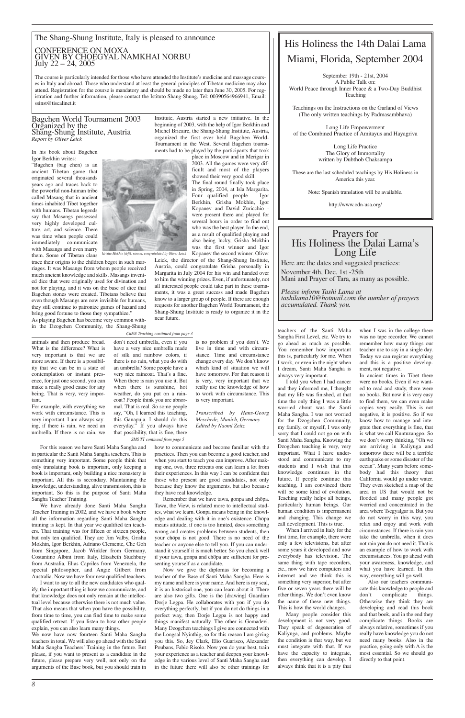#### Bagchen World Tournament 2003 Organized by the Shang-Shung Institute, Austria *Report by Oliver Leick*

In his book about Bagchen Igor Berkhin writes:

"Bagchen (bag chen) is an ancient Tibetan game that originated several thousands years ago and traces back to the powerful non-human tribe called Masang that in ancient times inhabited Tibet together with humans. Tibetan legends say that Masangs possessed very highly developed culture, art, and science. There was time when people could immediately communicate with Masangs and even marry them. Some of Tibetan clans

trace their origins to the children begot in such marriages. It was Masangs from whom people received much ancient knowledge and skills. Masangs invented dice that were originally used for divination and not for playing, and it was on the base of dice that Bagchen stones were created. Tibetans believe that even though Masangs are now invisible for humans, they still continue to patronize games of hazard and bring good fortune to those they sympathize."

As playing Bagchen has become very common within the Dzogchen Community, the Shang-Shung Institute, Austria started a new initiative. In the beginning of 2003, with the help of Igor Berkhin and Michel Bricaire, the Shang-Shung Institute, Austria, organized the first ever held Bagchen World-Tournament in the West. Several Bagchen tournaments had to be played by the participants that took

> place in Moscow and in Merigar in 2003. All the games were very difficult and most of the players showed their very good skill.

The final round finally took place in Spring, 2004, at Isla Margarita. Four qualified people - Igor Berkhin, Grisha Mokhin, Igor Kopanev and David Zuricchio were present there and played for several hours in order to find out who was the best player. In the end, as a result of qualified playing and also being lucky, Grisha Mokhin was the first winner and Igor Kopanev the second winner. Oliver

## Prayers for<br>His Holiness the Dalai Lama's Long Life

Leick, the director of the Shang-Shung Institute, Austria, could congratulate Grisha personally in Margarita in July 2004 for his win and handed over to him the winning prizes. Even, if unfortunately, not all interested people could take part in these tournaments, it was a great success and made Bagchen know to a larger group of people. If there are enough

requests for another Bagchen World Tournament, the Shang-Shung Institute is ready to organize it in the

near future.

## The Shang-Shung Institute, Italy is pleased to announce CONFERENCE ON MOXA GIVEN BY CHOEGYAL NAMKHAI NORBU July 22 – 24, 2005

The course is particularly intended for those who have attended the Institute's medicine and massage courses in Italy and abroad. Those who understand at least the general principles of Tibetan medicine may also attend. Registration for the course is mandatory and should be made no later than June 30, 2005. For registration and further information, please contact the Istituto Shang-Shung, Tel: 00390564966941, Email: ssinst@tiscalinet.it

## His Holiness the 14th Dalai Lama Miami, Florida, September 2004

September 19th - 21st, 2004 A Public Talk on: World Peace through Inner Peace & a Two-Day Buddhist Teaching

Teachings on the Instructions on the Garland of Views (The only written teachings by Padmasambhava)

Long Life Empowerment of the Combined Practice of Amitayus and Hayagriva

> Long Life Practice The Glory of Immortality written by Dubthob Chaksampa

These are the last scheduled teachings by His Holiness in America this year.

Note: Spanish translation will be available.

http://www.odn-usa.org/

Here are the dates and suggested practices: November 4th, Dec. 1st -25th Mani and Prayer of Tara, as many as possible.

*Please inform Tashi Lama at tashilama10@hotmail.com the number of prayers accumulated. Thank you.*



animals and then produce bread. What is the difference? What is very important is that we are more aware. If there is a possibility that we can be in a state of contemplation or instant presence, for just one second, you can make a really good cause for any being. That is very, very important.

For example, with everything we work with circumstance. This is very important. I am always saying, if there is rain, we need an umbrella. If there is no rain, we is no problem if you don't. We live in time and with circumstance. Time and circumstance change every day. We don't know which kind of situation we will have tomorrow. For that reason it is very, very important that we really use the knowledge of how to work with circumstance. This is very important.

*Transcribed by Hans-Georg Meschede, Munich, Germany Edited by Naomi Zeitz*

For this reason we have Santi Maha Sangha and in particular the Santi Maha Sangha teachers. This is something very important. Some people think that only translating book is important, only keeping a book is important, only building a nice monastery is important. All this is secondary. Maintaining the knowledge, understanding, alive transmission, this is important. So this is the purpose of Santi Maha Sangha Teacher Training.

We have already done Santi Maha Sangha Teacher Training in 2002, and we have a book where all the information regarding Santi Maha Sangha training is kept. In that year we qualified ten teachers. That training was for fifteen or sixteen people, but only ten qualified. They are Jim Valby, Grisha Mokhin, Igor Berkhin, Adriano Clemente, Che Goh from Singapore, Jacob Winkler from Germany, Costantino Albini from Italy, Elisabeth Stuchbury from Australia, Elias Capriles from Venezuela, the special philosopher, and Angie Gilbert from Australia. Now we have four new qualified teachers. I want to say to all the new candidates who qualify, the important thing is how we communicate, and that knowledge does not only remain at the intellectual level because otherwise there is not much value. That also means that when you have the possibility, from time to time, you can find time to make some qualified retreat. If you listen to how other people explain, you can also learn many things. We now have now fourteen Santi Maha Sangha teachers in total. We will also go ahead with the Santi Maha Sangha Teachers' Training in the future. But please, if you want to present as a candidate in the future, please prepare very well, not only on the arguments of the Base book, but you should train in

how to communicate and become familiar with the practices. Then you can become a good teacher, and when you start to teach you can improve. After making one, two, three retreats one can learn a lot from their experiences. In this way I can be confident that those who present are good candidates, not only because they know the arguments, but also because they have real knowledge.

Remember that we have tawa, gonpa and chöpa. Tawa, the View, is related more to intellectual studies, what we learn. Gonpa means being in the knowledge and dealing with it in one's existence. Chöpa means attitude, if one is too limited, does something wrong and creates problems between students, then your chöpa is not good. There is no need of the teacher or anyone else to tell you. If you can understand it yourself it is much better. So you check well if your tawa, gonpa and chöpa are sufficient for presenting yourself as a candidate. Now we give the diplomas for becoming a teacher of the Base of Santi Maha Sangha. Here is my name and here is your name. And here is my seal, it is an historical one, you can learn about it. There are also two gifts. One is the [drawing] Guardian Dorje Legpa. He collaborates with you if you do everything perfectly, but if you do not do things in a perfect way, then Dorje Legpa is not happy and things manifest naturally. The other is Gomadevi. Many Dzogchen teachings I give are connected with the Longsal Nyinthig, so for this reason I am giving you this. So, Jey Clark, Elio Guarisco, Alexander Poubans, Fabio Risolo. Now you do your best, train your experience as a teacher and deepen your knowledge in the various level of Santi Maha Sangha and in the future there will also be other trainings for

don't need umbrella, even if you have a very nice umbrella made of silk and rainbow colors, if there is no rain, what you do with an umbrella? Some people have a very nice raincoat. That's a fine. When there is rain you use it. But when there is sunshine, hot weather, do you put on a raincoat? People think you are abnormal. That is real. So some people say, "Oh, I learned this teaching, this Ganapuja. I should do this everyday." If you always have that possibility, that is fine, there *SMS TT continued from page 5*

teachers of the Santi Maha Sangha First Level, etc. We try to go ahead as much as possible. You remember how important this is, particularly for me. When I work, or even in the night when I dream, Santi Maha Sangha is always very important.

I told you when I had cancer and they informed me, I thought that my life was finished, at that time the only thing I was a little worried about was the Santi Maha Sangha. I was not worried for the Dzogchen Community, my family, or myself, I was only sorry that I could not go on with Santi Maha Sangha. Knowing the Dzogchen teaching is very, very important. What I have understood and communicate to my students and I wish that this knowledge continues in the future. If people continue this teaching, I am convinced there will be some kind of evolution. Teaching really helps all beings, particularly human beings. Our human condition is impermanent and changing. This change we call development. This is true.

When I arrived in Italy for the first time, for example, there were only a few televisions, but after some years it developed and now everybody has television. The same thing with tape recorders, etc., now we have computers and internet and we think this is something very superior, but after five or seven years there will be other things. We don't even know the name of these new things. This is how the world changes.

Many people consider this development is not very good. They speak of degeneration of Kaliyuga, and problems. Maybe the condition is that way, but we must integrate with that. If we have the capacity to integrate, then everything can develop. I always think that it is a pity that

when I was in the college there was no tape recorder. We cannot remember how many things our teacher use to say in a single day. Today we can register everything and this is a positive development, not negative.

In ancient times in Tibet there were no books. Even if we wanted to read and study, there were no books. But now it is very easy to find them, we can even make copies very easily. This is not negative, it is positive. So if we know how to manage and integrate then everything is fine, that is what we call Kuntuzangpo. So we don't worry thinking, "Oh we are arriving in Kaliyuga and tomorrow there will be a terrible earthquake or some disaster of the ocean". Many years before somebody had this theory that California would go under water. They even sketched a map of the area in US that would not be flooded and many people got worried and concentrated in the area where Tsegyalgar is. But you do not worry in this way, you relax and enjoy and work with circumstances. If there is rain you take the umbrella, when it does not rain you do not need it. That is an example of how to work with circumstances. You go ahead with your awareness, knowledge, and what you have learned. In this way, everything will go well. Also our teachers communicate this knowledge to people and don't complicate things. Otherwise they think they are developing and read this book and that book, and in the end they complicate things. Books are always relative, sometimes if you really have knowledge you do not need many books. Also in the practice, going only with A is the most essential. So we should go directly to that point.

*ChNN Teaching continued from page 3*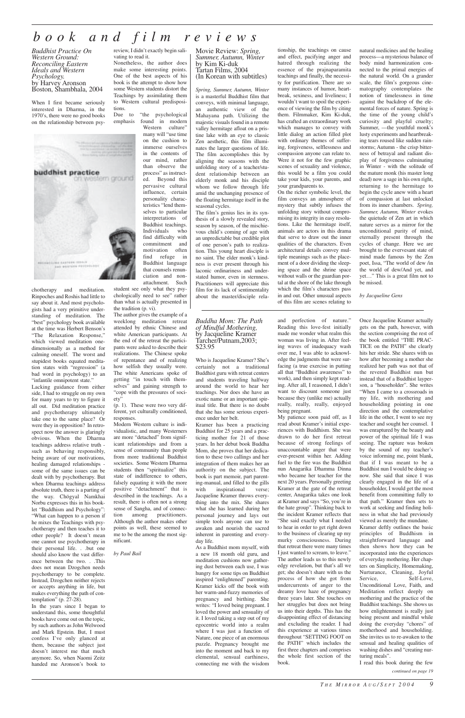## *book and film reviews*

*Buddhist Practice On Western Ground: Reconciling Eastern Ideals and Western Psychology.* by Harvey Aronson Boston, Shambhala, 2004

When I first became seriously interested in Dharma, in the 1970's, there were no good books on the relationship between psy-



chotherapy and meditation. Rinpoches and Roshis had little to say about it. And most psychologists had a very primitive understanding of meditation. The "best" psychology book available at the time was Herbert Benson's "The Relaxation Response," which viewed meditation onedimensionally as a method for calming oneself. The worst and stupidest books equated meditation states with "regression" (a bad word in psychology) to an "infantile omnipotent state."

Due to "the psychological emphasis found in modern

Lacking guidance from either side, I had to struggle on my own for many years to try to figure it all out. Did meditation practice and psychotherapy ultimately take one to the same place? Or were they in opposition? In retrospect now the answer is glaringly obvious. When the Dharma teachings address relative truth such as behaving responsibly, being aware of our motivations, healing damaged relationships some of the same issues can be dealt with by psychotherapy. But when Dharma teachings address absolute truth, there is a parting of the way. Chögyal Namkhai Norbu expresses this in his booklet "Buddhism and Psychology": "What can happen to a person if he mixes the Teachings with psychotherapy and then teaches it to other people? It doesn't mean one cannot use psychotherapy in their personal life. . .but one should also know the vast difference between the two. . .This does not mean Dzogchen needs psychotherapy to be complete. Instead, Dzogchen neither rejects or accepts anything in life, but makes everything the path of contemplation" (p. 27-28). In the years since I began to understand this, some thoughtful books have come out on the topic, by such authors as John Welwood and Mark Epstein. But, I must confess I've only glanced at them, because the subject just doesn't interest me that much anymore. So, when Naomi Zeitz handed me Aronson's book to

Western culture" many will "use time on the cushion to immerse ourselves in the contents of our mind, rather than observe the process" as instructed. Beyond this pervasive cultural influence, certain personality characteristics "lend themselves to particular interpretations of Buddhist teachings. Individuals who find difficulty with commitment and motivation often find refuge in Buddhist language that counsels renunciation and nonattachment. Such

review, I didn't exactly begin salivating to read it.

Nonetheless, the author does make some interesting points. One of the best aspects of his book is the attempt to show how some Western students distort the Teachings by assimilating them to Western cultural predispositions.

student see only what they psychologically need to see" rather than what is actually presented in the tradition (p. vi).

The author gives the example of a weeklong meditation retreat attended by ethnic Chinese and white American participants. At the end of the retreat the participants were asked to describe their realizations. The Chinese spoke of repentance and of realizing how selfish they usually were. The white Americans spoke of getting "in touch with themselves" and gaining strength to "cope with the pressures of society"

(p. 1). These were two very different, yet culturally conditioned, responses.

Modern Western culture is individualistic, and many Westerners are more "detached" from significant relationships and from a sense of community than people from more traditional Buddhist societies. Some Western Dharma students then "spiritualize" this state of indifference to others, falsely equating it with the more positive "detachment" that is described in the teachings. As a result, there is often not a strong sense of Sangha, and of connection among practitioners. Although the author makes other points as well, these seemed to me to be the among the most significant.

*by Paul Bail*

Movie Review: *Spring, Summer, Autumn, Winter* by Kim Ki-duk Tartan Films, 2004 (In Korean with subtitles)

*Spring, Summer, Autumn, Winter* is a masterful Buddhist film that conveys, with minimal language, an authentic view of the Mahayana path. Utilizing the majestic visuals found in a remote valley hermitage afloat on a pristine lake with an eye to classic Zen aesthetic, this film illuminates the larger questions of life. The film accomplishes this by aligning the seasons with the unfolding story of a teacher/student relationship between an elderly monk and his disciple whom we follow through life amid the unchanging presence of the floating hermitage itself in the seasonal cycles.

The film's genius lies in its synthesis of a slowly revealed story, season by season, of the mischievous child's coming of age with an unpredictable but credible plot of one person's path to realization. This young heart disciple is no saint. The elder monk's kindness is ever present through his laconic ordinariness and understated humor, even in sternness. Practitioners will appreciate this film for its lack of sentimentality about the master/disciple relationship, the teachings on cause and effect, pacifying anger and hatred through realizing the essence of the prajnaparamita teachings and finally, the necessity for purification. There are so many instances of humor, heartbreak, sexiness, and liveliness; I wouldn't want to spoil the experience of viewing the film by citing them. Filmmaker, Kim Ki-duk, has crafted an extraordinary work which manages to convey with little dialog an action filled plot with ordinary themes of suffering, forgiveness, selflessness and compassion anyone can relate to. Were it not for the few graphic scenes of sexuality and violence, this would be a film you could take your kids, your parents, and your grandparents to.

On the richer symbolic level, the film conveys an atmosphere of mystery that subtly infuses the unfolding story without compromising its integrity in easy resolutions. Like the hermitage itself, animals are actors in this drama that serve to draw out the inner qualities of the characters. Even architectural details convey multiple meanings such as the placement of a door dividing the sleeping space and the shrine space without walls or the guardian portal at the shore of the lake through which the film's characters pass in and out. Other unusual aspects of this film are scenes relating to

> Kramer deftly outlines the basi principles of Buddhism in straightforward language and then shows how they can be incorporated into the experiences of everyday mothering. Her chapters on Simplicity, Homemaking, Nurturance, Cleaning, Joyful Service, Self-Love, Unconditional Love, Faith, and Meditation reflect deeply on mothering and the practice of the Buddhist teachings. She shows us how enlightenment is really just being present and mindful while doing the everyday "chores" of motherhood and householding. She invites us to re-awaken to the sensual and healing qualities of washing dishes and "creating nurturing meals".

> natural medicines and the healing process—a mysterious balance of body mind harmonization connected to the primal energies of the natural world. On a grander scale, the film's gorgeous cinematography contemplates the

notion of timelessness in time against the backdrop of the elemental forces of nature. Spring is the time of the young child's curiosity and playful cruelty; Summer, —the youthful monk's lusty experiments and heartbreaking tears roused like sudden rainstorms; Autumn - the crisp bitterness of betrayal and radiant display of forgiveness culminating in Winter - with the solitude of the mature monk (his master long dead) now a sage in his own right, returning to the hermitage to begin the cycle anew with a heart of compassion at last unlocked from its inner chambers. *Spring, Summer, Autumn, Winter* evokes the quietude of Zen art in which nature serves as a mirror for the unconditional purity of mind, eternally present through the cycles of change. Here we are brought to the evervesant state of mind made famous by the Zen poet, Issa, "The world of dew /in

the world of dew/And yet, and yet…" This is a great film not to

be missed.

*by Jacqueline Gens*

#### *Buddha Mom: The Path of Mindful Mothering,* by Jacqueline Kramer Tarcher/Putnam,2003; \$23.95

Who is Jacqueline Kramer? She's certainly not a traditional Buddhist guru with retreat centers and students traveling halfway around the world to hear her teachings. Nor does she have an exotic name or an important spiritual title. But there is no doubt that she has some serious experience under her belt.

Kramer has been a practicing Buddhist for 25 years and a practicing mother for 21 of those years. In her debut book Buddha Mom, she proves that her dedication to these two callings and her integration of them makes her an authority on the subject. The book is part memoir, part parenting-manual, and filled to the gills with inspirational verse; Jacqueline Kramer throws everything into the mix. She shares what she has learned during her personal journey and lays out simple tools anyone can use to awaken and nourish the sacred inherent in parenting and everyday life. As a Buddhist mom myself, with a new 18 month old guru, and meditation cushions now gathering dust between each use, I was hungry for some tips on Buddhist inspired "enlightened" parenting. Kramer kicks off the book with her warm-and-fuzzy memories of pregnancy and birthing. She writes: "I loved being pregnant. I loved the power and sensuality of it. I loved taking a step out of my egocentric world into a realm where I was just a function of Nature, one piece of an enormous puzzle. Pregnancy brought me into the moment and back to my elemental, sensual earthiness, connecting me with the wisdom

and perfection of nature." Reading this love-fest initially made me wonder what realm this woman was living in. After feeling waves of inadequacy wash over me, I was able to acknowledge the judgments that were surfacing (a true exercise in putting all that "Buddhist awareness" to work), and then simply kept reading. After all, I reasoned, I didn't want to discount someone just because they (unlike me) actually really, really, really, enjoyed being pregnant.

My patience soon paid off, as I read about Kramer's initial experiences with Buddhism. She was drawn to do her first retreat because of strong feelings of unaccountable anger that were ever-present within her. Adding fuel to the fire was the Buddhist nun Anagarika Dhamma Dinna who became her teacher for the next 20 years. Personally greeting Kramer at the gate of the retreat center, Anagarika takes one look at Kramer and says "So, you're in the hate group". Thinking back to the incident Kramer reflects that "She said exactly what I needed to hear in order to get right down to the business of clearing up my murky consciousness. During that retreat there were many times I just wanted to scream, to leave." The author leads us to this newly edgy revelation, but that's all we get; she doesn't share with us the process of how she got from undercurrents of anger to the dreamy love haze of pregnancy three years later. She touches on her struggles but does not bring us into their depths. This has the disappointing effect of distancing and excluding the reader. I had this experience at various times throughout "SETTING FOOT on the PATH" which includes the first three chapters and comprises the whole first section of the book.

Once Jacqueline Kramer actually gets on the path, however, with the section comprising the rest of the book entitled "THE PRAC-TICE on the PATH" she clearly hits her stride. She shares with us how after becoming a mother she realized her path was not that of the revered Buddhist nun but instead that of a Buddhist layperson, a "householder". She writes "When I came to a crossroads in my life, with mothering and householding pointing in one direction and the contemplative life in the other, I went to see my teacher and sought her counsel. I was enraptured by the beauty and power of the spiritual life I was seeing. The rapture was broken by the sound of my teacher's voice informing me, point blank, that if I was meant to be a Buddhist nun I would be doing so now. She said that since I was clearly engaged in the life of a householder, I would get the most benefit from committing fully to that path." Kramer then sets to work at seeking and finding holiness in what she had previously viewed as merely the mundane.

I read this book during the few

*continued on page 19*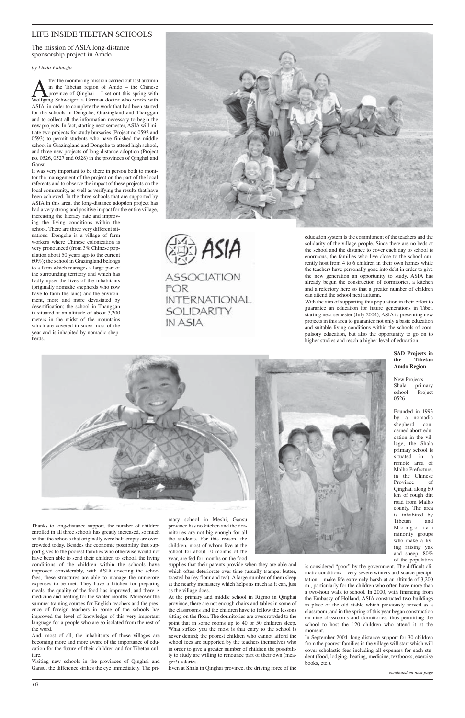## LIFE INSIDE TIBETAN SCHOOLS

### The mission of ASIA long-distance sponsorship project in Amdo

#### *by Linda Fidanzia*

**A** fter the monitoring mission carried out last autumn<br>in the Tibetan region of Amdo – the Chinese<br>Wolfgang Schweiger, a German doctor who works with in the Tibetan region of Amdo – the Chinese province of Qinghai – I set out this spring with ASIA, in order to complete the work that had been started for the schools in Dongche, Grazingland and Thanggan and to collect all the information necessary to begin the new projects. In fact, starting next semester, ASIA will initiate two projects for study bursaries (Project no.0592 and 0593) to permit students who have finished the middle school in Grazingland and Dongche to attend high school, and three new projects of long-distance adoption (Project no. 0526, 0527 and 0528) in the provinces of Qinghai and Gansu.

It was very important to be there in person both to monitor the management of the project on the part of the local referents and to observe the impact of these projects on the local community, as well as verifying the results that have been achieved. In the three schools that are supported by ASIA in this area, the long-distance adoption project has had a very strong and positive impact for the entire village, increasing the literacy rate and improv-

ing the living conditions within the school. There are three very different situations: Dongche is a village of farm workers where Chinese colonization is very pronounced (from 3% Chinese population about 50 years ago to the current 60%); the school in Grazingland belongs to a farm which manages a large part of the surrounding territory and which has badly upset the lives of the inhabitants (originally nomadic shepherds who now have to farm the land) and the environment, more and more devastated by desertification; the school in Thanggan is situated at an altitude of about 3,200 meters in the midst of the mountains which are covered in snow most of the year and is inhabited by nomadic shepherds.

ASIA **ASSOCIATION** FOR **INTERNATIONAL** 

SOLIDARITY

IN ASIA

Thanks to long-distance support, the number of children

enrolled in all three schools has greatly increased, so much so that the schools that originally were half-empty are overcrowded today. Besides the economic possibility that support gives to the poorest families who otherwise would not have been able to send their children to school, the living conditions of the children within the schools have improved considerably, with ASIA covering the school fees, these structures are able to manage the numerous expenses to be met. They have a kitchen for preparing meals, the quality of the food has improved, and there is medicine and heating for the winter months. Moreover the summer training courses for English teachers and the presence of foreign teachers in some of the schools has improved the level of knowledge of this very important language for a people who are so isolated from the rest of the word.

And, most of all, the inhabitants of these villages are becoming more and more aware of the importance of education for the future of their children and for Tibetan culture.

Visiting new schools in the provinces of Qinghai and Gansu, the difference strikes the eye immediately. The primary school in Meshi, Gansu province has no kitchen and the dormitories are not big enough for all the students. For this reason, the children, most of whom live at the school for about 10 months of the year, are fed for months on the food





supplies that their parents provide when they are able and which often deteriorate over time (usually tsampa: butter, toasted barley flour and tea). A large number of them sleep at the nearby monastery which helps as much as it can, just as the village does.

At the primary and middle school in Rigmo in Qinghai province, there are not enough chairs and tables in some of the classrooms and the children have to follow the lessons sitting on the floor. The dormitories are overcrowded to the point that in some rooms up to 40 or 50 children sleep. What strikes you the most is that entry to the school is never denied; the poorest children who cannot afford the school fees are supported by the teachers themselves who in order to give a greater number of children the possibility to study are willing to renounce part of their own (meager!) salaries.

Even at Shala in Qinghai province, the driving force of the

education system is the commitment of the teachers and the solidarity of the village people. Since there are no beds at the school and the distance to cover each day to school is enormous, the families who live close to the school currently host from 4 to 6 children in their own homes while the teachers have personally gone into debt in order to give the new generation an opportunity to study. ASIA has already begun the construction of dormitories, a kitchen and a refectory here so that a greater number of children can attend the school next autumn.

With the aim of supporting this population in their effort to guarantee an education for future generations in Tibet, starting next semester (July 2004), ASIA is presenting new projects in this area to guarantee not only a basic education and suitable living conditions within the schools of compulsory education, but also the opportunity to go on to higher studies and reach a higher level of education.

> **SAD Projects in the Tibetan Amdo Region**

New Projects Shala primary school – Project 0526

Founded in 1993 by a nomadic shepherd concerned about education in the village, the Shala primary school is situated in a remote area of Malho Prefecture, in the Chinese Province of Qinghai, along 60 km of rough dirt road from Malho county. The area is inhabited by Tibetan and Mongolian



minority groups who make a living raising yak and sheep. 80% of the population

is considered "poor" by the government. The difficult climatic conditions – very severe winters and scarce precipitation – make life extremely harsh at an altitude of 3,200 m., particularly for the children who often have more than a two-hour walk to school. In 2000, with financing from the Embassy of Holland, ASIA constructed two buildings in place of the old stable which previously served as a classroom, and in the spring of this year began construction on nine classrooms and dormitories, thus permitting the school to host the 120 children who attend it at the moment.

In September 2004, long-distance support for 30 children from the poorest families in the village will start which will cover scholastic fees including all expenses for each student (food, lodging, heating, medicine, textbooks, exercise books, etc.).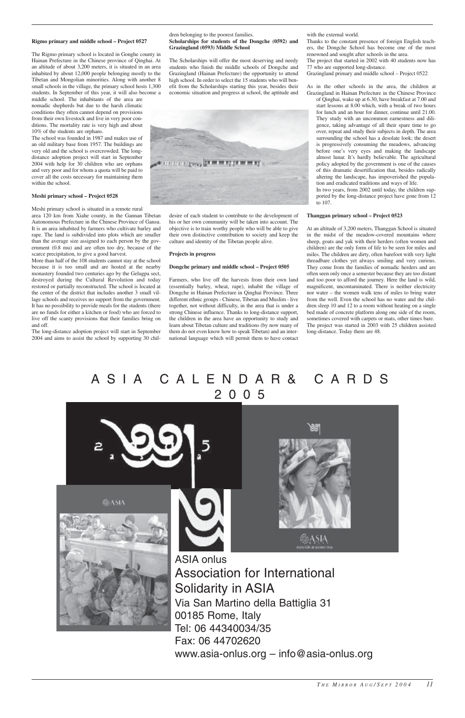#### **Rigmo primary and middle school – Project 0527**

The Rigmo primary school is located in Gonghe county in Hainan Prefecture in the Chinese province of Qinghai. At an altitude of about 3,200 meters, it is situated in an area inhabited by about 12,000 people belonging mostly to the Tibetan and Mongolian minorities. Along with another 8 small schools in the village, the primary school hosts 1,300 students. In September of this year, it will also become a middle school. The inhabitants of the area are

nomadic shepherds but due to the harsh climatic conditions they often cannot depend on provisions from their own livestock and live in very poor conditions. The mortality rate is very high and about 10% of the students are orphans.

The school was founded in 1987 and makes use of an old military base from 1957. The buildings are very old and the school is overcrowded. The longdistance adoption project will start in September 2004 with help for 30 children who are orphans and very poor and for whom a quota will be paid to cover all the costs necessary for maintaining them within the school.

#### **Meshi primary school – Project 0528**

Meshi primary school is situated in a remote rural area 120 km from Xiahe county, in the Gannan Tibetan Autonomous Prefecture in the Chinese Province of Gansu. It is an area inhabited by farmers who cultivate barley and rape. The land is subdivided into plots which are smaller than the average size assigned to each person by the government (0.8 mu) and are often too dry, because of the scarce precipitation, to give a good harvest.

More than half of the 108 students cannot stay at the school because it is too small and are hosted at the nearby monastery founded two centuries ago by the Gelugpa sect, destroyed during the Cultural Revolution and today restored or partially reconstructed. The school is located at the center of the district that includes another 3 small village schools and receives no support from the government. It has no possibility to provide meals for the students (there are no funds for either a kitchen or food) who are forced to live off the scanty provisions that their families bring on and off.

The long-distance adoption project will start in September 2004 and aims to assist the school by supporting 30 children belonging to the poorest families.

#### **Scholarships for students of the Dongche (0592) and Grazingland (0593) Middle School**

The Scholarships will offer the most deserving and needy students who finish the middle schools of Dongche and Grazingland (Hainan Prefecture) the opportunity to attend high school. In order to select the 15 students who will benefit from the Scholarships starting this year, besides their economic situation and progress at school, the aptitude and



desire of each student to contribute to the development of his or her own community will be taken into account. The objective is to train worthy people who will be able to give their own distinctive contribution to society and keep the culture and identity of the Tibetan people alive.

#### **Projects in progress**

#### **Dongche primary and middle school – Project 0505**

Farmers, who live off the harvests from their own land (essentially barley, wheat, rape), inhabit the village of Dongche in Hainan Prefecture in Qinghai Province. Three different ethnic groups - Chinese, Tibetan and Muslim - live together, not without difficulty, in the area that is under a strong Chinese influence. Thanks to long-distance support, the children in the area have an opportunity to study and learn about Tibetan culture and traditions (by now many of them do not even know how to speak Tibetan) and an international language which will permit them to have contact

with the external world.

Thanks to the constant presence of foreign English teachers, the Dongche School has become one of the most renowned and sought after schools in the area. The project that started in 2002 with 40 students now has 77 who are supported long-distance. Grazingland primary and middle school – Project 0522

As in the other schools in the area, the children at Grazingland in Hainan Prefecture in the Chinese Province

of Qinghai, wake up at 6.30, have breakfast at 7.00 and start lessons at 8.00 which, with a break of two hours for lunch and an hour for dinner, continue until 21.00. They study with an uncommon earnestness and diligence, taking advantage of all their spare time to go over, repeat and study their subjects in depth. The area surrounding the school has a desolate look; the desert is progressively consuming the meadows, advancing before one's very eyes and making the landscape almost lunar. It's hardly believable. The agricultural policy adopted by the government is one of the causes of this dramatic desertification that, besides radically altering the landscape, has impoverished the population and eradicated traditions and ways of life.

In two years, from 2002 until today, the children supported by the long-distance project have gone from 12 to 107.

#### **Thanggan primary school – Project 0523**

At an altitude of 3,200 meters, Thanggan School is situated in the midst of the meadow-covered mountains where sheep, goats and yak with their herders (often women and children) are the only form of life to be seen for miles and miles. The children are dirty, often barefoot with very light threadbare clothes yet always smiling and very curious. They come from the families of nomadic herders and are often seen only once a semester because they are too distant and too poor to afford the journey. Here the land is wild, magnificent, uncontaminated. There is neither electricity nor water – the women walk tens of miles to bring water from the well. Even the school has no water and the children sleep 10 and 12 to a room without heating on a single bed made of concrete platform along one side of the room, sometimes covered with carpets or mats, other times bare. The project was started in 2003 with 25 children assisted long-distance. Today there are 48.



Tel: 06 44340034/35 Fax: 06 44702620 www.asia-onlus.org – info@asia-onlus.org

## ASIA CALENDAR& CARDS 2005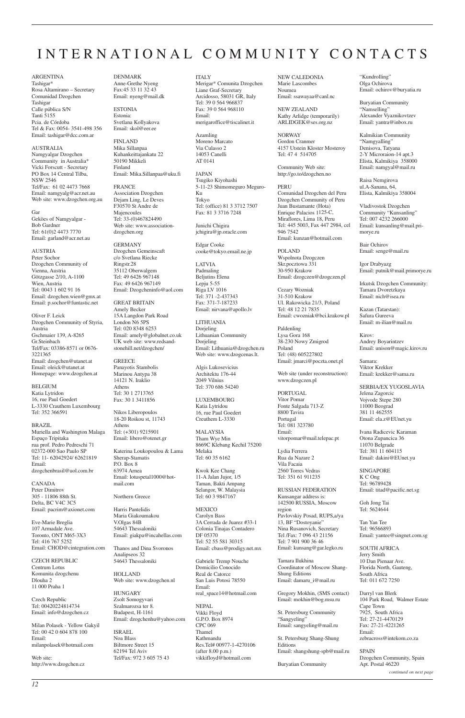## INTERNATIONAL COMMUNITY CONTACTS

ARGENTINA Tashigar\* Rosa Altamirano – Secretary Comunidad Dzogchen Tashigar Calle pública S/N Tanti 5155 Pcia. de Córdoba Tel & Fax: 0054- 3541-498 356 Email: tashigar@dcc.com.ar

AUSTRALIA Namgyalgar Dzogchen Community in Australia\* Vicki Forscutt - Secretary PO Box 14 Central Tilba, NSW 2546 Tel/Fax: 61 02 4473 7668 Email: namgyalg@acr.net.au Web site: www.dzogchen.org.au

**AUSTRIA** Peter Sochor Dzogchen Community of Vienna, Austria Götzgasse 2/10, A-1100 Wien, Austria Tel: 0043 1 602 91 16 Email: dzogchen.wien@gmx.at Email: p.sochor@funtastic.net

## Gar

Geköes of Namgyalgar - Bob Gardner Tel: 61(0)2 4473 7770 Email: garland@acr.net.au

Oliver F. Leick Dzogchen Community of Styria, Austria Gschmaier 139, A-8265 Gr.Steinbach Tel/Fax: 03386-8571 or 0676- 3221365 Email: dzogchen@utanet.at Email: oleick@utanet.at Homepage: www.dzogchen.at

BELGIUM Katia Lytridon 16, rue Paul Goedert L-3330 Crauthem Luxembourg Tel: 352 366591

BRAZIL Muriella and Washington Malaga Espaço Tripitaka rua prof. Pedro Pedreschi 71 02372-000 Sao Paulo SP Tel: 11- 62042924/ 62621819 Email: dzogchenbrasil@uol.com.br

CANADA Peter Dimitrov 305 - 11806 88th St. Delta, BC V4C 3C5 Email: pacrim@axionet.com

Eve-Marie Breglia

107 Armadale Ave. Toronto, ONT M65-3X3 Tel: 416 767 5252 Email: CHOD@cintegration.com

CZECH REPUBLIC Centrum Lotus Komunita dzogchenu Dlouha 2 11 000 Praha 1

Czech Republic Tel: 00420224814734 Email: info@dzogchen.cz

Milan Polasek - Yellow Gakyil Tel: 00 42 0 604 878 100 Email: milanpolasek@hotmail.com

Web site: http://www.dzogchen.cz DENMARK Anne-Grethe Nyeng Fax:45 33 11 32 43 Email: nyeng@mail.dk

ESTONIA Estonia: Svetlana Kollyakova Email: skol@eer.ee

FINLAND Mika Sillanpaa Kuhankeittajankatu 22 50190 Mikkeli Finland Email: Mika.Sillanpaa@uku.fi

FRANCE Association Dzogchen Dejam Ling, Le Deves F30570 St Andre de Majencoules Tel: 33-(0)467824490 Web site: www.associationdzogchen.org

GERMANY Dzogchen Gemeinscaft c/o Svetlana Riecke Ringstr.28 35112 Oberwalgem Tel: 49 6426 967148 Fax: 49 6426 967149 Email: Dzogcheninfo@aol.com

GREAT BRITAIN Amely Becker 15A Langdon Park Road London N6 5PS Tel: 020 8348 6253 Email: amely@globalnet.co.uk UK web site: www.redsandstonehill.net/dzogchen/

GREECE Panayotis Stambolis Marinou Antypa 38 14121 N. Iraklio Athens Tel: 30 1 2713765 Fax: 30 1 3411856

Nikos Liberopoulos 18-20 Roikou st, 11743 Athens Tel: (+301) 9215901 Email: libero@otenet.gr

Katerina Loukopoulou & Lama Sherap-Stamatis P.O. Box 8 63974 Arnea Email: lotuspetal1000@hotmail.com

Northern Greece

Harris Pantelidis Maria Giakoumakou V.Olgas 84B

54643 Thessaloniki Email: giakpa@incahellas.com

Thanos and Dina Svoronos Analipseos 32 54643 Thessaloniki

HOLLAND Web site: www.dzogchen.nl

HUNGARY Zsolt Somogyvari Szalmarozsa ter 8. Budapest, H-1161 Email: dzogchenhu@yahoo.com

ISRAEL Noa Blass Biltmore Street 15 62194 Tel Aviv Tel/Fax: 972 3 605 75 43 ITALY Merigar\* Comunita Dzogchen Liane Graf-Secretary Arcidosso, 58031 GR, Italy Tel: 39 0 564 966837 Fax: 39 0 564 968110 Email: merigaroffice@tiscalinet.it

Azamling Moreno Marcato Via Culasso 2 14053 Canelli AT 0141

JAPAN Tsugiko Kiyohashi 5-11-23 Shimomeguro Meguro-Ku Tokyo Tel: (office) 81 3 3712 7507 Fax: 81 3 3716 7248

Junichi Chigira jchigira@jp.oracle.com

Edgar Cooke cooke@tokyo.email.ne.jp

LATVIA Padmaling Beljutins Elena Lepju 5-55 Riga LV 1016 Tel: 371 -2-437343 Fax: 371-7-187233 Email: nirvana@apollo.lv

LITHUANIA Dorjeling Lithuanian Community Dorjeling Email: Lithuania@dzogchen.ru Web site: www.dzogcenas.lt.

Algis Lukosevicius Architektu 176-44 2049 Vilnius Tel: 370 686 54240

LUXEMBOURG Katia Lytridou 16, rue Paul Goedert Creuthem L-3330

MALAYSIA Tham Wye Min 8669C Klebang Kechil 75200 Melaka Tel: 60 35 6162

Kwok Kee Chang 11-A Jalan Jujor, 1/5 Taman, Bakti Ampang Selangor, W. Malaysia Tel: 60 3 9847167

MEXICO Carolyn Bass 3A Cerrada de Juarez #33-1 Colonia Tinajas Contadero DF 05370 Tel: 52 55 581 30315 Email: cbass@prodigy.net.mx

Gabriele Tremp Nouche Domicilio Conocido Real de Catorce San Luis Potosi 78550 Email: real\_space14@hotmail.com

NEPAL Vikki Floyd G.P.O. Box 8974 CPC 069 Thamel Kathmandu Res.Tel# 00977-1-4270106 (after 8.00 p.m.) vikkifloyd@hotmail.com

NEW CALEDONIA Marie Lascombes Noumea Email: ssawayaa@canl.nc

NEW ZEALAND Kathy Arlidge (temporarily) ARLIDGEK@ses.org.nz

NORWAY Gordon Cranmer 4157 Utstein Kloster Mosteroy Tel: 47 4 514705

Community Web site: http://go.to/dzogchen.no

PERU Comunidad Dzogchen del Peru Dzogchen Community of Peru Juan Bustamante (Hota) Enrique Palacios 1125-C, Miraflores, Lima 18, Peru Tel: 445 5003, Fax 447 2984, cel 946 7542 Email: kunzan@hotmail.com

POLAND Wspolnota Dzogczen Skr.pocztowa 331 30-950 Krakow Email: dzogczen@dzogczen.pl

Cezary Wozniak 31-510 Krakow Ul. Rakowicka 21/3, Poland Tel: 48 12 21 7835 Email: cwozniak@bci.krakow.pl

Paldenling Lysa Gora 168 38-230 Nowy Zmigrod Poland Tel: (48) 605227802 Email: jmarci@poczta.onet.pl

Web site (under reconstruction): www.dzogczen.pl

PORTUGAL Vitor Pomar Fonte Salgada 713-Z 8800 Tavira Portugal Tel: 081 323780 Email: vitorpomar@mail.telepac.pt

Lydia Ferrera Rua da Nazare 2 Vila Facaia 2560 Torres Vedras Tel: 351 61 911235

RUSSIAN FEDERATION Kunsangar address is: 142500 RUSSIA, Moscow region Pavlovskiy Posad, RUPS,a/ya 13, BF "Dostoyanie" Nina Rusanovich, Secretary Tel /Fax: 7 096 43 21156 Tel: 7 901 900 36 46 Email: kunsang@gar.legko.ru

Tamara Ilukhina Coordinator of Moscow Shang-Shung Editions Email: damaru\_i@mail.ru

Gregory Mokhin, (SMS contact) Email: mokhin@bog.msu.ru

St. Petersburg Community "Sangyeling" Email: sangyeling@mail.ru

St. Petersburg Shang-Shung Editions Email: shangshung-spb@mail.ru

Buryatian Community

"Kundrolling" Olga Ochirova Email: ochirov@buryatia.ru

Buryatian Community "Namselling" Alexander Vyaznikovtzev Email: yantra@inbox.ru

Kalmikian Community "Namgyalling" Denisova, Tatyana 2-Y Microraion-14 apt.3 Elista, Kalmikiya 358000 Email: namgyal@mail.ru

Raisa Nemgirova ul.A-Sanana, 64, Elista, Kalmikiya 358004

Vladivostok Dzogchen Community "Kunsanling" Tel: 007 4232 266000 Email: kunsanling@mail.primorye.ru

Bair Ochirov Email: senge@mail.ru

Igor Drabyazg Email: putnik@mail.primorye.ru

Irkutsk Dzogchen Community: Tamara Dvoretzkaya Email: nich@isea.ru

Kazan (Tatarstan): Safura Gureeva Email: m-ilian@mail.ru

Kirov: Andrey Boyarintzev Email: unison@magic.kirov.ru

Samara: Viktor Krekker Email: krekker@sama.ru

SERBIA/EX YUGOSLAVIA Jelena Zagorcic Vojvode Stepe 280 11000 Beograd 381 11 462555 Email: ela.z@EUnet.yu

Ivana Radicevic Karaman Otona Zupancica 36 11070 Belgrade Tel: 381 11 604115 Email: dakini@EUnet.yu

SINGAPORE K C Ong Tel: 96789428 Email: titad@pacific.net.sg

Goh Jong Tai Tel: 5624644

Tan Yan Tee

Tel: 96566893 Email: yantee@singnet.com.sg

SOUTH AFRICA Jerry Smith 10 Dan Pienaar Ave. Florida North, Gauteng, South Africa Tel: 011 672 7250

Darryl van Blerk 104 Park Road, Walmer Estate Cape Town 7925, South Africa Tel: 27-21-4470129 Fax: 27-21-4221265 Email: zebracross@intekom.co.za

SPAIN Dzogchen Community, Spain Apt. Postal 46220

*continued on next page*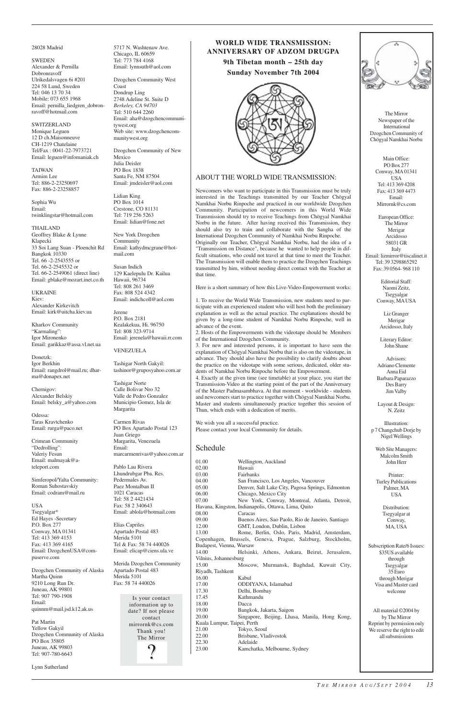The Mirror Newspaper of the International Dzogchen Community of Chögyal Namkhai Norbu

Main Office: PO Box 277 Conway, MA01341 USA Tel: 413 369 4208 Fax: 413 369 4473 Email: Mirrornk@cs.com

European Office: The Mirror Merigar Arcidosso 58031 GR Italy Email: lizmirror@tiscalinet.it Tel: 39 3298865292 Fax: 39 0564- 968 110

> Editorial Staff: Naomi Zeitz, Tsegyalgar Conway, MAUSA

Liz Granger Merigar Arcidosso, Italy

Literary Editor: John Shane

**SWEDEN** Alexander & Pernilla Dobronravoff Ulrikedalsvagen 6i #201 224 58 Lund, Sweden Tel: 046 13 70 34 Mobile: 073 655 1968 Email: pernilla\_liedgren\_dobronravoff@hotmail.com

> Advisors: Adriano Clemente Anna Eid Barbara Paparazzo Des Barry Jim Valby

Layout & Design: N. Zeitz

Illustration: p 7 Changchub Dorje by Nigel Wellings

Web Site Managers: Malcolm Smith John Herr

Printer: Turley Publications Palmer, MA USA

> Distribution: Tsegyalgar at Conway,

| P.O. BOX $211$                                      | Elias Capriles             | 12.00                       | GMT, London, Dublin, Lisbon                                | MA, USA                      |
|-----------------------------------------------------|----------------------------|-----------------------------|------------------------------------------------------------|------------------------------|
| Conway, MA 01341                                    | Apartado Postal 483        | 13.00                       | Rome, Berlin, Oslo, Paris, Madrid, Amsterdam,              |                              |
| Tel: 413 369 4153                                   | Merida 5101                |                             | Copenhagen, Brussels, Geneva, Prague, Salzburg, Stockholm, |                              |
| Fax: 413 369 4165                                   | Tel & Fax: 58 74 440026    | Budapest, Vienna, Warsaw    |                                                            | Subscription Rate/6 Issues:  |
| Email: DzogchenUSA@com-                             | Email: elicap@ciens.ula.ve | 14.00                       | Helsinki, Athens, Ankara, Beirut, Jerusalem,               | \$35US available             |
| puserve.com                                         |                            | Vilnius, Johannesburg       |                                                            | through                      |
|                                                     | Merida Dzogchen Community  | 15.00                       | Moscow, Murmansk, Baghdad, Kuwait City,                    | Tsegyalgar                   |
| Dzogchen Community of Alaska<br>Apartado Postal 483 |                            | Riyadh, Tashkent            |                                                            | 35 Euro                      |
| Martha Quinn                                        | Merida 5101                | 16.00                       | Kabul                                                      | through Merigar              |
| 9210 Long Run Dr.                                   | Fax: 58 74 440026          | 17.00                       | ODDIYANA, Islamabad                                        | Visa and Master card         |
| Juneau, AK 99801                                    |                            | 17.30                       | Delhi, Bombay                                              | welcome                      |
| Tel: 907 790-1908                                   | Is your contact            | 17.45                       | Kathmandu                                                  |                              |
| Email:                                              | information up to          | 18.00                       | Dacca                                                      |                              |
| quinnm@mail.jsd.k12.ak.us                           | date? If not please        | 19.00                       | Bangkok, Jakarta, Saigon                                   | All material ©2004 by        |
|                                                     | contact                    | 20.00                       | Singapore, Beijing, Lhasa, Manila, Hong Kong,              | by The Mirror                |
| Pat Martin<br>mirrornk@cs.com                       |                            | Kuala Lumpur, Taipei, Perth |                                                            | Reprint by permission only   |
| <b>Yellow Gakyil</b>                                |                            | 21.00                       | Tokyo, Seoul                                               | We reserve the right to edit |
| Dzogchen Community of Alaska                        | Thank you!                 | 22.00                       | Brisbane, Vladivostok                                      | all subsmissions             |
| PO Box 35805                                        | The Mirror                 | 22.30                       | Adelaide                                                   |                              |
| Juneau, AK 99803                                    | G                          | 23.00                       | Kamchatka, Melbourne, Sydney                               |                              |
| Tel: 907-780-6643                                   |                            |                             |                                                            |                              |
|                                                     |                            |                             |                                                            |                              |
|                                                     |                            |                             |                                                            |                              |

USA Tsegyalgar\* Ed Hayes -Secretary  $P.$  O  $\overline{P}$ 

#### 28028 Madrid

SWITZERLAND Monique Leguen 12 D ch.Maisonneuve CH-1219 Chatelaine Tel/Fax : 0041-22-7973721 Email: leguen@infomaniak.ch

TAIWAN Armim Lee Tel: 886-2-23250697 Fax: 886-2-23258857

Sophia Wu Email: twinklingstar@hotmail.com

THAILAND Geoffrey Blake & Lynne Klapecki 33 Soi Lang Suan - Ploenchit Rd Bangkok 10330 Tel. 66 -2-2543555 or Tel. 66-2-2545532 or Tel. 66-2-2549061 (direct line) Email: gblake@mozart.inet.co.th

UKRAINE Kiev: Alexander Kirkevitch Email: kirk@uitcha.kiev.ua

Kharkov Community "Karmaling": Igor Mironenko Email: garikkaz@assa.vl.net.ua

Donetzk: Igor Berkhin Email: rangdrol@mail.ru; dharma@donapex.net

Chernigov: Alexander Belskiy Email: belsky\_a@yahoo.com

Odessa: Taras Kravtchenko Email: rurga@paco.net

Crimean Community "Dedrolling": Valeriy Fesun Email: malmayak@ateleport.com

Simferopol/Yalta Community: Roman Suhostavskiy Email: codram@mail.ru

5717 N. Washtenaw Ave. Chicago, IL 60659 Tel: 773 784 4168 Email: lynnsuth@aol.com

Dzogchen Community West Coast Dondrup Ling 2748 Adeline St. Suite D *Berkeley, CA 94703* Tel: 510 644 2260 Email: aha@dzogchencommunitywest.org Web site: www.dzogchencommunitywest.org

Dzogchen Community of New Mexico Julia Deisler PO Box 1838 Santa Fe, NM 87504 Email: jmdeisler@aol.com

Lidian King PO Box 1014 Crestone, CO 81131 Tel: 719 256 5263 Email: lidian@fone.net

New York Dzogchen Community Email: kathydmcgrane@hotmail.com

Susan Indich 129 Kaelepulu Dr. Kailua Hawaii, 96734 Tel: 808 261 3469 Fax: 808 524 4342 Email: indichcoll@aol.com

Jerene P.O. Box 2181 Kealakekua, Hi. 96750 Tel: 808 323-9714 Email: jerenela@hawaii.rr.com

VENEZUELA

Tashigar North Gakyil: tashinor@gruposyahoo.com.ar

Tashigar Norte Calle Bolivar Nro 32 Valle de Pedro Gonzalez Municipio Gomez, Isla de Margarita

Carmen Rivas PO Box Apartado Postal 123 Juan Griego Margarita, Venezuela Email: marcarmenrivas@yahoo.com.ar

Pablo Lau Rivera Lhundrubgar Pba. Res. Pedermales Av. Paez Montalban II 1021 Caracas Tel: 58 2 4421434 Fax: 58 2 340643 Email: ablola@hotmail.com

 $E_{\text{max}} C_{\text{max}}$ 

### **WORLD WIDE TRANSMISSION: TRANSMISSION: ANNIVERSARY OF ADZOM DRUGP ADZOM DRUGPA**

**9th Tibetan month – 25th day ibetan month – 25th day Sunday November Sunday November 7th 2004 7th 2004**



### ABOUT THE WORLD WIDE TRANSMISSION:

Newcomers who want to participate in this Transmission must be truly interested in the Teachings transmitted by our Teacher Chögyal Namkhai Norbu Rinpoche and practiced in our worldwide Dzogchen Community. Participation of newcomers in this World Wide Transmission should try to receive Teachings from Chögyal Namkhai Norbu in the future. After having received this Transmission, they should also try to train and collaborate with the Sangha of the International Dzogchen Community of Namkhai Norbu Rinpoche. Originally our Teacher, Chögyal Namkhai Norbu, had the idea of a "Transmission on Distance", because he wanted to help people in difficult situations, who could not travel at that time to meet the Teacher. The Transmission will enable them to practice the Dzogchen Teachings transmitted by him, without needing direct contact with the Teacher at that time.

Here is a short summary of how this Live-Video-Empowerment works:

1. To receive the World Wide Transmission, new students need to participate with an experienced student who will host both the preliminary explanation as well as the actual practice. The explanations should be given by a long-time student of Namkhai Norbu Rinpoche, well in advance of the event.

2. Hosts of the Empowerments with the videotape should be Members of the International Dzogchen Community.

3. For new and interested persons, it is important to have seen the explanation of Chögyal Namkhai Norbu that is also on the videotape, in advance. They should also have the possibility to clarify doubts about the practice on the videotape with some serious, dedicated, older students of Namkhai Norbu Rinpoche before the Empowerment.

4. Exactly at the given time (see timetable) at your place, you start the Transmission-Video at the starting point of the part of the Anniversary of the Master Padmasambhava. At that moment - worldwide - students and newcomers start to practice together with Chögyal Namkhai Norbu. Master and students simultaneously practice together this session of Thun, which ends with a dedication of merits.

We wish you all a successful practice. Please contact your local Community for details.

### Schedule

| 01.00                                               | Wellington, Auckland                              |  |  |  |
|-----------------------------------------------------|---------------------------------------------------|--|--|--|
| 02.00                                               | Hawaii                                            |  |  |  |
| 03.00                                               | <b>Fairbanks</b>                                  |  |  |  |
| 04.00                                               | San Francisco, Los Angeles, Vancouver             |  |  |  |
| 05.00                                               | Denver, Salt Lake City, Pagosa Springs, Edmonton  |  |  |  |
| 06.00                                               | Chicago, Mexico City                              |  |  |  |
| 07.00                                               | New York, Conway, Montreal, Atlanta, Detroit,     |  |  |  |
| Havana, Kingston, Indianapolis, Ottawa, Lima, Quito |                                                   |  |  |  |
| 08.00                                               | Caracas                                           |  |  |  |
| 09.00                                               | Buenos Aires, Sao Paolo, Rio de Janeiro, Santiago |  |  |  |
| 12.00                                               | GMT, London, Dublin, Lisbon                       |  |  |  |
| $\sim$ $\sim$ $\sim$                                |                                                   |  |  |  |

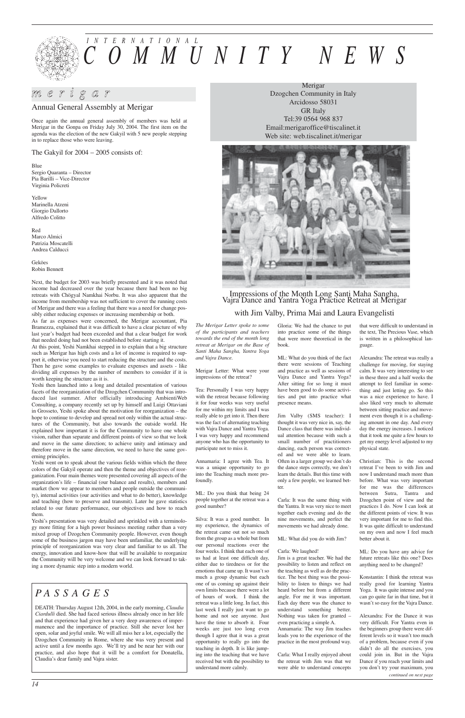## *m e r i g a r*

# *INTERNATIONAL COMMUNITY NEWS*

Annual General Assembly at Merigar

Once again the annual general assembly of members was held at Merigar in the Gonpa on Friday July 30, 2004. The first item on the agenda was the election of the new Gakyil with 5 new people stepping in to replace those who were leaving.

The Gakyil for 2004 – 2005 consists of:

Blue Sergio Quaranta – Director Pia Barilli – Vice-Director Virginia Policreti

Yellow Marinella Atzeni Giorgio Dallorto Alfredo Colitto

Red Marco Almici Patrizia Moscatelli Andrea Calducci

Geköes Robin Bennett

Next, the budget for 2003 was briefly presented and it was noted that income had decreased over the year because there had been no big retreats with Chögyal Namkhai Norbu. It was also apparent that the income from membership was not sufficient to cover the running costs of Merigar and there was a feeling that there was a need for change possibly either reducing expenses or increasing membership or both.

As far as expenses were concerned, the Merigar accountant, Pia Bramezza, explained that it was difficult to have a clear picture of why last year's budget had been exceeded and that a clear budget for work that needed doing had not been established before starting it.

At this point, Yeshi Namkhai stepped in to explain that a big structure such as Merigar has high costs and a lot of income is required to support it, otherwise you need to start reducing the structure and the costs. Then he gave some examples to evaluate expenses and assets - like dividing all expenses by the number of members to consider if it is worth keeping the structure as it is.

Yeshi then launched into a long and detailed presentation of various facets of the reorganization of the Dzogchen Community that was introduced last summer. After officially introducing AmbientiWeb Consulting, a company recently set up by himself and Luigi Ottaviani in Grosseto, Yeshi spoke about the motivation for reorganization – the hope to continue to develop and spread not only within the actual structures of the Community, but also towards the outside world. He explained how important it is for the Community to have one whole vision, rather than separate and different points of view so that we look and move in the same direction; to achieve unity and intimacy and therefore move in the same direction, we need to have the same governing principles.

Yeshi went on to speak about the various fields within which the three colors of the Gakyil operate and then the theme and objectives of reorganization. Four main themes were presented covering all aspects of the organization's life – financial (our balance and results), members and market (how we appear to members and people outside the community), internal activities (our activities and what to do better), knowledge and teaching (how to preserve and transmit). Later he gave statistics related to our future performance, our objectives and how to reach them.

Yeshi's presentation was very detailed and sprinkled with a terminology more fitting for a high power business meeting rather than a very mixed group of Dzogchen Community people. However, even though some of the business jargon may have been unfamiliar, the underlying principle of reorganization was very clear and familiar to us all. The energy, innovation and know-how that will be available to reorganize the Community will be very welcome and we can look forward to taking a more dynamic step into a modern world.

## *PA S S A G E S*

DEATH: Thursday August 12th, 2004, in the early morning, *Claudia Ciardulli* died. She had faced serious illness already once in her life and that experience had given her a very deep awareness of impermanence and the importance of practice. Still she never lost her open, solar and joyful smile. We will all miss her a lot, especially the Dzogchen Community in Rome, where she was very present and active until a few months ago. We'll try and be near her with our practice, and also hope that it will be a comfort for Donatella, Claudia's dear family and Vajra sister.

*The Merigar Letter spoke to some of the participants and teachers towards the end of the month long retreat at Merigar on the Base of Santi Maha Sangha, Yantra Yoga and Vajra Dance.*

#### Merigar Letter: What were your impressions of the retreat?

Tea: Personally I was very happy with the retreat because following it for four weeks was very useful for me within my limits and I was really able to get into it. Then there was the fact of alternating teaching with Vajra Dance and Yantra Yoga. I was very happy and recommend anyone who has the opportunity to participate not to miss it.

Annamaria: I agree with Tea. It was a unique opportunity to go into the Teaching much more profoundly.

ML: Do you think that being 24 people together at the retreat was a good number?

Silva: It was a good number. In my experience, the dynamics of the retreat came out not so much from the group as a whole but from our personal reactions over the four weeks. I think that each one of us had at least one difficult day, either due to tiredness or for the emotions that came up. It wasn't so much a group dynamic but each one of us coming up against their own limits because there were a lot of hours of work. I think the retreat was a little long. In fact, this last week I really just want to go home and not see anyone. Just have the time to absorb it. Four weeks are just too long even though I agree that it was a great opportunity to really go into the teaching in depth. It is like jumping into the teaching that we have received but with the possibility to understand more calmly.

Gloria: We had the chance to put into practice some of the things that were more theoretical in the book.

ML: What do you think of the fact there were sessions of Teaching and practice as well as sessions of Vajra Dance and Yantra Yoga? After sitting for so long it must have been good to do some activities and put into practice what presence means.

Jim Valby (SMS teacher): I thought it was very nice in, say, the Dance class that there was individual attention because with such a small number of practitioners dancing, each person was corrected and we were able to learn. Often in a larger group we don't do the dance steps correctly, we don't learn the details. But this time with only a few people, we learned better.

Carla: It was the same thing with the Yantra. It was very nice to meet together each evening and do the nine movements, and perfect the movements we had already done.

ML: What did you do with Jim?

#### Carla: We laughed!

Jim is a great teacher. We had the possibility to listen and reflect on the teaching as well as do the practice. The best thing was the possibility to listen to things we had heard before but from a different angle. For me it was important. Each day there was the chance to understand something better. Nothing was taken for granted – even practicing a simple A. Annamaria: The way Jim teaches

leads you to the experience of the practice in the most profound way.

Carla: What I really enjoyed about the retreat with Jim was that we were able to understand concepts

that were difficult to understand in the text, The Precious Vase, which is written in a philosophical language.

Alexandra: The retreat was really a challenge for moving, for staying calm. It was very interesting to see in these three and a half weeks the attempt to feel familiar in something and just letting go. So this was a nice experience to have. I also liked very much to alternate between sitting practice and movement even though it is a challenging amount in one day. And every day the energy increases. I noticed that it took me quite a few hours to get my energy level adjusted to my physical state.

Christian: This is the second retreat I've been to with Jim and now I understand much more than before. What was very important for me was the differences between Sutra, Tantra and Dzogchen point of view and the practices I do. Now I can look at the different points of view. It was very important for me to find this. It was quite difficult to understand on my own and now I feel much better about it.

ML: Do you have any advice for future retreats like this one? Does anything need to be changed?

Konstantin: I think the retreat was really good for learning Yantra Yoga. It was quite intense and you can go quite far in that time, but it wasn't so easy for the Vajra Dance.

Alexandra: For the Dance it was very difficult. For Yantra even in the beginners group there were different levels so it wasn't too much of a problem, because even if you didn't do all the exercises, you could join in. But in the Vajra Dance if you reach your limits and you don't try your maximum, you

Merigar Dzogchen Community in Italy Arcidosso 58031 GR Italy Tel:39 0564 968 837 Email:merigaroffice@tiscalinet.it Web site: web.tiscalinet.it/merigar



## Impressions of the Month Long Santi Maha Sangha, Vajra Dance and Yantra Yoga Practice Retreat at Merigar

## with Jim Valby, Prima Mai and Laura Evangelisti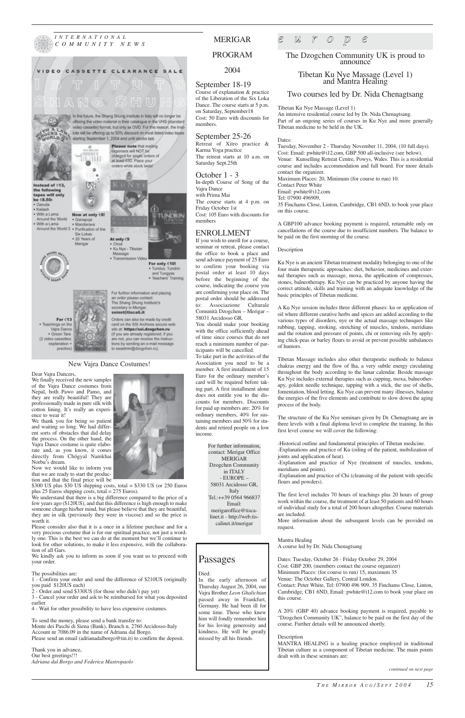*INTERNATIONAL COMMUNITY NEWS*



#### September 18-19

Course of explanation & practice of the Liberation of the Six Loka Dance. The course starts at 5 p.m. on Saturday, September18 Cost: 50 Euro with discounts for members.

#### September 25-26

Retreat of Xitro practice & Karma Yoga practice The retreat starts at 10 a.m. on Saturday Sept.25th

### October 1 - 3

In-depth Course of Song of the Vajra Dance with Prima Mai The course starts at 4 p.m. on Friday October 1st Cost: 105 Euro with discounts for members

#### ENROLLMENT

If you wish to enroll for a course, seminar or retreat, please contact the office to book a place and send advance payment of 25 Euro to confirm your booking via postal order at least 10 days before the beginning of the course, indicating the course you are confirming your place on. The postal order should be addressed to: Associazione Culturale Comunità Dzogchen – Merigar – 58031 Arcidosso GR.

You should make your booking with the office sufficiently ahead of time since courses that do not reach a minimum number of participants will be cancelled.

To take part in the activities of the Association you need to be a member. A first installment of 15 Euro for the ordinary member's card will be required before taking part. A first installment alone does not entitle you to the discounts for members. Discounts for paid up members are: 20% for ordinary members, 40% for sustaining members and 50% for students and retired people on a low income.

## *e u r o p e*

The Dzogchen Community UK is proud to announce

Tibetan Ku Nye Massage (Level 1) and Mantra Healing

#### Two courses led by Dr. Nida Chenagtsang

Tibetan Ku Nye Massage (Level 1)

An intensive residential course led by Dr. Nida Chenagtsang. Part of an ongoing series of courses in Ku Nye and more generally Tibetan medicine to be held in the UK.

#### Dates:

Tuesday, November 2 - Thursday November 11, 2004, (10 full days). Cost: Email: pwhite@i12.com, GBP 500 all-inclusive (see below). Venue: Kunselling Retreat Centre, Powys, Wales. This is a residential course and includes accommodation and full board. For more details contact the organizer. Maximum Places: 20, Minimum (for course to run) 10. Contact Peter White Email: pwhite@i12.com

Tel: 07900 496909,

35 Finchams Close, Linton, Cambridge, CB1 6ND, to book your place on this course.

A GBP100 advance booking payment is required, returnable only on cancellations of the course due to insufficient numbers. The balance to be paid on the first morning of the course.

#### Description

Ku Nye is an ancient Tibetan treatment modality belonging to one of the four main therapeutic approaches: diet, behavior, medicines and external therapies such as massage, moxa, the application of compresses, stones, balneotherapy. Ku Nye can be practiced by anyone having the correct attitude, skills and training with an adequate knowledge of the basic principles of Tibetan medicine.

A Ku Nye session includes three different phases: ku or application of oil where different curative herbs and spices are added according to the various types of disorders, nye or the actual massage techniques like rubbing, tapping, stroking, stretching of muscles, tendons, meridians and the rotation and pressure of points, chi or removing oils by applying chick-peas or barley flours to avoid or prevent possible unbalances of humors.

someone change his/her mind, but please believe that they are beautiful, they are in silk (previously they were in viscose) and so the price is worth it.<br>Please consi der also that it is a once in a lifetime purchase and for a

Tibetan Massage includes also other therapeutic methods to balance chakras energy and the flow of lha, a very subtle energy circulating throughout the body according to the lunar calendar. Beside massage Ku Nye includes external therapies such as cupping, moxa, balneotherapy, golden needle technique, tapping with a stick, the use of shells, fomentation, blood letting. Ku Nye can prevent many illnesses, balance the energies of the five elements and contribute to slow down the aging process of the body.

The structure of the Ku Nye seminars given by Dr. Chenagtsang are in three levels with a final diploma level to complete the training. In this first level course we will cover the following:

-Historical outline and fundamental principles of Tibetan medicine.

-Explanations and practice of Ku (oiling of the patient, mobilization of joints and application of heat).

-Explanation and practice of Nye (treatment of muscles, tendons, meridians and points).

-Explanation and practice of Chi (cleansing of the patient with specific flours and powders).

The first level includes 70 hours of teachings plus 20 hours of group work within the course, the treatment of at least 50 patients and 60 hours of individual study for a total of 200 hours altogether. Course materials are included.

More information about the subsequent levels can be provided on



request.

Mantra Healing A course led by Dr. Nida Chenagtsang

Dates: Tuesday, October 26 - Friday October 29, 2004 Cost: GBP 200, (members contact the course organizer) Minimum Places: (for course to run) 15, maximum 35 Venue: The October Gallery, Central London. Contact: Peter White, Tel: 07900 496 909, 35 Finchams Close, Linton, Cambridge, CB1 6ND, Email: pwhite@i12.com to book your place on this course.

A 20% (GBP 40) advance booking payment is required, payable to "Dzogchen Community UK", balance to be paid on the first day of the course. Further details will be announced shortly.

#### Description

MANTRA HEALING is a healing practice employed in traditional Tibetan culture as a component of Tibetan medicine. The main points dealt with in these seminars are:

Dear Vajra Dancers,

We finally received the new samples of the Vajra Dance costumes from Nepal, both Pawo and Pamo, and they are really beautiful! They are professionally made in pure silk with cotton lining. It's really an experience to wear it!

We thank you for being so patient and waiting so long. We had different sorts of obstacles that did delay the process. On the other hand, the Vajra Dance costume is quite elaborate and, as you know, it comes directly from Chögyal Namkhai Norbu's dream.

Now we would like to inform you that we are ready to start the production and that the final price will be

\$300 US plus \$30 US shipping costs, total = \$330 US (or 250 Euros plus 25 Euros shipping costs, total = 275 Euros).

We understand that there is a big difference compared to the price of a few years ago (\$120US), and that this difference is high enough to make

very precious costume that is for our spiritual practice, not just a wordly one. This is the best we can do at the moment but we'll continue to look for other solutions, to make it less expensive, with the collaboration of all Gars.

We kindly ask you to inform us soon if you want us to proceed with your order.

The possibilities are:

1 - Confirm your order and send the difference of \$210US (originally you paid \$120US each)

2 - Order and send \$330US (for those who didn't pay yet)

3 - Cancel your order and ask to be reimbursed for what you deposited earlier

4 - Wait for other possibility to have less expensive costumes.

To send the money, please send a bank transfer to: Monte dei Paschi di Siena (Bank), Branch n. 2760 Arcidosso-Italy Account nr 7086.09 in the name of Adriana dal Borgo. Please send an email (adrianadalborgo@tin.it) to confirm the deposit.

Thank you in advance, Our best greetings!!! *Adriana dal Borgo and Federica Mastropaolo* For further information, contact: Merigar Office MERIGAR Dzogchen Community in ITALY - EUROPE – 58031 Arcidosso GR, Italy Tel.:++39 0564 966837 Email: merigaroffice@tiscalinet.it - http://web.tiscalinet.it/merigar

## MERIGAR

PROGRAM

### 2004

#### New Vajra Dance Costumes!

*continued on next page*

Passages Died: In the early afternoon of Thursday August 26, 2004, our Vajra Brother *Leon Ghalichian* passed away in Frankfurt, Germany. He had been ill for some time. Those who knew him will fondly remember him for his loving generosity and kindness. He will be greatly missed by all his friends.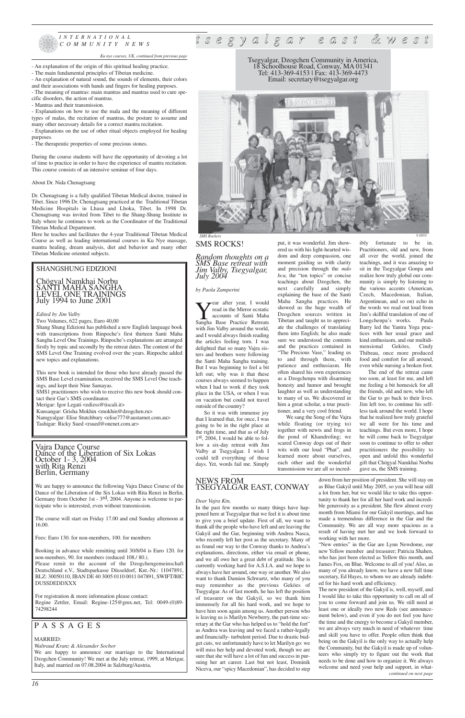

### *INTERNATIONAL COMMUNITY NEWS*

- An explanation of the origin of this spiritual healing practice.
- The main fundamental principles of Tibetan medicine.
- An explanation of natural sound, the sounds of elements, their colors
- and their associations with hands and fingers for healing purposes.
- The meaning of mantras: main mantras and mantras used to cure spe-
- cific disorders, the action of mantras.
- Mantras and their transmission.

- Explanations on how to use the mala and the meaning of different types of malas, the recitation of mantras, the posture to assume and many other necessary details for a correct mantra recitation.

- Explanations on the use of other ritual objects employed for healing purposes.

- The therapeutic properties of some precious stones.

During the course students will have the opportunity of devoting a lot of time to practice in order to have the experience of mantra recitation. This course consists of an intensive seminar of four days.

#### About Dr. Nida Chenagtsang

Dr. Chenagtsang is a fully qualified Tibetan Medical doctor, trained in Tibet. Since 1996 Dr. Chenagtsang practiced at the Traditional Tibetan Medicine Hospitals in Lhasa and Lhoka, Tibet. In 1998 Dr. Chenagtsang was invited from Tibet to the Shang-Shung Institute in Italy where he continues to work as the Coordinator of the Traditional Tibetan Medical Department.

Here he teaches and facilitates the 4-year Traditional Tibetan Medical Course as well as leading international courses in Ku Nye massage, mantra healing, dream analysis, diet and behavior and many other Tibetan Medicine oriented subjects.

Vajra Dance Course Dance of the Liberation of Six Lokas October 1- 3, 2004 with Rita Renzi Berlin, Germany

Namgyalgar: Elise Stutchbury <elise777@austarnet.com.au> Tashigar: Ricky Sued <rsued@onenet.com.ar>

We are happy to announce the following Vajra Dance Course of the Dance of the Liberation of the Six Lokas with Rita Renzi in Berlin, Germany from October 1st - 3<sup>rd</sup>, 2004. Anyone is welcome to participate who is interested, even without transmission.

The course will start on Friday 17.00 and end Sunday afternoon at 16.00.

Fees: Euro 130. for non-members, 100. for members

Booking in advance while remitting until 30/8/04 is Euro 120. for non-members, 90. for members (reduced 108./ 80.).

**Vear after year, I would read in the Mirror ecstatic accounts of Santi Maha Base Practice Retreats** read in the Mirror ecstatic accounts of Santi Maha with Jim Valby around the world, and I would always finish reading the articles feeling torn. I was delighted that so many Vajra sisters and brothers were following the Santi Maha Sangha training. But I was beginning to feel a bit left out; why was it that these courses always seemed to happen when I had to work if they took place in the USA, or when I was on vacation but could not travel outside of the country?

Please remit to the account of the Dzogchengemeinschaft Deutschland e.V., Stadtsparkasse Düsseldorf, Knt.-Nr.: 11047891, BLZ: 30050110, IBAN DE 40 3005 0110 0011 047891, SWIFT/BIC DUSSDEDDXXX

For registration & more information please contact: Regine Zettler, Email: Regine-125@gmx.net, Tel: 0049-(0)89- 74298244

## PASSAGES

#### MARRIED:

*Waltraud Kranz & Alexander Sochor*

We are happy to announce our marriage to the International Dzogchen Community! We met at the July retreat, 1999, at Merigar, Italy, and married on 07.08.2004 in Salzburg/Austria.

#### SHANGSHUNG EDIZIONI

Chögyal Namkhai Norbu SANTI MAHA SANGHA LEVEL ONE TRAININGS July 1994 to June 2001

#### *Edited by Jim Valby*

Two Volumes, 622 pages, Euro 40,00

Shang Shung Edizioni has published a new English language book with transcriptions from Rinpoche's first thirteen Santi Maha Sangha Level One Trainings. Rinpoche's explanations are arranged firstly by topic and secondly by the retreat dates. The content of the SMS Level One Training evolved over the years. Rinpoche added new topics and explanations.

This new book is intended for those who have already passed the SMS Base Level examination, received the SMS Level One teachings, and kept their Nine Samayas.

SMS1 practitioners who wish to receive this new book should contact their Gar's SMS coordinator.

Merigar: Igor Legati <edizss@tiscali.it>

Kunsangar: Grisha Mokhin <mokhin@dzogchen.ru>

## *t s e g y a l g a r e a s t & w e s t*

Tsegyalgar, Dzogchen Community in America, 18 Schoolhouse Road, Conway, MA 01341 Tel: 413-369-4153 | Fax: 413-369-4473 Email: secretary@tsegyalgar.org

## SMS ROCKS!

*Random thoughts on a SMS Base retreat with Jim Valby, Tsegyalgar, July 2004*

#### *by Paola Zamperini*

So it was with immense joy that I learned that, for once, I was going to be in the right place at the right time, and that as of July  $1<sup>st</sup>$ , 2004, I would be able to follow a six-day retreat with Jim Valby at Tsegyalgar. I wish I could tell everything of those days. Yet, words fail me. Simply put, it was wonderful. Jim show-

#### ered us with his light-hearted wisdom and deep compassion, one moment guiding us with clarity and precision through the *mdo bcu*, the "ten topics" or concise teachings about Dzogchen, the next carefully and simply explaining the base of the Santi Maha Sangha practices. He showed us the huge wealth of Dzogchen sources written in Tibetan and taught us to appreciate the challenges of translating them into English; he also made sure we understood the contents and the practices contained in "The Precious Vase," leading us to and through them, with patience and enthusiasm. He often shared his own experiences as a Dzogchenpa with disarming honesty and humor and brought laughter as well as understanding to many of us. We discovered in him a great scholar, a true practitioner, and a very cool friend.

We sang the Song of the Vajra while floating (or trying to) together with newts and frogs in the pond of Khandroling; we scared Conway dogs out of their wits with our loud "Phat", and learned more about ourselves, each other and the wonderful transmission we are all so incredibly fortunate to be in. Practitioners, old and new, from all over the world, joined the teachings, and it was amazing to sit in the Tsegyalgar Gonpa and realize how truly global our community is simply by listening to the various accents (American, Czech, Macedonian, Italian, Argentinean, and so on) echo in the words we read out loud from Jim's skillful translation of one of Longchenpa's works. Paula Barry led the Yantra Yoga practices with her usual grace and kind enthusiasm, and our multidimensional Geköes, Cindy Thibeau, once more produced food and comfort for all around, even while nursing a broken foot. The end of the retreat came

too soon, at least for me, and left me feeling a bit homesick for all the friends, old and new, who left the Gar to go back to their lives. Jim left too, to continue his selfless task around the world. I hope that he realized how truly grateful we all were for his time and teachings. But even more, I hope he will come back to Tsegyalgar soon to continue to offer to other practitioners the possibility to open and unfold this wonderful gift that Chögyal Namkhai Norbu gave us, the SMS training.

### NEWS FROM TSEGYALGAR EAST, CONWAY

#### *Dear Vajra Kin,*

In the past few months so many things have happened here at Tsegyalgar that we feel it is about time to give you a brief update. First of all, we want to thank all the people who have left and are leaving the Gakyil and the Gar, beginning with Andrea Nasca, who recently left her post as the secretary. Many of us found our way to the Conway thanks to Andrea's explanations, directions, either via email or phone, and we all owe her a great debt of gratitude. She is currently working hard for A.S.I.A. and we hope to always have her around, one way or another. We also want to thank Damien Schwartz, who many of you may remember as the previous Geköes of Tsegyalgar. As of last month, he has left the position of treasurer on the Gakyil, so we thank him immensely for all his hard work, and we hope to have him soon again among us. Another person who is leaving us is Marilyn Newberry, the part-time secretary at the Gar who has helped us to "hold the fort" as Andrea was leaving and we faced a rather-legally and financially- turbulent period. Due to drastic budget cuts, we unfortunately have to let Marilyn go: we will miss her help and devoted work, though we are sure that she will have a lot of fun and success in pursuing her art career. Last but not least, Dominik Niceva, our "spicy Macedonian", has decided to step

down from her position of president. She will stay on as Blue Gakyil until May 2005, so you will hear still a lot from her, but we would like to take this opportunity to thank her for all her hard work and incredible generosity as a president. She flew almost every month from Miami for our Gakyil meetings, and has made a tremendous difference in the Gar and the Community. We are all way more spacious as a

result of having met her and we look forward to working with her more.

"New entries" in the Gar are Lynn Newdome, our new Yellow member and treasurer; Patricia Shahen, who has just been elected as Yellow this month, and James Fox, on Blue. Welcome to all of you! Also, as many of you already know, we have a new full time secretary, Ed Hayes, to whom we are already indebted for his hard work and efficiency.

The new president of the Gakyil is, well, myself, and I would like to take this opportunity to call on all of you to come forward and join us. We still need at least one or ideally two new Reds (see announcement below), and even if you do not feel you have the time and the energy to become a Gakyil member, we are always very much in need of whatever time and skill you have to offer. People often think that being on the Gakyil is the only way to actually help the Community, but the Gakyil is made up of volunteers who simply try to figure out the work that needs to be done and how to organize it. We always welcome and need your help and support, in what*continued on next page*

#### *Ku nye courses, UK, continued from previous page*

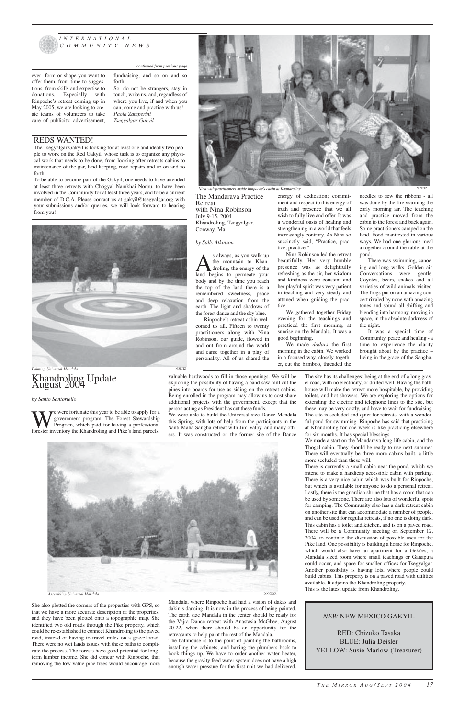*by Santo Santoriello*

We were fortunate this year to be able to apply for a government program, The Forest Stewardship Program, which paid for having a professional forester inventory the Khandroling and Pike's land parcels. government program, The Forest Stewardship Program, which paid for having a professional

She also plotted the corners of the properties with GPS, so that we have a more accurate description of the properties, and they have been plotted onto a topographic map. She identified two old roads through the Pike property, which could be re-established to connect Khandroling to the paved road, instead of having to travel miles on a gravel road. There were no wet lands issues with these paths to complicate the process. The forests have good potential for longterm lumber income. She did concur with Rinpoche, that

removing the low value pine trees would encourage more

valuable hardwoods to fill in those openings. We will be exploring the possibility of having a band saw mill cut the pines into boards for use as siding on the retreat cabins. Being enrolled in the program may allow us to cost share additional projects with the government, except that the person acting as President has cut these funds.

We were able to build the Universal size Dance Mandala this Spring, with lots of help from the participants in the Santi Maha Sangha retreat with Jim Valby, and many others. It was constructed on the former site of the Dance

Mandala, where Rinpoche had had a vision of dakas and dakinis dancing. It is now in the process of being painted. The earth size Mandala in the center should be ready for the Vajra Dance retreat with Anastasia McGhee, August 20-22, when there should be an opportunity for the retreatants to help paint the rest of the Mandala. The bathhouse is to the point of painting the bathrooms, installing the cabinets, and having the plumbers back to hook things up. We have to order another water heater, because the gravity feed water system does not have a high enough water pressure for the first unit we had delivered.

As always, as you walk up<br>the mountain to Khan-<br>land begins to permeate your the mountain to Khandroling, the energy of the body and by the time you reach the top of the land there is a remembered sweetness, peace and deep relaxation from the earth. The light and shadows of the forest dance and the sky blue.

> The site has its challenges: being at the end of a long gravel road, with no electricity, or drilled well. Having the bathhouse will make the retreat more hospitable, by providing toilets, and hot showers. We are exploring the options for extending the electric and telephone lines to the site, but these may be very costly, and have to wait for fundraising. The site is secluded and quiet for retreats, with a wonderful pond for swimming. Rinpoche has said that practicing at Khandroling for one week is like practicing elsewhere for six months. It has special blessings.

> We made a start on the Mandarava long-life cabin, and the Thögal cabin. They should be ready to use next summer. There will eventually be three more cabins built, a little more secluded than these will.

There is currently a small cabin near the pond, which we intend to make a handicap accessible cabin with parking. There is a very nice cabin which was built for Rinpoche, but which is available for anyone to do a personal retreat. Lastly, there is the guardian shrine that has a room that can be used by someone. There are also lots of wonderful spots for camping. The Community also has a dark retreat cabin on another site that can accommodate a number of people, and can be used for regular retreats, if no one is doing dark. This cabin has a toilet and kitchen, and is on a paved road. There will be a Community meeting on September 12, 2004, to continue the discussion of possible uses for the Pike land. One possibility is building a home for Rinpoche, which would also have an apartment for a Geköes, a Mandala sized room where small teachings or Ganapuja could occur, and space for smaller offices for Tsegyalgar. Another possibility is having lots, where people could build cabins. This property is on a paved road with utilities available. It adjoins the Khandroling property. This is the latest update from Khandroling.



#### *INTERNATIONAL COMMUNITY NEWS*

with Nina Robinson July 9-15, 2004 Khandroling, Tsegyalgar, Conway, Ma

#### *by Sally Atkinson*

Rinpoche's retreat cabin welcomed us all. Fifteen to twenty practitioners along with Nina Robinson, our guide, flowed in and out from around the world and came together in a play of personality. All of us shared the wish to fully live and offer. It was a wonderful oasis of healing and strengthening in a world that feels increasingly contrary. As Nina so succinctly said, "Practice, practice, practice."

Nina Robinson led the retreat beautifully. Her very humble presence was as delightfully refreshing as the air, her wisdom and kindness were constant and her playful spirit was very patient in teaching and very steady and attuned when guiding the practice.

We gathered together Friday evening for the teachings and practiced the first morning, at sunrise on the Mandala. It was a good beginning.

We made *dadars* the first morning in the cabin. We worked in a focused way, closely together, cut the bamboo, threaded the early morning air. The teaching and practice moved from the cabin to the forest and back again. Some practitioners camped on the land. Food manifested in various ways. We had one glorious meal altogether around the table at the pond.



There was swimming, canoeing and long walks. Golden air. Conversations were gentle. Coyotes, bears, snakes and all varieties of wild animals visited. The frogs put on an amazing concert rivaled by none with amazing tones and sound all shifting and blending into harmony, moving in space, in the absolute darkness of the night.

It was a special time of Community, peace and healing - a time to experience the clarity brought about by the practice – living in the grace of the Sangha.

ever form or shape you want to offer them, from time to suggestions, from skills and expertise to donations. Especially with Rinpoche's retreat coming up in May 2005, we are looking to create teams of volunteers to take care of publicity, advertisement,

fundraising, and so on and so forth.

So, do not be strangers, stay in touch, write us, and, regardless of where you live, if and when you can, come and practice with us! *Paola Zamperini Tsegyalgar Gakyil*

#### REDS WANTED!

The Tsegyalgar Gakyil is looking for at least one and ideally two people to work on the Red Gakyil, whose task is to organize any physical work that needs to be done, from looking after retreats cabins to maintenance of the gar, land keeping, road repairs and so on and so forth.

To be able to become part of the Gakyil, one needs to have attended at least three retreats with Chögyal Namkhai Norbu, to have been involved in the Community for at least three years, and to be a current member of D.C.A. Please contact us at gakyil@tsegyalgar.org with your submissions and/or queries, we will look forward to hearing from you!



## Khandroling Update August 2004 Painting Universal Mandala N ZEITZ

### *NEW* NEW MEXICO GAKYIL

RED: Chizuko Tasaka BLUE: Julia Deisler YELLOW: Susie Marlow (Treasurer)

#### *continued from previous page*

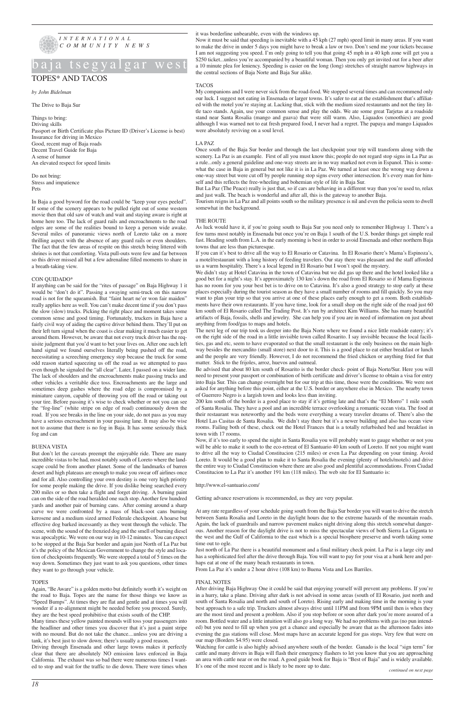

## baja tsegyalgar

## TOPES\* AND TACOS

*by John Bidelman*

The Drive to Baja Sur

Things to bring: Driving skills Passport or Birth Certificate plus Picture ID (Driver's License is best) Insurance for driving in Mexico Good, recent map of Baja roads Decent Travel Guide for Baja A sense of humor An elevated respect for speed limits

Do not bring: Stress and impatience Pets

In Baja a good byword for the road could be "keep your eyes peeled". If some of the scenery appears to be pulled right out of some western movie then that old saw of watch and wait and staying aware is right at home here too. The lack of guard rails and encroachments to the road edges are some of the realities bound to keep a person wide awake. Several miles of panoramic views north of Loreto take on a more thrilling aspect with the absence of any guard rails or even shoulders. The fact that the few areas of respite on this stretch being littered with shrines is not that comforting. Vista pull-outs were few and far between so this driver missed all but a few adrenaline filled moments to share in a breath-taking view.

#### CON QUIDADO\*

If anything can be said for the "rites of passage" on Baja Highway 1 it would be "don't do it". Passing a swaying semi-truck on this narrow road is not for the squeamish. But "faint heart ne'er won fair maiden" really applies here as well. You can't make decent time if you don't pass the slow (slow) trucks. Picking the right place and moment takes some common sense and good timing. Fortunately, truckers in Baja have a fairly civil way of aiding the captive driver behind them. They'll put on their left turn signal when the coast is clear making it much easier to get around them. However, be aware that not every truck driver has the requisite judgment that you'd want to bet your lives on. After one such left hand signal we found ourselves literally being pushed off the road, necessitating a screeching emergency stop because the truck for some odd reason started squeezing us off the road as we attempted to pass even though he signaled the "all clear". Later, I passed on a wider lane. The lack of shoulders and the encroachments make passing trucks and other vehicles a veritable dice toss. Encroachments are the large and sometimes deep gashes where the road edge is compromised by a miniature canyon, capable of throwing you off the road or taking out your tire. Before passing it's wise to check whether or not you can see the "fog-line" (white stripe on edge of road) continuously down the road. If you see breaks in the line on your side, do not pass as you may have a serious encroachment in your passing lane. It may also be wise not to assume that there is no fog in Baja. It has some seriously thick fog and can

#### BUENA VISTA

But don't let the caveats preempt the enjoyable ride. There are many incredible vistas to be had, most notably south of Loreto where the landscape could be from another planet. Some of the landmarks of barren desert and high plateaus are enough to make you swear off airlines once and for all. Also controlling your own destiny is one very high priority for some people making the drive. If you dislike being searched every 200 miles or so then take a flight and forget driving. A burning paint can on the side of the road heralded one such stop. Another few hundred yards and another pair of burning cans. After coming around a sharp curve we were confronted by a mass of black-soot cans burning kerosene and a medium sized armed Federale checkpoint. A hoarse but effective dog barked incessantly as they went through the vehicle. The scene, with the sound of the frenzied dog and the smell of burning diesel was apocalyptic. We were on our way in 10-12 minutes. You can expect to be stopped at the Baja Sur border and again just North of La Paz but it's the policy of the Mexican Government to change the style and location of checkpoints frequently. We were stopped a total of 5 times on the way down. Sometimes they just want to ask you questions, other times they want to go through your vehicle.

#### TOPES

Again, "Be Aware" is a golden motto but definitely worth it's weight on the road to Baja. Topes are the name for those things we know as "Speed Bumps". At times they are flat and gentle and at times you will wonder if a re-alignment might be needed before you proceed. Surely, they are the best speed prohibitive that exists south of the CHP.

Many times these yellow painted mounds will toss your passengers into the headliner and other times you discover that it's just a paint stripe with no mound. But do not take the chance....unless you are driving a tank, it's best just to slow down; there's usually a good reason.

Driving through Ensenada and other large towns makes it perfectly clear that there are absolutely NO emission laws enforced in Baja California. The exhaust was so bad there were numerous times I wanted to stop and wait for the traffic to die down. There were times when

#### it was borderline unbearable, even with the windows up.

Now it must be said that speeding is inevitable with a 45 kph (27 mph) speed limit in many areas. If you want to make the drive in under 5 days you might have to break a law or two. Don't send me your tickets because I am not suggesting you speed. I'm only going to tell you that going 45 mph in a 40 kph zone will get you a \$250 ticket...unless you're accompanied by a beautiful woman. Then you only get invited out for a beer after a 10 minute plea for leniency. Speeding is easier on the long (long) stretches of straight narrow highways in the central sections of Baja Norte and Baja Sur alike.

#### TACOS

My companions and I were never sick from the road-food. We stopped several times and can recommend only our luck. I suggest not eating in Ensenada or larger towns. It's safer to eat at the establishment that's affiliated with the motel you're staying at. Lacking that, stick with the medium sized restaurants and not the tiny little taco stands. Again, use your common sense and play the odds. We ate some great Tarjetas at a roadside stand near Santa Rosalia (mango and guava) that were still warm. Also, Liquados (smoothies) are good although I was warned not to eat fresh prepared food, I never had a regret. The papaya and mango Liquados were absolutely reviving on a soul level.

#### LA PAZ

Once south of the Baja Sur border and through the last checkpoint your trip will transform along with the scenery. La Paz is an example. First of all you must know this; people do not regard stop signs in La Paz as a rule...only a general guideline and one-way streets are in no way marked not even in Espanol. This is somewhat the case in Baja in general but not like it is in La Paz. We turned at least once the wrong way down a one-way street but were cut off by people running stop signs every other intersection. It's every man for himself and this reflects the free-wheeling and bohemian style of life in Baja Sur.

But La Paz (The Peace) really is just that, so if cars are behaving in a different way than you're used to, relax and just walk. The beach is wonderful and after all, this is the gateway to another Baja.

Tourism reigns in La Paz and all points south so the military presence is nil and even the policia seem to dwell somewhat in the background.

#### THE ROUTE

As luck would have it, if you're going south to Baja Sur you need only to remember Highway 1. There's a few turns most notably in Ensenada but once you're on Baja 1 south of the U.S. border things get simple real fast. Heading south from L.A. in the early morning is best in order to avoid Ensenada and other northern Baja towns that are less than picturesque.

If you can it's best to drive all the way to El Rosario or Catavina. In El Rosario there's Mama's Espinoza's, a motel/restaurant with a long history of feeding travelers. Our stay there was pleasant and the staff afforded us a warm hospitality. There's a local legend in El Rosario but I won't spoil the mystery.

We didn't stay at Hotel Catavina in the town of Catavina but we did gas up there and the hotel looked like a good bet for a night's stay. It's approximately 130 km's down the road from El Rosario so if Mama Espinoza has no room for you your best bet is to drive on to Catavina. It's also a good strategy to stop early at these places especially during the tourist season as they have a small number of rooms and fill quickly. So you may want to plan your trip so that you arrive at one of these places early enough to get a room. Both establishments have their own restaurants. If you have time, look for a small shop on the right side of the road just 60 km south of El Rosario called The Trading Post. It's run by architect Kim Williams. She has many beautiful artifacts of Baja, fossils, shells and jewelry. She can help you if you are in need of information on just about anything from food/gas to maps and hotels.

The next leg of our trip took us deeper into the Baja Norte where we found a nice little roadside eatery; it's on the right side of the road in a little invisible town called Rosarito. I say invisible because the local facilities, gas and etc, seem to have evaporated so that the small restaurant is the only business on the main highway besides the mercandito (small store) next door to it. This is a good place to eat either breakfast or lunch and the people are very friendly. However, I do not recommend the fried chicken or anything fried for that matter. Stick to the frijoles, arroz, huevos and oatmeal.

Be advised that about 80 km south of Rosarito is the border check- point of Baja Norte/Sur. Here you will need to present your passport or combination of birth certificate and driver's license to obtain a visa for entry into Baja Sur. This can change overnight but for our trip at this time, those were the conditions. We were not asked for anything before this point, either at the U.S. border or anywhere else in Mexico. The nearby town of Guerrero Negro is a largish town and looks less than inviting.

200 km south of the border is a good place to stay if it's getting late and that's the "El Morro" 1 mile south of Santa Rosalia. They have a pool and an incredible terrace overlooking a romantic ocean vista. The food at their restaurant was noteworthy and the beds were everything a weary traveler dreams of. There's also the Hotel Las Casitas de Santa Rosalia. We didn't stay there but it's a newer building and also has ocean view rooms. Failing both of these, check out the Hotel Frances that is a totally refurbished bed and breakfast in town with 17 rooms.

Now, if it's too early to spend the night in Santa Rosalia you will probably want to gauge whether or not you will be able to make it south to the eco-retreat of El Santuario 40 km south of Loreto. If not you might want to drive all the way to Ciudad Constitucion (215 miles) or even La Paz depending on your timing. Avoid Loreto. It would be a good plan to make it to Santa Rosalia the evening (plenty of hotels/motels) and drive the entire way to Ciudad Constitucion where there are also good and plentiful accommodations. From Ciudad Constitucion to La Paz it's another 191 km (118 miles). The web site for El Santuario is:

#### http://www.el-santuario.com/

Getting advance reservations is recommended, as they are very popular.

At any rate regardless of your schedule going south from the Baja Sur border you will want to drive the stretch between Santa Rosalia and Loreto in the daylight hours due to the extreme hazards of the mountain roads. Again, the lack of guardrails and narrow pavement makes night driving along this stretch somewhat dangerous. Another reason for the daylight drive is not to miss the spectacular views of both Sierra La Giganta to the west and the Gulf of California to the east which is a special biosphere preserve and worth taking some time out to ogle. Just north of La Paz there is a beautiful monument and a final military check point. La Paz is a large city and has a sophisticated feel after the drive through Baja. You will want to pay for your visa at a bank here and perhaps eat at one of the many beach restaurants in town.

From La Paz it's under a 2 hour drive (108 km) to Buena Vista and Los Barriles.

#### FINAL NOTES

After driving Baja Highway One it could be said that enjoying yourself will prevent any problems. If you're in a hurry, take a plane. Driving after dark is not advised in some areas (south of El Rosario, just north and south of Santa Rosalia and north and south of Loreto). Rising early and making time in the morning is your best approach to a safe trip. Truckers almost always drive until 11PM and from 9PM until then is when they are the most tired and present a problem. Also if you stop before or soon after dark you're more assured of a room. Bottled water and a little intuition will also go a long way. We had no problems with gas (no pun intended) but you need to fill up when you get a chance and especially be aware that as the afternoon fades into evening the gas stations will close. Most maps have an accurate legend for gas stops. Very few that were on our map (Borders \$4.95) were closed.

Watching for cattle is also highly advised anywhere south of the border. Ganado is the local "sign term" for cattle and many drivers in Baja will flash their emergency flashers to let you know that you are approaching an area with cattle near or on the road. A good guide book for Baja is "Best of Baja" and is widely available. It's one of the most recent and is likely to be more up to date.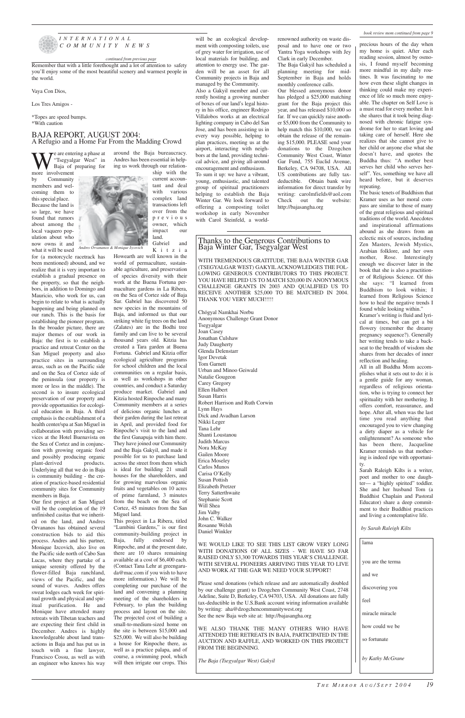

#### *INTERNATIONAL COMMUNITY NEWS*

Remember that with a little forethought and a lot of attention to safety you'll enjoy some of the most beautiful scenery and warmest people in the world.

We are entering a phase at<br>  $\sum_{\substack{\text{Baja of preparing} \\ \text{move}} }$  for preparing for "Tsegyalgar West" in Baja of preparing for more involvement

Vaya Con Dios,

Los Tres Amigos -

\*Topes are speed bumps. \*With caution

by Community members and welcoming them to this special place. Because the land is so large, we have found that rumors about among the local vaquero population about who now owns it and what it will be used

for (a motorcycle racetrack has been mentioned) abound, and we realize that it is very important to establish a gradual presence on the property, so that the neighbors, in addition to Domingo and Mauricio, who work for us, can begin to relate to what is actually happening and being planned on our ranch. This is the basis for establishing the pioneer program. In the broader picture, there are major themes of our work in Baja: the first is to establish a practice and retreat Center on the San Miguel property and also practice sites in surrounding areas, such as on the Pacific side and on the Sea of Cortez side of the peninsula (our property is more or less in the middle). The second is to insure ecological preservation of our property and provide opportunities for ecological education in Baja. A third emphasis is the establishment of a health center/spa at San Miguel in collaboration with providing services at the Hotel Buenavista on the Sea of Cortez and in conjunction with growing organic food and possibly producing organic<br>plant-derived products. plant-derived Underlying all that we do in Baja is community building - the creation of practice-based residential community sites for Community members in Baja.

Our first project at San Miguel will be the completion of the 19 unfinished casitas that we inherited on the land, and Andres Orvananos has obtained several construction bids to aid this process. Andres and his partner, Monique Izcovich, also live on the Pacific side north of Cabo San Lucas, where they partake of a unique serenity offered by the flower-filled Baja ranchland, views of the Pacific, and the sound of waves. Andres offers sweat lodges each week for spiritual growth and physical and spiritual purification. He and Monique have attended many retreats with Tibetan teachers and are expecting their first child in December. Andres is highly knowledgeable about land transactions in Baja and has put us in touch with a fine lawyer, Francisco Cossu, as well as with an engineer who knows his way

around the Baja bureaucracy. Andres has been essential in helping us work through our relationship with the current accoun-

tant and deal with various complex land transactions left over from the previous owner, which impact our land. Gabriel and Kitzia

WITH TREMENDOUS GRATITUDE, THE BAJA WINTER GAR (TSEGYALGAR WEST) GAKYIL ACKNOWLEDGES THE FOL-LOWING GENEROUS CONTRIBUTORS TO THIS PROJECT. YOU HAVE HELPED US TO MATCH \$20,000 IN ANONYMOUS CHALLENGE GRANTS IN 2003 AND QUALIFIED US TO RECEIVE ANOTHER \$25,000 TO BE MATCHED IN 2004. THANK YOU VERY MUCH !!!!!

Howearth are well known in the world of permaculture, sustainable agriculture, and preservation of species diversity with their work at the Buena Fortuna permaculture gardens in La Ribera, on the Sea of Cortez side of Baja Sur. Gabriel has discovered 50 new species in the mountains of Baja, and informed us that our striking white fig trees on the land (Zalates) are in the Bodhi tree family and can live to be several thousand years old. Kitzia has created a Tara garden at Buena Fortuna. Gabriel and Kitzia offer ecological agriculture programs for school children and the local communities on a regular basis, as well as workshops in other countries, and conduct a Saturday produce market. Gabriel and Kitzia hosted Rinpoche and many Community members at a series of delicious organic lunches at their garden during the last retreat in April, and provided food for Rinpoche's visit to the land and the first Ganapuja with him there. They have joined our Community and the Baja Gakyil, and made it possible for us to purchase land across the street from them which is ideal for building 21 small houses for the shareholders, and for growing marvelous organic fruits and vegetables on 10 acres of prime farmland, 3 minutes from the beach on the Sea of Cortez, 45 minutes from the San Miguel land. This project in La Ribera, titled "Lumbini Gardens," is our first community-building project in Baja, fully endorsed by Rinpoche, and at the present date, there are 10 shares remaining available at a cost of \$6,400 each. (Contact Tana Lehr at greengaruda@mac.com if you wish to have more information.) We will be completing our purchase of the land and convening a planning meeting of the shareholders in February, to plan the building process and layout on the site. The projected cost of building a small-to-medium-sized home on the site is between \$15,000 and \$25,000. We will also be building a house for Rinpoche there, as well as a practice palapa, and of course, a swimming pool, which will then irrigate our crops. This

will be an ecological development with composting toilets, use of grey water for irrigation, use of local materials for building, and attention to energy use. The garden will be an asset for all Community projects in Baja and

managed by the Community. Also a Gakyil member and currently hosting a growing number of boxes of our land's legal history in his office, engineer Rodrigo Villalobos works at an electrical lighting company in Cabo del San Jose, and has been assisting us in every way possible, helping to plan practices, meeting us at the airport, interacting with neighbors at the land, providing technical advice, and giving all-around encouragement and enthusiasm.

To sum it up: we have a vibrant, young, enthusiastic, and talented group of spiritual practitioners helping to establish the Baja Winter Gar. We look forward to offering a composting toilet workshop in early November with Carol Steinfeld, a worldrenowned authority on waste disposal and to have one or two Yantra Yoga workshops with Jey Clark in early December.

The Baja Gakyil has scheduled a planning meeting for mid-September in Baja and holds monthly conference calls.

Our blessed anonymous donor has pledged a \$25,000 matching grant for the Baja project this year, and has released \$10,000 so far. If we can quickly raise another \$5,000 from the Community to help match this \$10,000, we can obtain the release of the remaining \$15,000. PLEASE send your donations to the Dzogchen Community West Coast, Winter Gar Fund, 755 Euclid Avenue, Berkeley, CA 94708, USA. All US contributions are fully taxdeductible. Obtain bank wire information for direct transfer by writing: carolmfields@aol.com Check out the website: http://bajasangha.org



### Thanks to the Generous Contributions to Baja Winter Gar, Tsegyalgar West

Chögyal Namkhai Norbu Anonymous Challenge Grant Donor Tsegyalgar Joan Casey Jonathan Culshaw Judy Daugherty Glenda Delenstarr Igor Devetak Tom Garnett Urban and Minoo Geiwald Natalie Gougeon Carey Gregory Ellen Halbert Susan Harris Robert Harrison and Ruth Corwin Lynn Hays Dick and Avadhan Larson Nikki Leger Tana Lehr Shanti Loustanou Judith Marcus Nora McKay Gailen Moore Erica Moseley Carlos Munos Carisa O'Kelly Susan Pottish Elizabeth Pretzer Terry Satterthwaite Stephanie Scott Will Shea Jim Valby John C. Walker Rosanne Welsh

#### Daniel Winkler

WE WOULD LIKE TO SEE THIS LIST GROW VERY LONG WITH DONATIONS OF ALL SIZES - WE HAVE SO FAR RAISED ONLY \$3,300 TOWARDS THIS YEAR'S CHALLENGE. WITH SEVERAL PIONEERS ARRIVING THIS YEAR TO LIVE AND WORK AT THE GAR WE NEED YOUR SUPPORT!

Please send donations (which release and are automatically doubled by our challenge grant) to Dzogchen Community West Coast, 2748 Adeline, Suite D, Berkeley, CA 94703, USA. All donations are fully tax-deductible in the U.S.Bank account wiring information available by writing: aha@dzogchencommunitywest.org See the new Baja web site at: http://bajasangha.org

WE ALSO THANK THE MANY OTHERS WHO HAVE ATTENDED THE RETREATS IN BAJA, PARTICIPATED IN THE AUCTION AND RAFFLE, AND WORKED ON THIS PROJECT FROM THE BEGINNING.

*The Baja (Tsegyalgar West) Gakyil*

precious hours of the day when my home is quiet. After each reading session, almost by osmosis, I found myself becoming more mindful in my daily routines. It was fascinating to me how even these slight changes in thinking could make my experience of life so much more enjoyable. The chapter on Self Love is a must read for every mother. In it she shares that it took being diagnosed with chronic fatigue syndrome for her to start loving and taking care of herself. Here she realizes that she cannot give to her child or anyone else what she doesn't have, and quotes the Buddha thus: "A mother best serves her child who serves herself". Yes, something we have all heard before, but it deserves repeating.

The basic tenets of Buddhism that Kramer uses as her moral compass are similar to those of many of the great religious and spiritual traditions of the world. Anecdotes and inspirational affirmations abound as she draws from an eclectic mix of sources, including Zen Masters, Jewish Mystics, Arabian folklore, and her own mother, Rose. Interestingly enough we discover later in the book that she is also a practitioner of Religious Science. Of this she says: "I learned from Buddhism to look within; I learned from Religious Science how to heal the negative trends I found while looking within."

Kramer's writing is fluid and lyrical at times, but can get a bit flowery (remember the dreamy pregnancy sequence?). Generally her writing tends to take a backseat to the breadth of wisdom she shares from her decades of inner reflection and healing.

All in all Buddha Mom accomplishes what it sets out to do: it is a gentle guide for any woman, regardless of religious orientation, who is trying to connect her spirituality with her mothering. It offers comfort, reassurance, and hope. After all, when was the last time you read anything that encouraged you to view changing a dirty diaper as a vehicle for enlightenment? As someone who has been there, Jacqueline Kramer reminds us that mothering is indeed ripe with opportunity.

Sarah Raleigh Kilts is a writer, poet and mother to one daughter— a "highly spirited" toddler. She and her husband Tom (a Buddhist Chaplain and Pastoral Educator) share a deep commitment to their Buddhist practices and living a contemplative life.

#### *book review mom continued from page 9*

| by Sarah Raleigh Kilts |                   |  |  |
|------------------------|-------------------|--|--|
|                        | lama              |  |  |
|                        | you are the terma |  |  |
|                        | and we            |  |  |
|                        |                   |  |  |
|                        | discovering you   |  |  |
|                        | feel              |  |  |
|                        | miracle miracle   |  |  |
|                        | how could we be   |  |  |
|                        | so fortunate      |  |  |

*by Kathy McGrane*

### BAJA REPORT, AUGUST 2004: A Refugio and a Home Far From the Madding Crowd

#### *continued from previous page*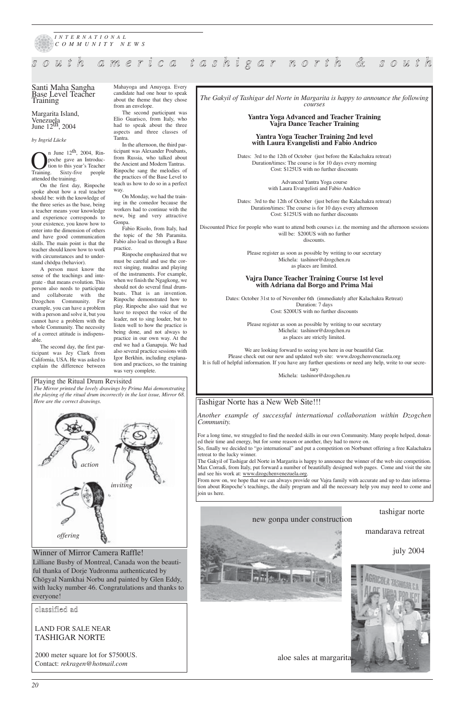#### Playing the Ritual Drum Revisited

*The Mirror printed the lovely drawings by Prima Mai demonstrating the playing of the ritual drum incorrectly in the last issue, Mirror 68. Here are the correct drawings.*

Margarita Island, Venezuela<br>June 12<sup>th</sup>, 2004

*20*



## *s o u t h a m e r i c a t a s h i g a r n o r t h & s o u t h*

 $\sum_{\text{t}}^{\text{n} \text{ June } 12^{\text{th}}$ , 2004, Rin-<br>poche gave an Introduc-<br>Training. Sixty-five people poche gave an Introduction to this year's Teacher attended the training.

#### Santi Maha Sangha Base Level Teacher Training

#### *by Ingrid Lücke*

On the first day, Rinpoche spoke about how a real teacher should be: with the knowledge of the three series as the base, being a teacher means your knowledge and experience corresponds to your existence, you know how to enter into the dimension of others and have good communication skills. The main point is that the teacher should know how to work with circumstances and to understand chödpa (behavior).

A person must know the sense of the teachings and integrate - that means evolution. This person also needs to participate and collaborate with the Dzogchen Community. For example, you can have a problem with a person and solve it, but you cannot have a problem with the whole Community. The necessity of a correct attitude is indispensable.

The second day, the first participant was Jey Clark from California, USA. He was asked to explain the difference between Mahayoga and Anuyoga. Every candidate had one hour to speak about the theme that they chose from an envelope.

The second participant was Elio Guarisco, from Italy, who had to speak about the three aspects and three classes of Tantra.

In the afternoon, the third participant was Alexander Poubants, from Russia, who talked about the Ancient and Modern Tantras. Rinpoche sang the melodies of the practices of the Base Level to teach us how to do so in a perfect way.

On Monday, we had the training in the comedor because the workers had to continue with the new, big and very attractive Gonpa.

Fabio Risolo, from Italy, had the topic of the 5th Paramita. Fabio also lead us through a Base practice.

Rinpoche emphasized that we must be careful and use the correct singing, mudras and playing of the instruments. For example, when we finish the Ngagkong, we should not do several final drumbeats. That is an invention. Rinpoche demonstrated how to play. Rinpoche also said that we have to respect the voice of the leader, not to sing louder, but to listen well to how the practice is being done, and not always to practice in our own way. At the end we had a Ganapuja. We had also several practice sessions with Igor Berkhin, including explanation and practices, so the training was very complete.





*The Gakyil of Tashigar del Norte in Margarita is happy to announce the following courses*

#### **Yantra Yoga Advanced and Teacher Training Vajra Dance Teacher Training**

#### **Yantra Yoga Teacher Training 2nd level with Laura Evangelisti and Fabio Andrico**

Dates: 3rd to the 12th of October (just before the Kalachakra retreat) Duration/times: The course is for 10 days every morning Cost: \$125US with no further discounts

> Advanced Yantra Yoga course with Laura Evangelisti and Fabio Andrico

Dates: 3rd to the 12th of October (just before the Kalachakra retreat) Duration/times: The course is for 10 days every afternoon Cost: \$125US with no further discounts

Discounted Price for people who want to attend both courses i.e. the morning and the afternoon sessions will be: \$200US with no further discounts.

> Please register as soon as possible by writing to our secretary Michela: tashinor@dzogchen.ru as places are limited.

#### **Vajra Dance Teacher Training Course 1st level with Adriana dal Borgo and Prima Mai**

Dates: October 31st to of November 6th (immediately after Kalachakra Retreat) Duration: 7 days Cost: \$200US with no further discounts

> Please register as soon as possible by writing to our secretary Michela: tashinor@dzogchen.ru as places are strictly limited.

We are looking forward to seeing you here in our beautiful Gar. Please check out our new and updated web site: www.dzogchenvenezuela.org It is full of helpful information. If you have any further questions or need any help, write to our secre-

> tary Michela: tashinor@dzogchen.ru

### Tashigar Norte has a New Web Site!!!

*Another example of successful international collaboration within Dzogchen Community.* 

For a long time, we struggled to find the needed skills in our own Community. Many people helped, donated their time and energy, but for some reason or another, they had to move on.

So, finally we decided to "go international" and put a competition on Norbunet offering a free Kalachakra retreat to the lucky winner.

The Gakyil of Tashigar del Norte in Margarita is happy to announce the winner of the web site competition. Max Corradi, from Italy, put forward a number of beautifully designed web pages. Come and visit the site and see his work at: www.dzogchenvenezuela.org.

From now on, we hope that we can always provide our Vajra family with accurate and up to date information about Rinpoche's teachings, the daily program and all the necessary help you may need to come and join us here.

## classified ad

## LAND FOR SALE NEAR TASHIGAR NORTE

2000 meter square lot for \$7500US. Contact: *rekragen@hotmail.com*

### new gonpa under construction

mandarava retreat



Lilliane Busby of Montreal, Canada won the beautiful thanka of Dorje Yudronma authenticated by Chögyal Namkhai Norbu and painted by Glen Eddy, with lucky number 46. Congratulations and thanks to everyone!

aloe sales at margarita

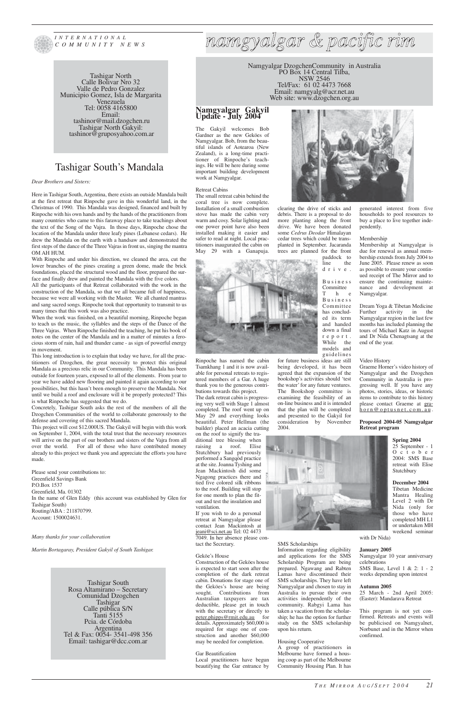

*INTERNATIONAL COMMUNITY NEWS*

> Tashigar South Rosa Altamirano – Secretary Comunidad Dzogchen Tashigar Calle pública S/N Tanti 5155 Pcia. de Córdoba Argentina Tel & Fax: 0054- 3541-498 356 Email: tashigar@dcc.com.ar

Tashigar North Calle Bolivar Nro 32 Valle de Pedro Gonzalez Municipio Gomez, Isla de Margarita Venezuela Tel: 0058 4165800 Email: tashinor@mail.dzogchen.ru Tashigar North Gakyil: tashinor@gruposyahoo.com.ar

Namgyalgar DzogchenCommunity in Australia PO Box 14 Central Tilba, NSW 2546 Tel/Fax: 61 02 4473 7668 Email: namgyalg@acr.net.au Web site: www.dzogchen.org.au

*namgyalgar & pacific rim*

### **Namgyalgar Gakyil Update - July 2004**

The Gakyil welcomes Bob Gardner as the new Geköes of Namgyalgar. Bob, from the beautiful islands of Aotearoa (New Zealand), is a long-time practitioner of Rinpoche's teachings. He will be here during some important building development work at Namgyalgar.

#### Retreat Cabins

The small retreat cabin behind the coral tree is now complete. Installation of a small combustion stove has made the cabin very warm and cosy. Solar lighting and one power point have also been installed making it easier and safer to read at night. Local practitioners inaugurated the cabin on May 29 with a Ganapuja.

Rinpoche has named the cabin Tsamkhang 1 and it is now available for personal retreats to registered members of a Gar. A huge thank you to the generous contributions towards this project.

The dark retreat cabin is progressing very well with Stage 1 almost completed. The roof went up on May 29 and everything looks beautiful. Peter Hellman (the builder) placed an acacia cutting on the roof to signify the tra-

ditional tree blessing when raising a roof. Elise Stutchbury had previously performed a Sangqòd practice at the site. Joanna Tyshing and Jean Mackintosh did some Ngagong practices there and tied five colored silk ribbons to the roof. Building will stop for one month to plan the fitout and test the insulation and ventilation.

If you wish to do a personal retreat at Namgyalgar please contact Jean Mackintosh at

jeani@sci.net.au Tel: 02 4473 7049. In her absence please contact the Secretary.

#### Geköe's House

Construction of the Geköes house is expected to start soon after the completion of the dark retreat cabin. Donations for stage one of the Geköes's house are being sought. Contributions from Australian taxpayers are tax deductible, please get in touch with the secretary or directly to peter.phipps@rmit.edu.au for details. Approximately \$60,000 is required for stage one of construction and another \$60,000 may be needed for completion.

#### Gar Beautification

Local practitioners have begun beautifying the Gar entrance by clearing the drive of sticks and debris. There is a proposal to do more planting along the front drive. We have been donated some *Cedrus Deodar* Himalayan cedar trees which could be transplanted in September. Jacaranda trees are planned for the front



for future business ideas are still being developed, it has been agreed that the expansion of the bookshop's activities should 'test the water' for any future ventures. The Bookshop committee is examining the feasibility of an on-line business and it is intended that the plan will be completed and presented to the Gakyil for consideration by November 2004.



SMS Scholarships

Information regarding eligibility and applications for the SMS Scholarship Program are being prepared. Ngawang and Rabten Lamas have discontinued their SMS scholarships. They have left Namgyalgar and chosen to stay in Australia to pursue their own activities independently of the community. Rabgyi Lama has taken a vacation from the scholarship; he has the option for further study on the SMS scholarship

upon his return.

Housing Cooperative

A group of practitioners in Melbourne have formed a housing coop as part of the Melbourne Community Housing Plan. It has generated interest from five households to pool resources to buy a place to live together inde-

pendently.

#### Membership

Membership at Namgyalgar is due for renewal as annual membership extends from July 2004 to June 2005. Please renew as soon as possible to ensure your continued receipt of The Mirror and to ensure the continuing maintenance and development at Namgyalgar.

Dream Yoga & Tibetan Medicine Further activity in the Namgyalgar region in the last few months has included planning the tours of Michael Katz in August and Dr Nida Chenagtsang at the end of the year.

#### Video History

Graeme Horner's video history of Namgyalgar and the Dzogchen Community in Australia is progressing well. If you have any photos, stories, ideas, or historic items to contribute to this history please contact Graeme at grahorn@optusnet.com.au .

#### **Proposed 2004-05 Namgyalgar Retreat program**

#### **Spring 2004**

25 September - 1 October 2004: SMS Base retreat with Elise Stutchbury

## **December 2004**

Tibetan Medicine Mantra Healing Level 2 with Dr Nida (only for those who have completed MH L1 or undertaken MH

weekend seminar

with Dr Nida)

#### **January 2005**

Namgyalgar 10 year anniversary celebrations SMS Base, Level 1 & 2: 1 - 2 weeks depending upon interest

#### **Autumn 2005**

25 March - 2nd April 2005: (Easter): Mandarava Retreat

This program is not yet confirmed. Retreats and events will be publicised on Namgyalnet, Norbunet and in the Mirror when confirmed.

## Tashigar South's Mandala

#### *Dear Brothers and Sisters:*

Here in Tashigar South, Argentina, there exists an outside Mandala built at the first retreat that Rinpoche gave in this wonderful land, in the Christmas of 1990. This Mandala was designed, financed and built by Rinpoche with his own hands and by the hands of the practitioners from many countries who came to this faraway place to take teachings about the text of the Song of the Vajra. In those days, Rinpoche chose the location of the Mandala under three leafy pines (Lebanese cedars). He drew the Mandala on the earth with a handsaw and demonstrated the first steps of the dance of the Three Vajras in front us, singing the mantra OM AH HUM.

With Rinpoche and under his direction, we cleaned the area, cut the lower branches of the pines creating a green dome, made the brick foundations, placed the structural wood and the floor, prepared the surface and finally drew and painted the Mandala with the five colors.

All the participants of that Retreat collaborated with the work in the construction of the Mandala, so that we all became full of happiness, because we were all working with the Master. We all chanted mantras and sang sacred songs. Rinpoche took that opportunity to transmit to us many times that this work was also practice.

When the work was finished, on a beautiful morning, Rinpoche began to teach us the music, the syllables and the steps of the Dance of the Three Vajras. When Rinpoche finished the teaching, he put his book of notes on the center of the Mandala and in a matter of minutes a ferocious storm of rain, hail and thunder came - as sign of powerful energy in movement.

This long introduction is to explain that today we have, for all the practitioners of Dzogchen, the great necessity to protect this original Mandala as a precious relic in our Community. This Mandala has been outside for fourteen years, exposed to all of the elements. From year to year we have added new flooring and painted it again according to our possibilities, but this hasn't been enough to preserve the Mandala. Not until we build a roof and enclosure will it be properly protected? This is what Rinpoche has suggested that we do.

Concretely, Tashigar South asks the rest of the members of all the Dzogchen Communities of the world to collaborate generously to the defense and covering of this sacred Mandala.

This project will cost \$12.000US. The Gakyil will begin with this work on September 1, 2004, with the total trust that the necessary resources will arrive on the part of our brothers and sisters of the Vajra from all over the world. For all of those who have contributed money already to this project we thank you and appreciate the efforts you have made.

Please send your contributions to: Greenfield Savings Bank P.O.Box 1537 Greenfield, Ma. 01302 In the name of Glen Eddy (this account was established by Glen for Tashigar South) Routing/ABA : 211870799. Account: 1500024631.

#### *Many thanks for your collaboration*

*Martin Bortagaray, President Gakyil of South Tashigar.*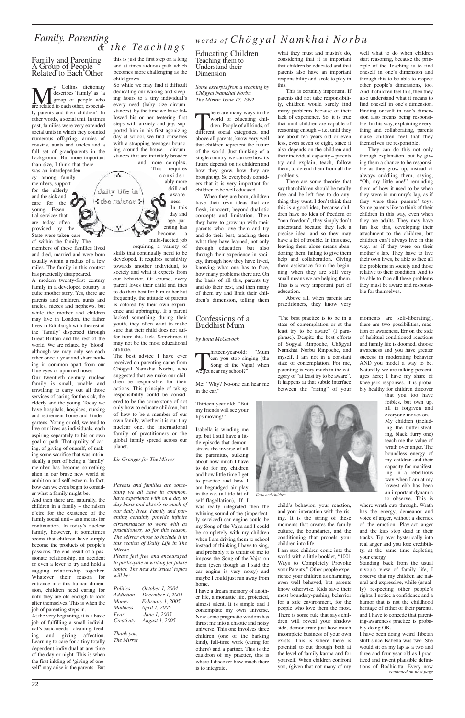# *Family. Parenting*<br>  $\alpha$  *the Teachings*<br>  $\alpha$  *FA with Chütter what they must and mustaid o well*

#### Family and Parenting A Group of People Related to Each Other

**My** Collins dictionary<br>
group of people who<br>
are related to each other, especialdescribes 'family' as 'a group of people who ly parents and their children'. In other words, a social unit. In times past, families were very extended social units in which they counted numerous offspring, armies of cousins, aunts and uncles and a full set of grandparents in the background. But more important than size, I think that there

was an interdependency among family members, support for the elderly and the sick and care for the young. Essential services that are today often provided by the State were taken care

of within the family. The members of these families lived and died, married and were born usually within a radius of a few miles. The family in this context has practically disappeared.

A modern twenty-first century family in a developed country is quite another story. Yes, there are parents and children, aunts and uncles, nieces and nephews, but while the mother and children may live in London, the father lives in Edinburgh with the rest of the 'family' dispersed through Great Britain and the rest of the world. We are related by 'blood' although we may only see each other once a year and share nothing in common apart from our blue eyes or upturned noses.

Our twentieth century nuclear family is small, unable and unwilling to carry out all those services of caring for the sick, the elderly and the young. Today we have hospitals, hospices, nursing and retirement home and kindergartens. Young or old, we tend to live our lives as individuals, each aspiring separately to his or own goal or path. That quality of caring, of giving of oneself, of making some sacrifice that was intrinsically a part of being a 'family' member has become something alien in our brave new world of ambition and self-esteem. In fact, how can we even begin to consider what a family might be.

This requires considerably more skill and awareness. In this day and age, parenting has become a multi-faceted job requiring a variety of daily life in  $:$  the mirror  $:$ 

And then there are, naturally, the children in a family – the raison d'etre for the existence of the family social unit – as a means for continuation. In today's nuclear

family, however, it sometimes seems that children have simply become the products of people's passions, the end-result of a passionate relationship, an accident or even a lever to try and hold a sagging relationship together. Whatever their reason for entrance into this human dimension, children need caring for until they are old enough to look after themselves. This is when the job of parenting steps in.

At the very beginning, it is a basic job of fulfilling a small individual's basic needs - cleaning, feeding and giving affection. Learning to care for a tiny totally dependent individual at any time of the day or night. This is when the first inkling of 'giving of oneself' may arise in the parents. But

here are many ways in the<br>world of educating chil-<br>dren. People of all kinds, of<br>different social categories, and here are many ways in the world of educating children. People of all kinds, of above all parents, know very well that children represent the future of the world. Just thinking of a single country, we can see how its future depends on its children and how they grow, how they are brought up. So everybody considers that it is very important for children to be well educated.

this is just the first step on a long and at times arduous path which becomes more challenging as the child grows.

So while we may find it difficult dedicating our waking and sleeping hours to a tiny individual's every need (baby size circumstances), by the time we have followed his or her teetering first steps with anxiety and joy, supported him in his first agonizing day at school, we find ourselves with a strapping teenager bouncing around the house – circumstances that are infinitely broader and more complex.

skills that continually need to be developed. It requires sensitivity towards another individual, to society and what it expects from our behavior. Of course, every parent loves their child and tries to do their best for him or her but frequently, the attitude of parents is colored by their own experience and upbringing. If a parent lacked something during their youth, they often want to make sure that their child does not suffer from this lack. Sometimes it may not be the most educational attitude.

The best advice I have ever received on parenting came from Chögyal Namkhai Norbu, who suggested that we make our children be responsible for their actions. This principle of taking responsibility could be considered to be the cornerstone of not only how to educate children, but of how to be a member of our own family, whether it is our tiny nuclear one, the international family of practitioners or the global family spread across our planet.

hirteen-year-old:<br>
can you stop sing<br>
Song of the Vaji<br>
we get near my school?" hirteen-year-old: "Mum can you stop singing (the Song of the Vajra) when

*Liz Granger for The Mirror*

*Parents and families are something we all have in common, have experience with on a day to day basis and absorb so much of our daily lives. Family and parenting certainly provide infinite circumstances to work with as*

*practitioners, so for this reason, The Mirror chose to include it in this section of Daily Life in The Mirror.* 

*Please feel free and encouraged to participate in writing for future topics. The next six issues' topics will be:*

*Politics October 1, 2004 Addiction December 1, 2004 Money February 1, 2005 Madness April 1, 2005 Fear June 1, 2005 Creativity August 1, 2005*

*Thank you, The Mirror* Educating Children Teaching them to Understand their Dimension

*Some excerpts from a teaching by Chögyal Namkhai Norbu The Mirror, Issue 17, 1992*

When they are born, children have their own ideas that are fresh, innocent, beyond dualistic concepts and limitation. Then they have to grow up with their parents who love them and try and do their best, teaching them what they have learned, not only through education but also through their experience in society, through how they have lived, knowing what one has to face, how many problems there are. On the basis of all this, parents try and do their best, and then many of them try and limit their children's dimension, telling them

what they must and mustn't do, considering that it is important that children be educated and that parents also have an important responsibility and a role to play in this.

This is certainly important. If parents did not take responsibility, children would surely find many problems because of their lack of experience. So, it is true that until children are capable of reasoning enough – i.e. until they are about ten years old or even less, even seven or eight, since it also depends on the children and their individual capacity – parents try and explain, teach, follow them, to defend them from all the problems.

There are some theories that say that children should be totally free and be left free to do anything they want. I don't think that this is a good idea, because children have no idea of freedom or "non-freedom", they simply don't understand because they lack a precise idea, and so they may have a lot of trouble. In this case, leaving them alone means abandoning them, failing to give them help and collaboration. Giving them assistance from the beginning when they are still very small means we are helping them. This is a very important part of education.

Above all, when parents are practitioners, they know very well what to do when children start reasoning, because the principle of the Teaching is to find oneself in one's dimension and through this to be able to respect other people's dimensions, too. And if children feel this, then they also understand what it means to find oneself in one's dimension. Finding oneself in one's dimension also means being responsible. In this way, explaining everything and collaborating, parents make children feel that they themselves are responsible.

They can do this not only through explanation, but by giving them a chance to be responsible as they grow up, instead of always cuddling them, saying, "Oh, my little one!" reminding them of how it used to be when they were in mummy's lap, as if they were their parents' toys. Some parents like to think of their children in this way, even when they are adults. They may have fun like this, developing their attachment to the children, but children can't always live in this way, as if they were on their mother's lap. They have to live their own lives, be able to face all the problems in society and those relative to their condition. And to be able to face all these problems they must be aware and responsible for themselves.

### Confessions of a Buddhist Mum

#### *by Ilona McGavock*

Me: "Why? No-one can hear me in the car."

Thirteen-year-old: "But my friends will see your lips moving!"

Isabella is winding me up, but I still have a little episode that demonstrates the inverse of all the paramitas, sulking about how much I have to do for my children and how little time I get to practice and how I am begrudged air play in the car. (a little bit of self-flagellation), If I

was really integrated then the whining sound of the (imperfectly serviced) car engine could be my Song of the Vajra and I could be completely with my children when I am driving them to school instead of thinking I have to sing, and probably it is unfair of me to impose the Song of the Vajra on them (even though as I said the car engine is very noisy) and maybe I could just run away from home. I have a dream memory of another life, a monastic life, protected, almost silent. It is simple and I contemplate my own universe. Now some pragmatic wisdom has thrust me into a chaotic and noisy universe. This one involves three children (one of the barking kind), full-time work (caring for others) and a partner. This is the cauldron of my practice, this is where I discover how much there is to integrate.

"The best practice is to be in a state of contemplation or at the least try to be aware" (I paraphrase). Despite the best efforts of Sogyal Rinpoche, Chögyal Namkhai Norbu Rinpoche, and myself, I am not in a constant state of contemplation. For me, parenting is very much in the category of "at least try to be aware". It happens at that subtle interface between the "rising" of your

child's behavior, your reaction, and your interaction with the rising. It is the string of these moments that creates the family

culture, the boundaries, and the conditioning that propels your children into life.

I am sure children come into the world with a little booklet, "1001 Ways to Completely Provoke your Parents." Other people experience your children as charming, even well behaved, but parents know otherwise. Kids save their most boundary-pushing behavior for a safe environment, for the people who love them the most. There is some rule that says children will reveal your shadow side, demonstrate just how much incomplete business of your own exists. This is where there is potential to cut through both at the level of family karma and for yourself. When children confront you, (given that not many of my

moments are self-liberating), there are two possibilities, reaction or awareness. Err on the side of habitual conditioned reactions and family life is doomed, choose awareness and you have greater success in moderating behavior AND you model a way to be. Naturally we are talking percentages here; I have my share of knee-jerk responses. It is probably healthy for children discover

that you too have foibles, but own up, all is forgiven and

everyone moves on. My children (including the butter-stealing, black, furry one) teach me the value of wrath over anger. The boundless energy of my children and their capacity for manifesting in a rebellious way when I am at my lowest ebb has been an important dynamic

to observe. This is where wrath cuts through. Wrath has the energy, demeanor and voice of anger, without a skerrick of the emotion. Play-act anger and the kids stop dead in their tracks. Tip over hysterically into real anger and you lose credibility, at the same time depleting your energy. Standing back from the usual myopic view of family life, I observe that my children are natural and expressive, while (usually) respecting other people's rights. I notice a confidence and a humor that is not the childhood heritage of either of their parents, and I have to concede that parenting-awareness practice is probably doing OK. I have been doing weird Tibetan stuff since Isabella was two. She would sit on my lap as a two and three and four year old as I practiced and invent plausible definitions of Bodhicitta. Every now *continued on next page*



*Ilona and children*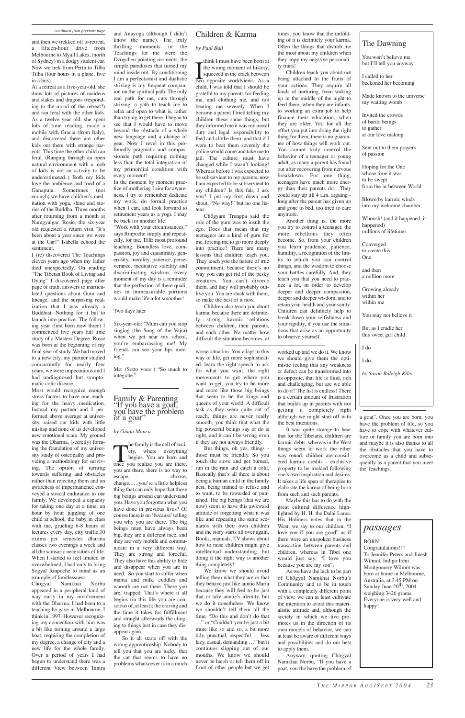and then we trekked off to retreat, a fifteen-hour drive from Melbourne to Myall Lakes, (north of Sydney) in a dodgy student car. Now we trek from Perth to Tilba Tilba (four hours in a plane, five in a bus).

At a retreat as a five-year-old, she drew lots of pictures of maidens and stakes and dragons (responding to the mood of the retreat?) and ran feral with the other kids. As a twelve year old, she spent lots of time reading, made a mobile with Gracia (from Italy), and discovered there are other kids out there with strange parents. This time the other child ran feral. (Ranging through an open natural environment with a mob of kids is not an activity to be underestimated..) Both my kids love the ambience and food of a Ganapuja. Sometimes (not enough) we have children's meditation with yoga, shine and stories of the Buddha. Three months after returning from a month at Namgyalgar, Rosie, the six-year old requested a return visit "It's been about a year since we were at the Gar!" Isabella echoed the sentiment.

I (re) discovered The Teachings eleven years ago when my father died unexpectedly. On reading "The Tibetan Book of Living and Dying" I discovered page after page of truth, answers to inarticulated questions about Guru and lineage, and the surprising realization that I was already a Buddhist. Nothing for it but to launch into practice. The following year (first born now three) I commenced five years full time study of a Masters Degree. Rosie was born at the beginning of my final year of study. We had moved to a new city, my partner studied concurrently for nearly four years, we were impecunious and I had undiagnosed but symptomatic colic disease.

Most would recognize enough stress factors to have one reaching for the heavy medication. Instead my partner and I performed above average at university, raised our kids with little mishap and none of us developed new emotional scars. My ground was the Dharma, (secretly) forming the foundation of my university study of osteopathy and providing a methodology for surviving. The option of turning towards suffering and obstacles rather than rejecting them and an awareness of impermanence conveyed a stoical endurance to our family. We developed a capacity for taking one day at a time, an hour by hour juggling of one child at school, the baby in class with me, grueling 6-8 hours of lectures every day, city traffic,10 exams per semester, dharma classes two evenings a week and all the samsaric necessities of life. When I started to feel limited or overwhelmed, I had only to bring Sogyal Rinpoche to mind as an example of limitlessness. Chögyal Namkhai Norbu appeared in a peripheral kind of way early in my involvement with the Dharma. I had been to a teaching he gave in Melbourne, I think in 1997. However recognizing my connection with him was a bit like turning around a large boat, requiring the completion of my degree, a change of city and a new life for the whole family. Over a period of years I had begun to understand there was a different View between Tantra

think I must have been born at<br>the wrong moment of history,<br>squeezed in the crack between<br>two opposite worldviews. As a think I must have been born at the wrong moment of history, squeezed in the crack between child, I was told that I should be grateful to my parents for feeding me, and clothing me, and not beating me severely. When I became a parent I tried telling my children these same things, but they informed me it was my moral duty and legal responsibility to feed and clothe them, and that if I were to beat them severely the police would come and take me to jail. The culture must have changed while I wasn't looking! Whereas before I was expected to be subservient to my parents, now I am expected to be subservient to my children? Is this fair, I ask you? I put my foot down and shout, "No way!" but no one listens.

and Anuyoga (although I didn't know the name). The truly thrilling moments in the Teachings for me were the Dzogchen pointing moments, the simple paradoxes that turned my mind inside out. By conditioning I am a perfectionist and dualistic striving is my frequent companion on the spiritual path. The only real path for me, cuts through striving, a path to teach me to relax and open to what is, rather than trying to get there. I began to see that I would have to move beyond the obstacle of a whole new language and a change of gear. Now I revel in this profoundly pragmatic and compassionate path requiring nothing less than the total integration of my primordial condition with every moment!

In the moment by moment practice of mothering I aim for awareness, I try to remember dedicate my work, do formal practice when I can, and look forward to retirement years as a yogi. I may be back for another life!

"Work with your circumstances," says Rinpoche simply and repeatedly, for me, THE most profound teaching. Boundless love, compassion, joy and equanimity, generosity, morality, patience, perseverance, meditative stability and discriminating wisdom; every moment of my day is a reminder that the perfection of these qualities in immeasurable portions would make life a lot smoother!

 $\prod_{\text{once } y}$ he family is the cell of society, where everything begins. You are born and once you realize you are there, you are there, there is no way to escape, choose, change..….you're a little helpless thing that can only hope that those big beings around can understand you. Have you forgotten what you have done in previous lives? Of course there is no 'because'telling you why you are there. The big beings must have always been big, they are a different race, and they are very mobile and communicate in a very different way. They are strong and forceful. They also have this ability to hide and disappear when you are in need. So you start to suffer when mama and milk, cuddles and warmth are not there. There you are, trapped. That's where it all begins (in this life you are conscious of, at least); the craving and the time it takes for fulfillment and straight afterwards the clinging to things just in case they disappear again. So it all starts off with the wrong apprenticeship. Nobody to tell you that you are lucky, that the cat that seems to have no problems whatsoever is in a much

#### Two days later

Six-year-old: "Mum can you stop singing (the Song of the Vajra) when we get near my school, you're embarrassing me! My friends can see your lips moving."

Me: (Sotto voce ) "So much to integrate."

### Children & Karma

#### *by Paul Bail*

Chögyam Trungpa said the role of the guru was to insult the ego. Does that mean that my teenagers are a kind of guru for me, forcing me to go more deeply into practice? There are many lessons that children teach you. They teach you the nature of true commitment, because there's no way you can get rid of the pesky creatures. You can't divorce them, and they will probably outlive you. You are stuck with them, so make the best of it now.

Children also teach you about karma, because there are definitely strong karmic relations between children, their parents, and each other. No matter how difficult the situation becomes, at

times, you know that the unfolding of it is definitely your karma. Often the things that disturb me the most about my children when they copy my negative personality traits!

Children teach you about not being attached to the fruits of your actions. They require all kinds of nurturing, from waking up in the middle of the night to feed them, when they are infants, to working an extra job to help finance their education, when they are older. Yet, for all the effort you put into doing the right thing for them, there is no guarantee of how things will work out. You cannot truly control the behavior of a teenager or young adult, as many a parent has found out after recovering from nervous breakdown. For one thing, teenagers have much more energy than their parents do. They could stay up till 4 a.m. arguing long after the parent has given up and gone to bed, too tired to care anymore.

Another thing is, the more you try to control a teenager, the more rebellious they often become. So, from your children you learn prudence, patience, humility, a recognition of the limits to which you can control things, and the wisdom to choose your battles carefully. And, they teach you that you need to practice a lot, in order to develop deeper and deeper compassion, deeper and deeper wisdom, and to retain your health and your sanity. Children can definitely help to break down your selfishness and your rigidity, if you use the situations that arise as an opportunity to observe yourself.

#### Family & Parenting "If you have a goat, you have the problem of a goat"

#### *by Giada Manca*

worse situation. You adapt to this way of life, get more sophisticated, learn the right speech to ask for what you want, the right movements to get where you want to get, you try to be more and more like those big beings that seem to be the kings and queens of your world. A difficult task as they seem quite out of reach, things are never really smooth, you think that what the big powerful beings say or do is right, and it can't be wrong even if they are not always friendly.

But things, oh yes, things those must be friendly. So you touch the stove and get burned, run in the rain and catch a cold. Basically that's all there is about being a human child in the family nest, being trained to refuse and to want, to be rewarded or punished. The big beings (that we are now) seem to have this awkward attitude of forgetting what it was like and repeating the same scenarios with their own children and the story starts all over again. Books, manuals, TV shows about how to raise children might give intellectual understanding, but doing it the right way is another thing completely! We know we should avoid telling them what they are or that they behave just like auntie Maria because they will feel to be just that or take auntie's identity, but we do it nonetheless. We know we shouldn't tell them all the time, "Do this and don't do that …" or "Couldn't you be just a bit more like so and so, a bit more tidy, punctual, respectful … less lazy, casual, demanding …" but it continues slipping out of our mouths. We know we should never be harsh or tell them off in front of other people but we get worked up and we do it. We know we should give them the optimistic feeling that any weakness or defect can be transformed into its opposite, that life is fluid, rich and challenging, but are we able to do it? The list is endless! There is a certain amount of frustration that builds up in parents with not getting it completely right although we might start off with the best intentions.

It was quite strange to hear that for the Tibetans, children are karmic debts, whereas in the West things seem to work the other way round; children are considered karmic credits - exclusive property to be molded following one's own inspiration and desires. It takes a life span of therapies to elaborate the karma of being born from such and such parents.

Maybe this has to do with the great cultural difference highlighted by H. H. the Dalai Lama. His Holiness notes that in the West, we say to our children, "I love you if you are good" as if there were an unspoken business transaction between parents and children, whereas in Tibet one would just say, "I love you because you are my son". As we have the luck to be part of Chögyal Namkhai Norbu's Community and to be in touch with a completely different point of view, we can at least cultivate the intention to avoid this materialistic attitude and, although the society in which we live promotes us in the direction of its own models of behavior, we can at least be aware of different ways and possibilities and do our best to apply them. Anyway, quoting Chögyal Namkhai Norbu, "If you have a goat, you the have the problem of

a goat". Once you are born, you have the problem of life, so you have to cope with whatever culture or family you are born into and maybe it is also thanks to all the obstacles that you have to overcome as a child and subsequently as a parent that you meet the Teachings.

### The Dawning

You won't believe me but I'll tell you anyway

I called to her beckoned her becoming

Made known to the universe my waiting womb

Invited the crowds of bardo beings to gather at our love making

Sent out to them prayers of passion

Hoping for the One whose time it was to be swept from the in-between World

Blown by karmic winds into my welcome chamber

Whoosh! (and it happened, it happened) millions of lifetimes

Converged to create this One

and then a million more

Growing already within her within me

You may not believe it

But as I cradle her this sweet girl child

#### I do

I do.

*by Sarah Raleigh Kilts*

## *passages*

#### BORN:

Congratulations!!!! To Jennifer Peters and Jinesh Wilmot, Indigo Ireni Montgomery Wilmot was born at home in Melbourne, Australia, at 3.45 PM on Sunday June  $20<sup>th</sup>$ , 2004 weighing 3426 grams. Everyone is very well and happy!

#### *continued from previous page*